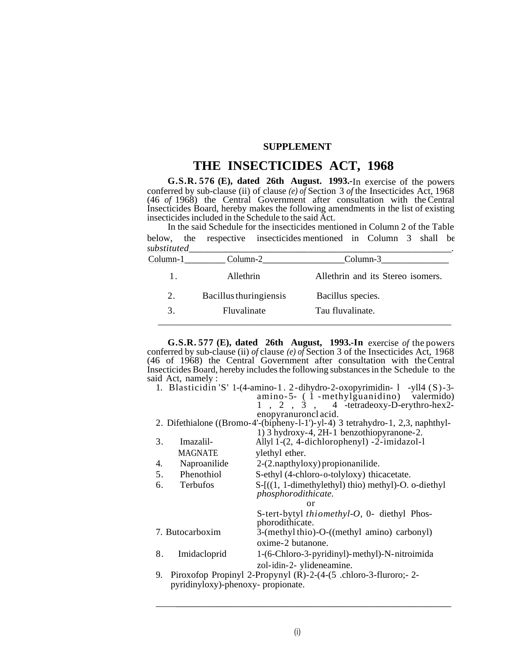# **SUPPLEMENT**

# **THE INSECTICIDES ACT, 1968**

**G.S.R. 576 (E), dated 26th August. 1993.-**In exercise of the powers conferred by sub-clause (ii) of clause *(e) of* Section 3 *of* the Insecticides Act, 1968 (46 *of* 1968) the Central Government after consultation with the Central Insecticides Board, hereby makes the following amendments in the list of existing insecticides included in the Schedule to the said Act.

In the said Schedule for the insecticides mentioned in Column 2 of the Table below, the respective insecticides mentioned in Column 3 shall be *substituted\_\_\_\_\_\_\_\_\_\_\_\_\_\_\_\_\_\_\_\_\_\_\_\_\_\_\_\_\_\_\_\_\_\_\_\_\_\_\_\_\_\_\_\_\_\_\_\_\_\_\_\_\_.*

| Column-1 | Column-2               | Column-3                          |
|----------|------------------------|-----------------------------------|
|          | Allethrin              | Allethrin and its Stereo isomers. |
| 2.       | Bacillus thuringiensis | Bacillus species.                 |
|          | Fluvalinate            | Tau fluvalinate.                  |

**G.S.R. 577 (E), dated 26th August, 1993.-In** exercise *of* the powers conferred by sub-clause (ii) *of* clause *(e) of* Section 3 of the Insecticides Act, 1968 (46 of 1968) the Central Government after consultation with the Central Insecticides Board, hereby includes the following substances in the Schedule to the said Act, namely :

|    | 1. Blasticidin 'S' 1-(4-amino-1. 2-dihydro-2-oxopyrimidin-1 -yll4 (S)-3-       |                                                                                 |  |  |
|----|--------------------------------------------------------------------------------|---------------------------------------------------------------------------------|--|--|
|    |                                                                                | amino-5- (1 -methylguanidino) valermido)                                        |  |  |
|    |                                                                                | $1, 2, 3, 4$ -tetradeoxy-D-erythro-hex2-                                        |  |  |
|    |                                                                                | enopyranuronclacid.                                                             |  |  |
|    | 2. Difethialone ((Bromo-4'-(bipheny-1-1')-yl-4) 3 tetrahydro-1, 2,3, naphthyl- |                                                                                 |  |  |
|    |                                                                                | 1) 3 hydroxy-4, 2H-1 benzothiopyranone-2.                                       |  |  |
| 3. | Imazalil-                                                                      | Allyl 1-(2, 4-dichlorophenyl) -2-imidazol-l                                     |  |  |
|    | <b>MAGNATE</b>                                                                 | ylethyl ether.                                                                  |  |  |
| 4. | Naproanilide                                                                   | 2-(2.napthyloxy) propionanilide.                                                |  |  |
| 5. | Phenothiol                                                                     | S-ethyl (4-chloro-o-tolyloxy) thicacetate.                                      |  |  |
| 6. | <b>Terbufos</b>                                                                | $S-[(1, 1-dimethylethyl)$ thio) methyl $)-O$ . o-diethyl<br>phosphorodithicate. |  |  |
|    |                                                                                | or                                                                              |  |  |
|    |                                                                                | S-tert-bytyl thiomethyl-O, 0- diethyl Phos-                                     |  |  |
|    |                                                                                | phorodithicate.                                                                 |  |  |
|    | 7. Butocarboxim                                                                | 3-(methyl thio)-O-((methyl amino) carbonyl)                                     |  |  |
|    |                                                                                | oxime-2 butanone.                                                               |  |  |
| 8. | Imidacloprid                                                                   | 1-(6-Chloro-3-pyridinyl)-methyl)-N-nitroimida                                   |  |  |
|    |                                                                                | zol-idin-2- ylideneamine.                                                       |  |  |
| 9. |                                                                                | Piroxofop Propinyl 2-Propynyl (R)-2-(4-(5 .chloro-3-fluroro; -2-                |  |  |
|    | pyridinyloxy)-phenoxy- propionate.                                             |                                                                                 |  |  |

\_\_\_\_\_\_\_\_\_\_\_\_\_\_\_\_\_\_\_\_\_\_\_\_\_\_\_\_\_\_\_\_\_\_\_\_\_\_\_\_\_\_\_\_\_\_\_\_\_\_\_\_\_\_\_\_\_\_\_\_\_\_\_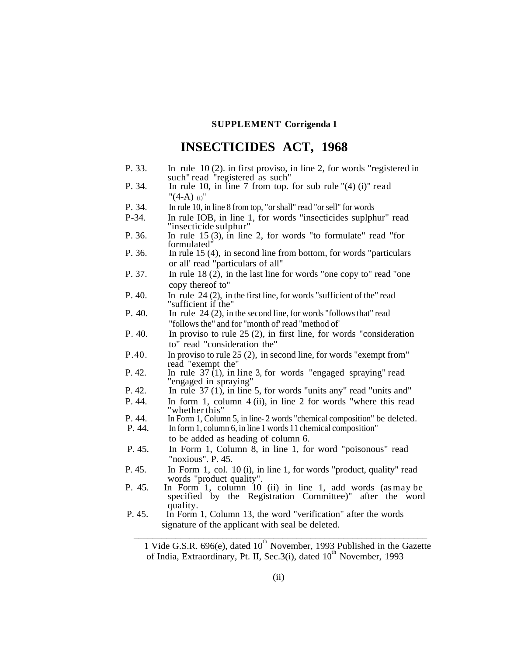# **SUPPLEMENT Corrigenda 1**

# **INSECTICIDES ACT, 1968**

- P. 33. In rule 10 (2). in first proviso, in line 2, for words "registered in such" read "registered as such"
- P. 34. In rule 10, in line 7 from top. for sub rule "(4) (i)" read  $"(4-A)$  (i)"
- P. 34. In rule 10, in line 8 from top, "or shall" read "or sell" for words
- P-34. In rule IOB, in line 1, for words "insecticides suplphur" read "insecticide sulphur"
- P. 36. In rule 15 (3), in line 2, for words "to formulate" read "for formulated"
- P. 36. In rule 15 (4), in second line from bottom, for words "particulars or all' read "particulars of all"
- P. 37. In rule 18 (2), in the last line for words "one copy to" read "one copy thereof to"
- P. 40. In rule 24 (2), in the first line, for words "sufficient of the" read "sufficient if the"
- P. 40. In rule 24 (2), in the second line, for words "follows that" read "follows the" and for "month of' read "method of'
- P. 40. In proviso to rule 25 (2), in first line, for words "consideration to" read "consideration the"
- P.40. In proviso to rule 25 (2), in second line, for words "exempt from" read "exempt the"
- P. 42. In rule  $37(1)$ , in line 3, for words "engaged spraying" read "engaged in spraying"
- P. 42. In rule 37 (1), in line 5, for words "units any" read "units and"
- P. 44. In form 1, column 4 (ii), in line 2 for words "where this read "whether this"
- P. 44. In Form 1, Column 5, in line- 2 words "chemical composition" be deleted.
- In form 1, column 6, in line 1 words 11 chemical composition"
- to be added as heading of column 6.
- P. 45. In Form 1, Column 8, in line 1, for word "poisonous" read "noxious". P. 45.
- P. 45. In Form 1, col. 10 (i), in line 1, for words "product, quality" read words "product quality".
- P. 45. In Form 1, column 10 (ii) in line 1, add words (as may be specified by the Registration Committee)" after the word quality.

\_\_\_\_\_\_\_\_\_\_\_\_\_\_\_\_\_\_\_\_\_\_\_\_\_\_\_\_\_\_\_\_\_\_\_\_\_\_\_\_\_\_\_\_\_\_\_\_\_\_\_\_\_\_\_\_\_\_\_\_\_\_\_

 P. 45. In Form 1, Column 13, the word "verification" after the words signature of the applicant with seal be deleted.

<sup>1</sup> Vide G.S.R. 696(e), dated 10<sup>th</sup> November, 1993 Published in the Gazette of India, Extraordinary, Pt. II, Sec.3(i), dated 10<sup>th</sup> November, 1993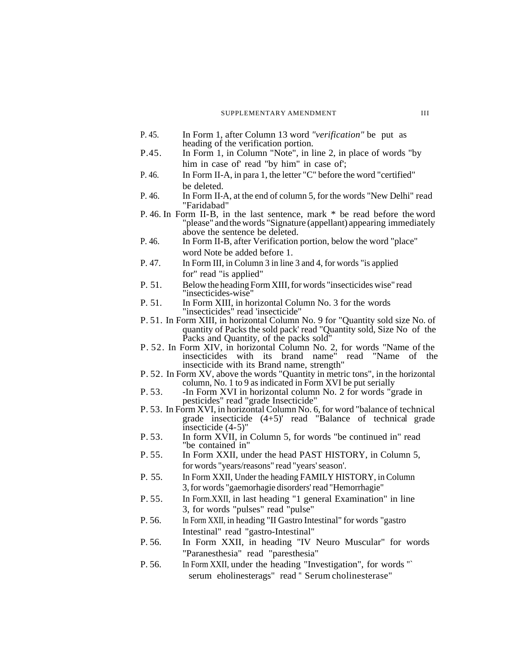#### SUPPLEMENTARY AMENDMENT III

- P. 45. In Form 1, after Column 13 word *"verification"* be put as heading of the verification portion.
- P.45. In Form 1, in Column "Note", in line 2, in place of words "by him in case of read "by him" in case of;
- P. 46. In Form II-A, in para 1, the letter "C" before the word "certified" be deleted.
- P. 46. In Form II-A, at the end of column 5, for the words "New Delhi" read "Faridabad"
- P. 46. In Form II-B, in the last sentence, mark \* be read before the word "please" and the words "Signature (appellant) appearing immediately above the sentence be deleted.
- P. 46. In Form II-B, after Verification portion, below the word "place" word Note be added before 1.
- P. 47. In Form III, in Column 3 in line 3 and 4, for words "is applied for" read "is applied"
- P. 51. Below the heading Form XIII, for words "insecticides wise" read "insecticides-wise"
- P. 51. In Form XIII, in horizontal Column No. 3 for the words "insecticides" read 'insecticide"
- P. 51. In Form XIII, in horizontal Column No. 9 for "Quantity sold size No. of quantity of Packs the sold pack' read "Quantity sold, Size No of the Packs and Quantity, of the packs sold"
- P. 52. In Form XIV, in horizontal Column No. 2, for words "Name of the insecticides with its brand name" read "Name of the insecticide with its Brand name, strength"
- P. 52. In Form XV, above the words "Quantity in metric tons", in the horizontal column, No. 1 to 9 as indicated in Form XVI be put serially
- P. 53. -In Form XVI in horizontal column No. 2 for words "grade in pesticides" read "grade Insecticide"
- P. 53. In Form XVI, in horizontal Column No. 6, for word "balance of technical grade insecticide (4+5)' read "Balance of technical grade insecticide (4-5)"
- P. 53. In form XVII, in Column 5, for words "be continued in" read "be contained in"
- P. 55. In Form XXII, under the head PAST HISTORY, in Column 5, for words "years/reasons" read "years' season'.
- P. 55. In Form XXII, Under the heading FAMILY HISTORY, in Column 3, for words "gaemorhagie disorders' read "Hemorrhagie"
- P. 55. In Form.XXII, in last heading "1 general Examination" in line 3, for words "pulses" read "pulse"
- P. 56. In Form XXII, in heading "II Gastro Intestinal" for words "gastro Intestinal" read "gastro-Intestinal"
- P. 56. In Form XXII, in heading "IV Neuro Muscular" for words "Paranesthesia" read "paresthesia"
- P. 56. In Form XXII, under the heading "Investigation", for words "` serum eholinesterags" read " Serum cholinesterase"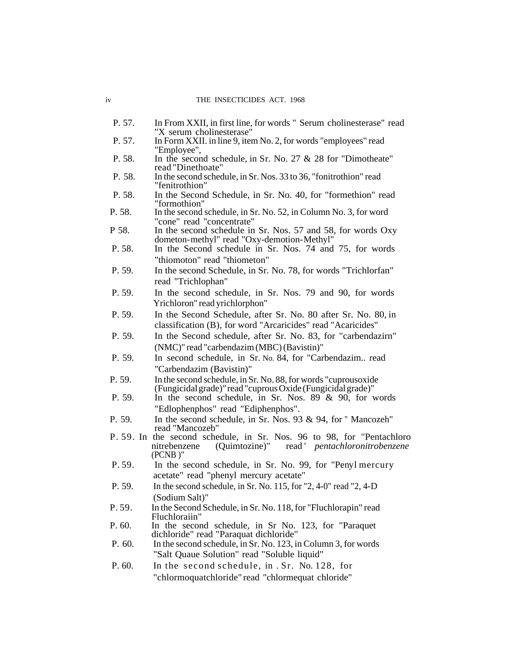- P. 57. In From XXII, in first line, for words " Serum cholinesterase" read "X serum cholinesterase"
- P. 57. In Form XXII. in line 9, item No. 2, for words "employees" read "Employee",
- P. 58. In the second schedule, in Sr. No. 27 & 28 for "Dimotheate" read "Dinethoate"
- P. 58. In the second schedule, in Sr. Nos. 33 to 36, "fonitrothion" read "fenitrothion"
- P. 58. In the Second Schedule, in Sr. No. 40, for "formethion" read "formothion"
- P. 58. In the second schedule, in Sr. No. 52, in Column No. 3, for word "cone" read "concentrate"
- P 58. In the second schedule in Sr. Nos. 57 and 58, for words Oxy dometon-methyl" read "Oxy-demotion-Methyl"
- P. 58. In the Second schedule in Sr. Nos. 74 and 75, for words "thiomoton" read "thiometon"
- P. 59. In the second Schedule, in Sr. No. 78, for words "Trichlorfan" read "Trichlophan"
- P. 59. In the second schedule, in Sr. Nos. 79 and 90, for words Yrichloron" read yrichlorphon"
- P. 59. In the Second Schedule, after Sr. No. 80 after Sr. No. 80, in classification (B), for word "Arcaricides" read "Acaricides"
- P. 59. In the Second schedule, after Sr. No. 83, for "carbendazirn" (NMC)" read "carbendazim (MBC) (Bavistin)"
- P. 59. In second schedule, in Sr. No. 84, for "Carbendazim.. read "Carbendazim (Bavistin)"
- P. 59. In the second schedule, in Sr. No. 88, for words "cuprousoxide (Fungicidal grade)" read "cuprous Oxide (Fungicidal grade)"
- P. 59. In the second schedule, in Sr. Nos.  $89^\circ$  & 90, for words "Edlophenphos" read "Ediphenphos".
- P. 59. In the second schedule, in Sr. Nos. 93 & 94, for " Mancozeh" read "Mancozeb"
- P. 59. In the second schedule, in Sr. Nos. 96 to 98, for "Pentachloro nitrebenzene (Quimtozine)" read *pentachloronitrobenzene* nitrebenzene (Quimtozine)" read ' *pentachloronitrobenzene*  (PCNB )"
- P. 59. In the second schedule, in Sr. No. 99, for "Penyl mercury acetate" read "phenyl mercury acetate"
- P. 59. In the second schedule, in Sr. No. 115, for "2, 4-0" read "2, 4-D (Sodium Salt)"
- P. 59. In the Second Schedule, in Sr. No. 118, for "Fluchlorapin" read Fluchloraiin"
- P. 60. In the second schedule, in Sr No. 123, for "Paraquet dichloride" read "Paraquat dichloride"
- P. 60. In the second schedule, in Sr. No. 123, in Column 3, for words "Salt Quaue Solution" read "Soluble liquid"
- P. 60. In the second schedule, in . Sr. No. 128, for "chlormoquatchloride" read "chlormequat chloride"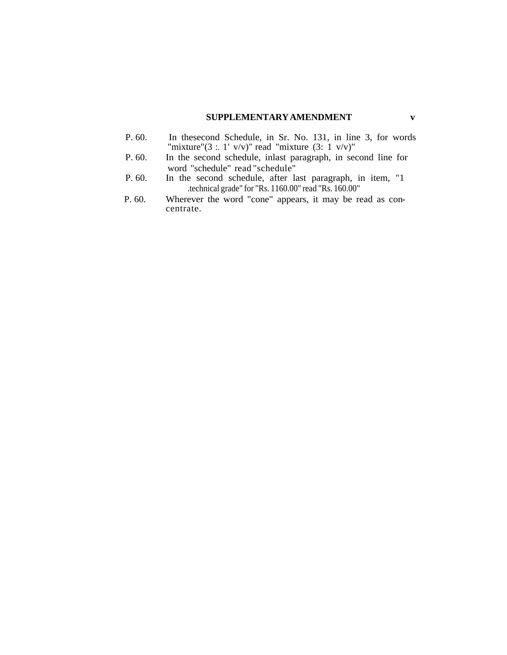# **SUPPLEMENTARY AMENDMENT v**

- P. 60. In thesecond Schedule, in Sr. No. 131, in line 3, for words "mixture"(3 : 1' v/v)" read "mixture (3: 1 v/v)"
- P. 60. In the second schedule, inlast paragraph, in second line for word "schedule" read "schedule"
- P. 60. In the second schedule, after last paragraph, in item, "1 .technical grade" for "Rs. 1160.00" read "Rs. 160.00"
- P. 60. Wherever the word "cone" appears, it may be read as concentrate.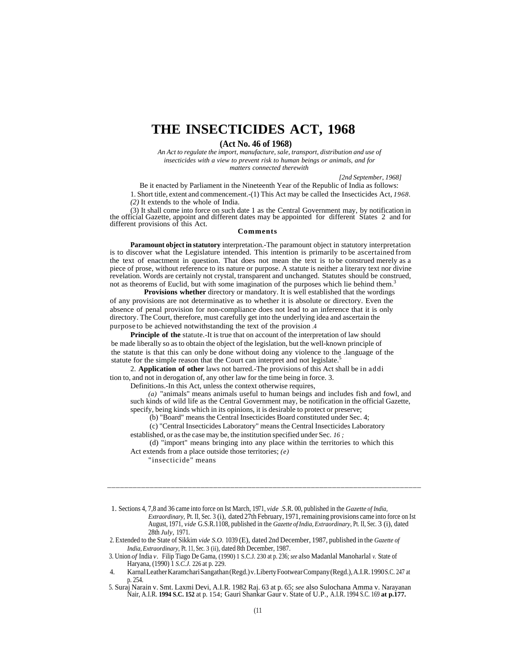# **THE INSECTICIDES ACT, 1968**

### **(Act No. 46 of 1968)**

*An Act to regulate the import, manufacture, sale, transport, distribution and use of insecticides with a view to prevent risk to human beings or animals, and for matters connected therewith*

*[2nd September, 1968]*

Be it enacted by Parliament in the Nineteenth Year of the Republic of India as follows: 1. Short title, extent and commencement.-(1) This Act may be called the Insecticides Act, *1968. (2)* It extends to the whole of India.

(3) It shall come into force on such date 1 as the Central Government may, by notification in the official Gazette, appoint and different dates may be appointed for different States 2 and for different provisions of this Act.

#### **Comments**

**Paramount object in statutory** interpretation.-The paramount object in statutory interpretation is to discover what the Legislature intended. This intention is primarily to be ascertained from the text of enactment in question. That does not mean the text is to be construed merely as a piece of prose, without reference to its nature or purpose. A statute is neither a literary text nor divine revelation. Words are certainly not crystal, transparent and unchanged. Statutes should be construed, not as theorems of Euclid, but with some imagination of the purposes which lie behind them.<sup>3</sup>

**Provisions whether** directory or mandatory. It is well established that the wordings of any provisions are not determinative as to whether it is absolute or directory. Even the absence of penal provision for non-compliance does not lead to an inference that it is only directory. The Court, therefore, must carefully get into the underlying idea and ascertain the purpose to be achieved notwithstanding the text of the provision .4

**Principle of the** statute.-It is true that on account of the interpretation of law should be made liberally so as to obtain the object of the legislation, but the well-known principle of the statute is that this can only be done without doing any violence to the .language of the statute for the simple reason that the Court can interpret and not legislate.<sup>5</sup>

2. **Application of other** laws not barred.-The provisions of this Act shall be in addi tion to, and not in derogation of, any other law for the time being in force. 3.

Definitions.-In this Act, unless the context otherwise requires,

*(a)* "animals" means animals useful to human beings and includes fish and fowl, and such kinds of wild life as the Central Government may, be notification in the official Gazette, specify, being kinds which in its opinions, it is desirable to protect or preserve;

(b) "Board" means the Central Insecticides Board constituted under Sec. 4;

(c) "Central Insecticides Laboratory" means the Central Insecticides Laboratory established, or as the case may be, the institution specified under Sec. *16 ;*

(d) "import" means bringing into any place within the territories to which this Act extends from a place outside those territories; *(e)*

\_\_\_\_\_\_\_\_\_\_\_\_\_\_\_\_\_\_\_\_\_\_\_\_\_\_\_\_\_\_\_\_\_\_\_\_\_\_\_\_\_\_\_\_\_\_\_\_\_\_\_\_\_\_\_\_\_\_\_\_\_\_\_\_\_\_\_\_\_\_\_\_\_\_

"insecticide" means

1. Sections 4, 7,8 and 36 came into force on Ist March, 1971, *vide* .S.R. 00, published in the *Gazette of India, Extraordinary,* Pt. II, Sec. 3 (i), dated 27th February, 1971, remaining provisions came into force on Ist August, 1971, *vide* G.S.R.1108, published in the *Gazette of India, Extraordinary,* Pt. II, Sec. 3 (i), dated 28th *July,* 1971.

2. Extended to the State of Sikkim *vide S.O.* 1039 (E), dated 2nd December, 1987, published in the *Gazette of India, Extraordinary,* Pt. 11, Sec. 3 (ii), dated 8th December, 1987.

 3. Union *of* India *v.* Filip Tiago De Gama, (1990) 1 S.C.J. 230 at p. 236; *see* also Madanlal Manoharlal *v.* State of Haryana, (1990) 1 *S.C.J.* 226 at p. 229.

4. Karnal Leather Karamchari Sangathan (Regd.) v. Liberty Footwear Company (Regd.), A.I.R. 1990 S.C. 247 at p. 254.

 5. Suraj Narain v. Smt. Laxmi Devi, A.I.R. 1982 Raj. 63 at p. 65; *see* also Sulochana Amma v. Narayanan Nair, A.I.R. **1994 S.C. 152** at p. 154; Gauri Shankar Gaur v. State of U.P., A.I.R. 1994 S.C. 169 **at p.177.**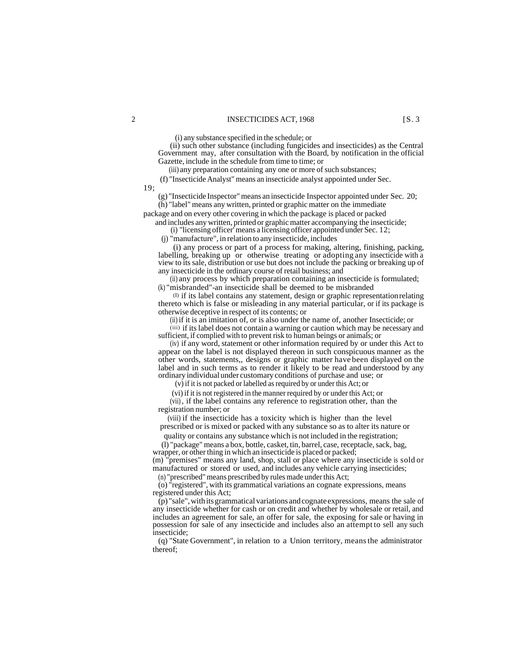(i) any substance specified in the schedule; or

(ii) such other substance (including fungicides and insecticides) as the Central Government may, after consultation with the Board, by notification in the official Gazette, include in the schedule from time to time; or

(iii) any preparation containing any one or more of such substances;

(f) "Insecticide Analyst" means an insecticide analyst appointed under Sec.

19;

(g) "Insecticide Inspector" means an insecticide Inspector appointed under Sec. 20; (h) "label" means any written, printed or graphic matter on the immediate

package and on every other covering in which the package is placed or packed and includes any written, printed or graphic matter accompanying the insecticide;

(i) "licensing officer' means a licensing officer appointed under Sec. 12;

(j) "manufacture", in relation to any insecticide, includes

(i) any process or part of a process for making, altering, finishing, packing, labelling, breaking up or otherwise treating or adopting any insecticide with a view to its sale, distribution or use but does not include the packing or breaking up of any insecticide in the ordinary course of retail business; and

(ii) any process by which preparation containing an insecticide is formulated; (k) "misbranded"-an insecticide shall be deemed to be misbranded

(I) if its label contains any statement, design or graphic representation relating thereto which is false or misleading in any material particular, or if its package is otherwise deceptive in respect of its contents; or

(ii) if it is an imitation of, or is also under the name of, another Insecticide; or

(iii) if its label does not contain a warning or caution which may be necessary and sufficient, if complied with to prevent risk to human beings or animals; or

(iv) if any word, statement or other information required by or under this Act to appear on the label is not displayed thereon in such conspicuous manner as the other words, statements,, designs or graphic matter have been displayed on the label and in such terms as to render it likely to be read and understood by any ordinary individual under customary conditions of purchase and use; or

(v) if it is not packed or labelled as required by or under this Act; or

(vi) if it is not registered in the manner required by or under this Act; or

(vii) , if the label contains any reference to registration other, than the registration number; or

(viii) if the insecticide has a toxicity which is higher than the level prescribed or is mixed or packed with any substance so as to alter its nature or

quality or contains any substance which is not included in the registration;

(l) "package" means a box, bottle, casket, tin, barrel, case, receptacle, sack, bag, wrapper, or other thing in which an insecticide is placed or packed;

(m) "premises" means any land, shop, stall or place where any insecticide is sold or manufactured or stored or used, and includes any vehicle carrying insecticides;

(n) "prescribed" means prescribed by rules made under this Act;

(o) "registered", with its grammatical variations an cognate expressions, means registered under this Act;

(p) "sale", with its grammatical variations and cognate expressions, means the sale of any insecticide whether for cash or on credit and whether by wholesale or retail, and includes an agreement for sale, an offer for sale, the exposing for sale or having in possession for sale of any insecticide and includes also an attempt to sell any such insecticide;

(q) "State Government", in relation to a Union territory, means the administrator thereof;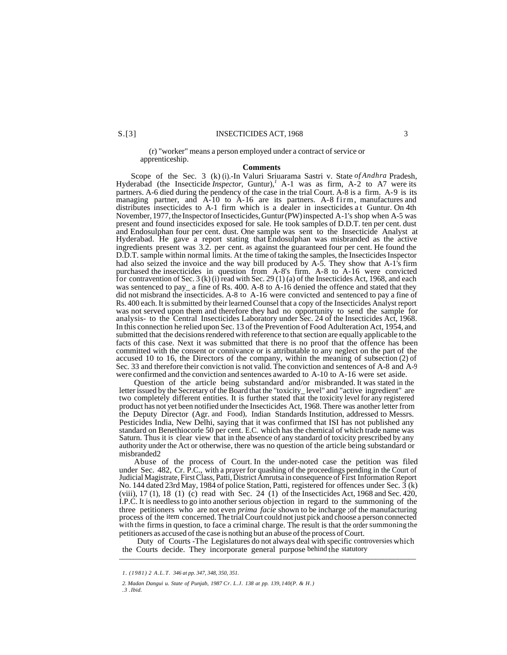S.[3] INSECTICIDES ACT, 1968 3

#### (r) "worker" means a person employed under a contract of service or apprenticeship.

#### **Comments**

Scope of the Sec. 3 (k) (i).-In Valuri Sriuarama Sastri v. State *of Andhra* Pradesh, Hyderabad (the Insecticide *Inspector*, Guntur),<sup>1</sup> A-1 was as firm, A-2 to A7 were its partners. A-6 died during the pendency of the case in the trial Court. A-8 is a firm. A-9 is its managing partner, and A-10 to A-16 are its partners. A-8 firm, manufactures and distributes insecticides to A-1 firm which is a dealer in insecticides at Guntur. On 4th November, 1977, the Inspector of Insecticides, Guntur (PW) inspected A-1's shop when A-5 was present and found insecticides exposed for sale. He took samples of D.D.T. ten per cent. dust and Endosulphan four per cent. dust. One sample was sent to the Insecticide Analyst at Hyderabad. He gave a report stating that Endosulphan was misbranded as the active ingredients present was 3.2. per cent. as against the guaranteed four per cent. He found the D.D.T. sample within normal limits. At the time of taking the samples, the Insecticides Inspector had also seized the invoice and the way bill produced by A-5. They show that A-1's firm purchased the insecticides in question from A-8's firm. A-8 to A-16 were convicted for contravention of Sec. 3 (k) (i) read with Sec. 29 (1) (a) of the Insecticides Act, 1968, and each was sentenced to pay\_ a fine of Rs. 400. A-8 to A-16 denied the offence and stated that they did not misbrand the insecticides. A-8 to A-16 were convicted and sentenced to pay a fine of Rs. 400 each. It is submitted by their learned Counsel that a copy of the Insecticides Analyst report was not served upon them and therefore they had no opportunity to send the sample for analysis- to the Central Insecticides Laboratory under Sec. 24 of the Insecticides Act, 1968. In this connection he relied upon Sec. 13 of the Prevention of Food Adulteration Act, 1954, and submitted that the decisions rendered with reference to that section are equally applicable to the facts of this case. Next it was submitted that there is no proof that the offence has been committed with the consent or connivance or is attributable to any neglect on the part of the accused 10 to 16, the Directors of the company, within the meaning of subsection (2) of Sec. 33 and therefore their conviction is not valid. The conviction and sentences of A-8 and A-9 were confirmed and the conviction and sentences awarded to A-10 to A-16 were set aside.

Question of the article being substandard and/or misbranded. It was stated in the letter issued by the Secretary of the Board that the "toxicity\_ level" and "active ingredient" are two completely different entities. It is further stated that the toxicity level for any registered product has not yet been notified under the Insecticides Act, 1968. There was another letter from the Deputy Director (Agr. and Food), Indian Standards Institution, addressed to Messrs. Pesticides India, New Delhi, saying that it was confirmed that ISI has not published any standard on Benethiocorle 50 per cent. E.C. which has the chemical of which trade name was Saturn. Thus it is clear view that in the absence of any standard of toxicity prescribed by any authority under the Act or otherwise, there was no question of the article being substandard or misbranded2

Abuse of the process of Court. In the under-noted case the petition was filed under Sec. 482, Cr. P.C., with a prayer for quashing of the proceedings pending in the Court of Judicial Magistrate, First Class, Patti, District Amrutsa in consequence of First Information Report No. 144 dated 23rd May, 1984 of police Station, Patti, registered for offences under Sec. 3 (k) (viii), 17 (1), 18 (1) (c) read with Sec. 24 (1) of the Insecticides Act, 1968 and Sec. 420, I.P.C. It is needless to go into another serious objection in regard to the summoning of the three petitioners who are not even *prima facie* shown to be incharge ;of the manufacturing process of the item concerned. The trial Court could not just pick and choose a person connected with the firms in question, to face a criminal charge. The result is that the order summoning the petitioners as accused of the case is nothing but an abuse of the process of Court.

Duty of Courts -The Legislatures do not always deal with specific controversies which the Courts decide. They incorporate general purpose behind the statutory  $\frac{1}{2}$  ,  $\frac{1}{2}$  ,  $\frac{1}{2}$  ,  $\frac{1}{2}$  ,  $\frac{1}{2}$  ,  $\frac{1}{2}$  ,  $\frac{1}{2}$  ,  $\frac{1}{2}$  ,  $\frac{1}{2}$  ,  $\frac{1}{2}$  ,  $\frac{1}{2}$  ,  $\frac{1}{2}$  ,  $\frac{1}{2}$  ,  $\frac{1}{2}$  ,  $\frac{1}{2}$  ,  $\frac{1}{2}$  ,  $\frac{1}{2}$  ,  $\frac{1}{2}$  ,  $\frac{1$ 

*<sup>1. (1981) 2</sup> A.L.T. 346 at pp. 347, 348, 350, 351.*

*<sup>2.</sup> Madan Dangui u. State of Punjab, 1987 Cr. L.J. 138 at pp. 139, 140(P. & H.) .3 .Ibid.*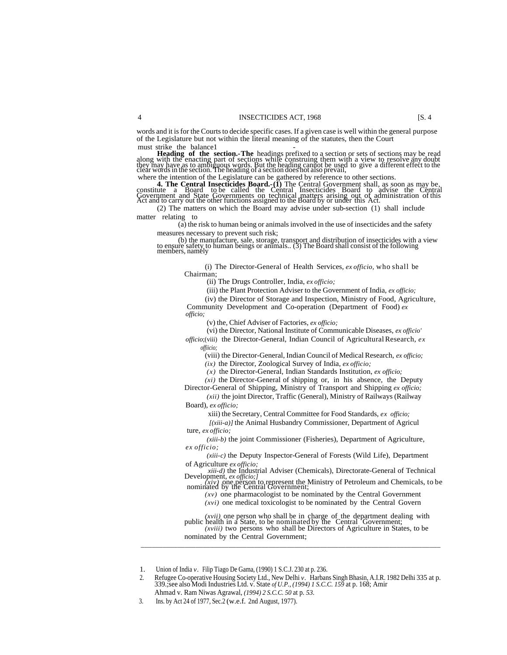words and it is for the Courts to decide specific cases. If a given case is well within the general purpose of the Legislature but not within the literal meaning of the statutes, then the Court must strike the balance1 -

**Heading of the section. The** headings prefixed to a section or sets of sections may be read<br>along with the enacting part of sections while construing them with a view to resolve any doubt<br>they may have as to ambiguous wor

where the intention of the Legislature can be gathered by reference to other sections.

**4. The Central Insecticides Board.** (I) The Central Government shall, as soon as may be, constitute a Board to be called the Central Insecticides Board to advise the Central Government and State Governments on technical

(2) The matters on which the Board may advise under sub-section (1) shall include matter relating to

(a) the risk to human being or animals involved in the use of insecticides and the safety measures necessary to prevent such risk;

(b) the manufacture, sale, storage, transport and distribution of insecticides with a view to ensure safety to human beings or animals.. (3) The Board shall consist of the following members, namely

(i) The Director-General of Health Services, *ex officio,* who shall be Chairman;

(ii) The Drugs Controller, India, *ex officio;*

(iii) the Plant Protection Adviser to the Government of India, *ex officio;*

(iv) the Director of Storage and Inspection, Ministry of Food, Agriculture, Community Development and Co-operation (Department of Food) *ex officio;*

(v) the, Chief Adviser of Factories, *ex officio;*

(vi) the Director, National Institute of Communicable Diseases, *ex officio'*

*officio*;(viii) the Director-General, Indian Council of Agricultural Research, *ex offiicio;*

(viii) the Director-General, Indian Council of Medical Research, *ex officio;* 

*(ix)* the Director, Zoological Survey of India, *ex officio;*

*(x)* the Director-General, Indian Standards Institution, *ex officio;*

 $(x_i)$  the Director-General of shipping or, in his absence, the Deputy

Director-General of Shipping, Ministry of Transport and Shipping *ex officio; (xii)* the joint Director, Traffic (General), Ministry of Railways (Railway Board), *ex officio;*

xiii) the Secretary, Central Committee for Food Standards, *ex officio;*

*[(xiii-a)]* the Animal Husbandry Commissioner, Department of Agricul ture, *ex officio;*

*(xiii-b)* the joint Commissioner (Fisheries), Department of Agriculture, *ex officio;*

*(xiii-c)* the Deputy Inspector-General of Forests (Wild Life), Department of Agriculture *ex officio;*

*xiii-d)* the Industrial Adviser (Chemicals), Directorate-General of Technical

Development, *ex officio;*<br> *(xiv)* one person to represent the Ministry of Petroleum and Chemicals, to be nominated by the Central Government; *(xv)* one pharmacologist to be nominated by the Central Government

*(xvi)* one medical toxicologist to be nominated by the Central Govern

*(xvii)* one person who shall be in charge of the department dealing with public health in a State, to be nominated by the Central Government; *(xviii)* two persons who shall be Directors of Agriculture in States, to be

nominated by the Central Government; *\_\_\_\_\_\_\_\_\_\_\_\_\_\_\_\_\_\_\_\_\_\_\_\_\_\_\_\_\_\_\_\_\_\_\_\_\_\_\_\_\_\_\_\_\_\_\_\_\_\_\_\_\_\_\_\_\_\_\_\_\_\_\_\_\_\_\_\_\_\_\_\_\_\_\_\_\_\_\_\_\_\_*

1. Union of India *v.* Filip Tiago De Gama, (1990) 1 S.C.J. 230 at p. 236.

2. Refugee Co-operative Housing Society Ltd., New Delhi *v.* Harbans Singh Bhasin, A.I.R. 1982 Delhi 335 at p. 339.;see also Modi Industries Ltd. v. State *of U.P., (1994) 1 S.C.C. 159* at p. 168; Amir Ahmad v. Ram Niwas Agrawal, *(1994) 2 S.C.C. 50* at p. *53.*

<sup>3.</sup> Ins. by Act 24 of 1977, Sec.2 (w.e.f. 2nd August, 1977).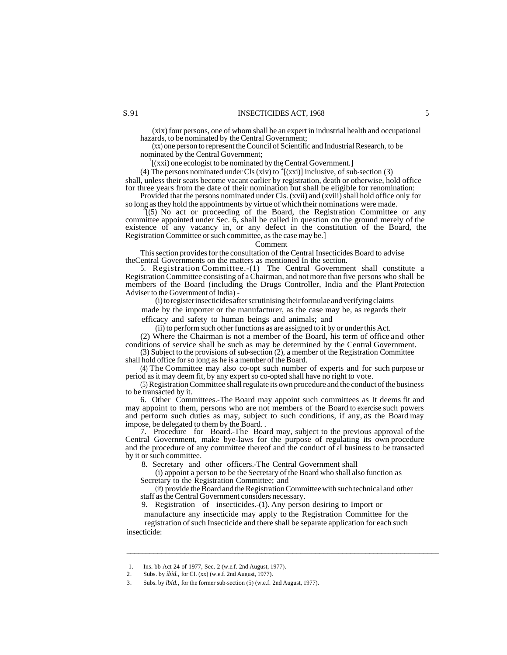(xix) four persons, one of whom shall be an expert in industrial health and occupational hazards, to be nominated by the Central Government;

(xx) one person to represent the Council of Scientific and Industrial Research, to be nominated by the Central Government;

 $1$ [(xxi) one ecologist to be nominated by the Central Government.]

(4) The persons nominated under Cls (xiv) to <sup>2</sup>[(xxi)] inclusive, of sub-section (3) shall, unless their seats become vacant earlier by registration, death or otherwise, hold office for three years from the date of their nomination but shall be eligible for renomination:

Provided that the persons nominated under Cls. (xvii) and (xviii) shall hold office only for so long as they hold the appointments by virtue of which their nominations were made.

<sup>5</sup><sup>2</sup>(5) No act or proceeding of the Board, the Registration Committee or any committee appointed under Sec. 6, shall be called in question on the ground merely of the existence of any vacancy in, or any defect in the constitution of the Board, the Registration Committee or such committee, as the case may be.]

Comment

This section provides for the consultation of the Central Insecticides Board to advise theCentral Governments on the matters as mentioned In the section.

5. Registration Committee.-(1) The Central Government shall constitute a Registration Committee consisting of a Chairman, and not more than five persons who shall be members of the Board (including the Drugs Controller, India and the Plant Protection Adviser to the Government of India) -

(i) to register insecticides after scrutinising their formulae and verifying claims

made by the importer or the manufacturer, as the case may be, as regards their efficacy and safety to human beings and animals; and

(ii) to perform such other functions as are assigned to it by or under this Act.

(2) Where the Chairman is not a member of the Board, his term of office and other conditions of service shall be such as may be determined by the Central Government.

(3) Subject to the provisions of sub-section (2), a member of the Registration Committee shall hold office for so long as he is a member of the Board.

(4) The Committee may also co-opt such number of experts and for such purpose or period as it may deem fit, by any expert so co-opted shall have no right to vote.

(5) Registration Committee shall regulate its own procedure and the conduct of the business to be transacted by it.

6. Other Committees.-The Board may appoint such committees as It deems fit and may appoint to them, persons who are not members of the Board to exercise such powers and perform such duties as may, subject to such conditions, if any, as the Board may impose, be delegated to them by the Board. .

7. Procedure for Board.-The Board may, subject to the previous approval of the Central Government, make bye-laws for the purpose of regulating its own procedure and the procedure of any committee thereof and the conduct of all business to be transacted by it or such committee.

8. Secretary and other officers.-The Central Government shall

(i) appoint a person to be the Secretary of the Board who shall also function as Secretary to the Registration Committee; and

(if) provide the Board and the Registration Committee with such technical and other staff as the Central Government considers necessary.

\_\_\_\_\_\_\_\_\_\_\_\_\_\_\_\_\_\_\_\_\_\_\_\_\_\_\_\_\_\_\_\_\_\_\_\_\_\_\_\_\_\_\_\_\_\_\_\_\_\_\_\_\_\_\_\_\_\_\_\_\_\_\_\_\_\_\_\_\_\_\_\_\_\_\_\_\_\_\_\_\_

9. Registration of insecticides.-(1). Any person desiring to Import or

manufacture any insecticide may apply to the Registration Committee for the registration of such Insecticide and there shall be separate application for each such insecticide:

<sup>1.</sup> Ins. bb Act 24 of 1977, Sec. 2 (w.e.f. 2nd August, 1977).

<sup>2.</sup> Subs. by *ibid.,* for CI. (xx) (w.e.f. 2nd August, 1977).

<sup>3.</sup> Subs. by *ibid.,* for the former sub-section (5) (w.e.f. 2nd August, 1977).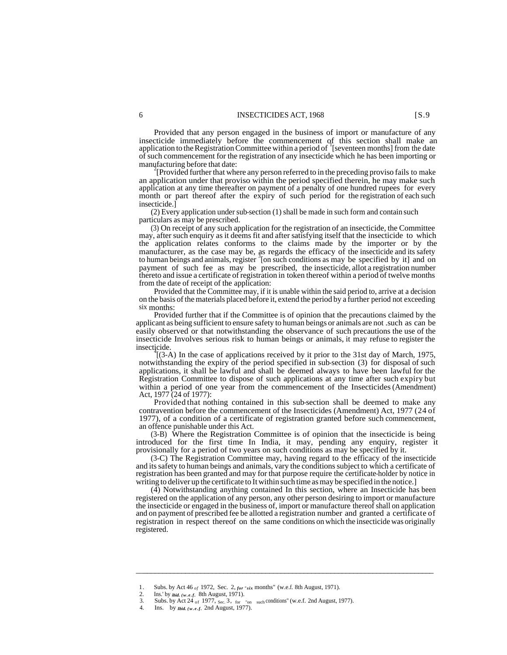Provided that any person engaged in the business of import or manufacture of any insecticide immediately before the commencement of this section shall make an application to the Registration Committee within a period of '[seventeen months] from the date of such commencement for the registration of any insecticide which he has been importing or manufacturing before that date:

<sup>2</sup> Provided further that where any person referred to in the preceding proviso fails to make an application under that proviso within the period specified therein, he may make such application at any time thereafter on payment of a penalty of one hundred rupees for every month or part thereof after the expiry of such period for the registration of each such insecticide.]

(2) Every application under sub-section (1) shall be made in such form and contain such particulars as may be prescribed.

(3) On receipt of any such application for the registration of an insecticide, the Committee may, after such enquiry as it deems fit and after satisfying itself that the insecticide to which the application relates conforms to the claims made by the importer or by the manufacturer, as the case may be, as regards the efficacy of the insecticide and its safety to human beings and animals, register <sup>3</sup> [on such conditions as may be specified by it] and on payment of such fee as may be prescribed, the insecticide, allot a registration number thereto and issue a certificate of registration in token thereof within a period of twelve months from the date of receipt of the application:

Provided that the Committee may, if it is unable within the said period to, arrive at a decision on the basis of the materials placed before it, extend the period by a further period not exceeding six months:

Provided further that if the Committee is of opinion that the precautions claimed by the applicant as being sufficient to ensure safety to human beings or animals are not .such as can be easily observed or that notwithstanding the observance of such precautions the use of the insecticide Involves serious risk to human beings or animals, it may refuse to register the insecticide. <sup>4</sup>

[(3-A) In the case of applications received by it prior to the 31st day of March, 1975, notwithstanding the expiry of the period specified in sub-section (3) for disposal of such applications, it shall be lawful and shall be deemed always to have been lawful for the Registration Committee to dispose of such applications at any time after such expiry but within a period of one year from the commencement of the Insecticides (Amendment) Act, 1977 (24 of 1977):

Provided that nothing contained in this sub-section shall be deemed to make any contravention before the commencement of the Insecticides (Amendment) Act, 1977 (24 of 1977), of a condition of a certificate of registration granted before such commencement, an offence punishable under this Act.

(3-B) Where the Registration Committee is of opinion that the insecticide is being introduced for the first time In India, it may, pending any enquiry, register it provisionally for a period of two years on such conditions as may be specified by it.

(3-C) The Registration Committee may, having regard to the efficacy of the insecticide and its safety to human beings and animals, vary the conditions subject to which a certificate of registration has been granted and may for that purpose require the certificate-holder by notice in writing to deliver up the certificate to It within such time as may be specified in the notice.]

(4) Notwithstanding anything contained In this section, where an Insecticide has been registered on the application of any person, any other person desiring to import or manufacture the insecticide or engaged in the business of, import or manufacture thereof shall on application and on payment of prescribed fee be allotted a registration number and granted a certificate of registration in respect thereof on the same conditions on which the insecticide was originally registered.

\_\_\_\_\_\_\_\_\_\_\_\_\_\_\_\_\_\_\_\_\_\_\_\_\_\_\_\_\_\_\_\_\_\_\_\_\_\_\_\_\_\_\_\_\_\_\_\_\_\_\_\_\_\_\_\_\_\_\_\_\_\_\_\_\_\_\_\_\_\_\_\_\_\_\_\_\_\_

<sup>1.</sup> Subs. by Act 46 *of* 1972, Sec. 2, *for "six* months" (w.e.f. 8th August, 1971).<br>2. Ins 'by ikid (w.e.f. 8th August 1971).

 <sup>2.</sup> Ins.' by *ibid. (w.e.f.* 8th August, 1971).

<sup>3.</sup> Subs. by Act 24 of 1977,  $\sec 3$ ,  $\cot$  "on  $\sec$  conditions" (w.e.f. 2nd August, 1977).

<sup>4.</sup> Ins. by *Ibid. (w.e.f.* 2nd August, 1977).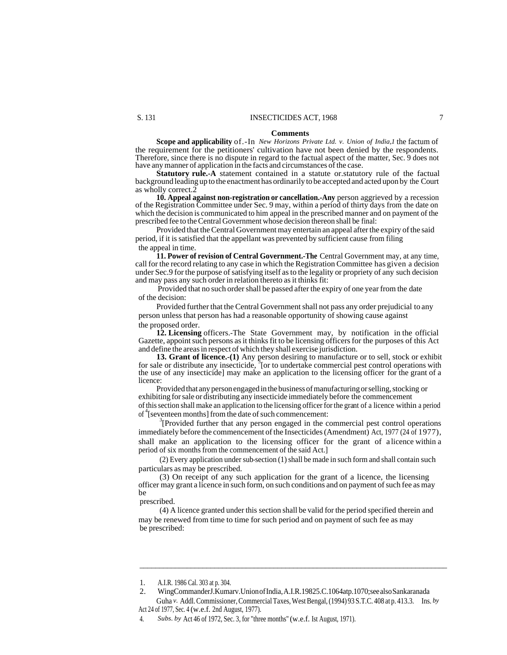#### **Comments**

**Scope and applicability** of.-In *New Horizons Private Ltd. v. Union of India,1* the factum of the requirement for the petitioners' cultivation have not been denied by the respondents. Therefore, since there is no dispute in regard to the factual aspect of the matter, Sec. 9 does not have any manner of application in the facts and circumstances of the case.

**Statutory rule.-A** statement contained in a statute or.statutory rule of the factual background leading up to the enactment has ordinarily to be accepted and acted upon by the Court as wholly correct.2

**10. Appeal against non-registration or cancellation.-Any** person aggrieved by a recession of the Registration Committee under Sec. 9 may, within a period of thirty days from the date on which the decision is communicated to him appeal in the prescribed manner and on payment of the prescribed fee to the Central Government whose decision thereon shall be final:

Provided that the Central Government may entertain an appeal after the expiry of the said period, if it is satisfied that the appellant was prevented by sufficient cause from filing the appeal in time.

**11. Power of revision of Central Government.-The** Central Government may, at any time, call for the record relating to any case in which the Registration Committee has given a decision under Sec.9 for the purpose of satisfying itself as to the legality or propriety of any such decision and may pass any such order in relation thereto as it thinks fit:

Provided that no such order shall be passed after the expiry of one year from the date of the decision:

Provided further that the Central Government shall not pass any order prejudicial to any person unless that person has had a reasonable opportunity of showing cause against the proposed order.

**12. Licensing** officers.-The State Government may, by notification in the official Gazette, appoint such persons as it thinks fit to be licensing officers for the purposes of this Act and define the areas in respect of which they shall exercise jurisdiction.

**13. Grant of licence.-(1)** Any person desiring to manufacture or to sell, stock or exhibit for sale or distribute any insecticide,  $\frac{1}{2}$  for to undertake commercial pest control operations with the use of any insecticide] may make an application to the licensing officer for the grant of a licence:

Provided that any person engaged in the business of manufacturing or selling, stocking or exhibiting for sale or distributing any insecticide immediately before the commencement of this section shall make an application to the licensing officer for the grant of a licence within a period of<sup>4</sup>[seventeen months] from the date of such commencement:

<sup>3</sup>[Provided further that any person engaged in the commercial pest control operations immediately before the commencement of the Insecticides (Amendment) Act, 1977 (24 of 1977), shall make an application to the licensing officer for the grant of a licence within a period of six months from the commencement of the said Act.]

(2) Every application under sub-section (1) shall be made in such form and shall contain such particulars as may be prescribed.

(3) On receipt of any such application for the grant of a licence, the licensing officer may grant a licence in such form, on such conditions and on payment of such fee as may be

prescribed.

(4) A licence granted under this section shall be valid for the period specified therein and may be renewed from time to time for such period and on payment of such fee as may be prescribed:

\_\_\_\_\_\_\_\_\_\_\_\_\_\_\_\_\_\_\_\_\_\_\_\_\_\_\_\_\_\_\_\_\_\_\_\_\_\_\_\_\_\_\_\_\_\_\_\_\_\_\_\_\_\_\_\_\_\_\_\_\_\_\_\_\_\_\_\_\_\_\_\_\_\_\_\_\_\_

<sup>1.</sup> A.I.R. 1986 Cal. 303 at p. 304.

<sup>2.</sup> WingCommanderJ.Kumarv.Union of India, A.I.R.19825.C.1064atp.1070;see also Sankaranada Guha *v*. Addl. Commissioner, Commercial Taxes, West Bengal, (1994) 93 S.T.C. 408 at p. 413.3. Ins. *by* 

Act 24 of 1977, Sec. 4 (w.e.f. 2nd August, 1977).

<sup>4.</sup> *Subs. by* Act 46 of 1972, Sec. 3, for "three months" (w.e.f. Ist August, 1971).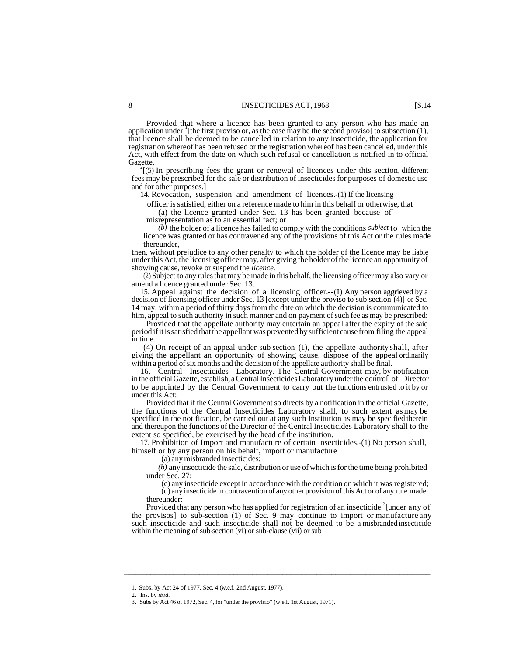Provided that where a licence has been granted to any person who has made an application under <sup>1</sup>[the first proviso or, as the case may be the second proviso] to subsection (1), application under <sup>1</sup>[the first proviso or, as the case may be the second proviso] to subsection (1), that licence shall be deemed to be cancelled in relation to any insecticide, the application for registration whereof has been refused or the registration whereof has been cancelled, under this Act, with effect from the date on which such refusal or cancellation is notified in to official Gazette.

 $\frac{2}{15}$ [(5) In prescribing fees the grant or renewal of licences under this section, different fees may be prescribed for the sale or distribution of insecticides for purposes of domestic use and for other purposes.]

14. Revocation, suspension and amendment of licences.-(1) If the licensing

officer is satisfied, either on a reference made to him in this behalf or otherwise, that

(a) the licence granted under Sec. 13 has been granted because of`

misrepresentation as to an essential fact; or

*(b)* the holder of a licence has failed to comply with the conditions *subject* to which the licence was granted or has contravened any of the provisions of this Act or the rules made thereunder,

then, without prejudice to any other penalty to which the holder of the licence may be liable under this Act, the licensing officer may, after giving the holder of the licence an opportunity of showing cause, revoke or suspend the *licence.*

(2) Subject to any rules that may be made in this behalf, the licensing officer may also vary or amend a licence granted under Sec. 13.

15. Appeal against the decision of a licensing officer.--(I) Any person aggrieved by a decision of licensing officer under Sec. 13 [except under the proviso to sub-section (4)] or Sec. 14 may, within a period of thirty days from the date on which the decision is communicated to him, appeal to such authority in such manner and on payment of such fee as may be prescribed:

Provided that the appellate authority may entertain an appeal after the expiry of the said period if it is satisfied that the appellant was prevented by sufficient cause from filing the appeal in time.

(4) On receipt of an appeal under sub-section (1), the appellate authority shall, after giving the appellant an opportunity of showing cause, dispose of the appeal ordinarily within a period of six months and the decision of the appellate authority shall be final.

16. Central Insecticides Laboratory.-The Central Government may, by notification in the official Gazette, establish, a Central Insecticides Laboratory under the control of Director to be appointed by the Central Government to carry out the functions entrusted to it by or under this Act:

Provided that if the Central Government so directs by a notification in the official Gazette, the functions of the Central Insecticides Laboratory shall, to such extent as may be specified in the notification, be carried out at any such Institution as may be specified therein and thereupon the functions of the Director of the Central Insecticides Laboratory shall to the extent so specified, be exercised by the head of the institution.

17. Prohibition of Import and manufacture of certain insecticides.-(1) No person shall, himself or by any person on his behalf, import or manufacture

(a) any misbranded insecticides;

*(b)* any insecticide the sale, distribution or use of which is for the time being prohibited under Sec. 27;

(c) any insecticide except in accordance with the condition on which it was registered; (d) any insecticide in contravention of any other provision of this Act or of any rule made thereunder:

Provided that any person who has applied for registration of an insecticide <sup>3</sup> [under any of the provisos] to sub-section (1) of Sec. 9 may continue to import or manufacture any such insecticide and such insecticide shall not be deemed to be a misbranded insecticide within the meaning of sub-section (vi) or sub-clause (vii) or sub

\_\_\_\_\_\_\_\_\_\_\_\_\_\_\_\_\_\_\_\_\_\_\_\_\_\_\_\_\_\_\_\_\_\_\_\_\_\_\_\_\_\_\_\_\_\_\_\_\_\_\_\_\_\_\_\_\_\_\_\_\_\_\_\_\_\_\_\_\_\_\_\_\_\_\_\_\_\_\_\_\_

<sup>1.</sup> Subs. by Act 24 of 1977, Sec. 4 (w.e.f. 2nd August, 1977).

<sup>2.</sup> Ins. by *ibid.*

<sup>3.</sup> Subs by Act 46 of 1972, Sec. 4, for "under the provlsio" (w.e.f. 1st August, 1971).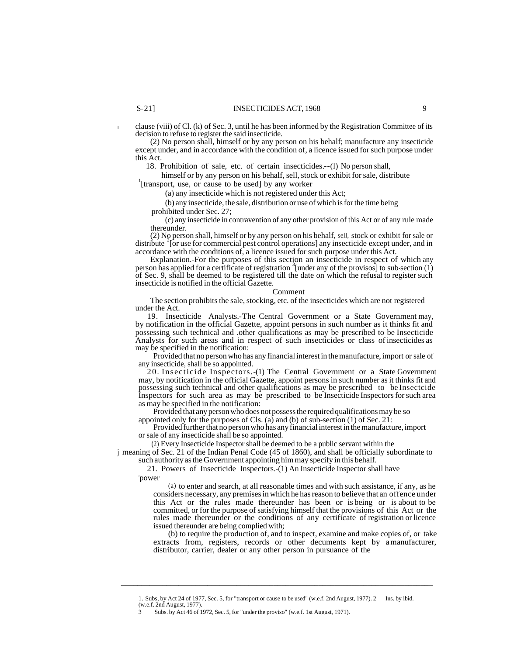I clause (viii) of Cl. (k) of Sec. 3, until he has been informed by the Registration Committee of its decision to refuse to register the said insecticide.

(2) No person shall, himself or by any person on his behalf; manufacture any insecticide except under, and in accordance with the condition of, a licence issued for such purpose under this Act.

18. Prohibition of sale, etc. of certain insecticides.--(l) No person shall,

himself or by any person on his behalf, sell, stock or exhibit for sale, distribute <sup>1</sup>[transport, use, or cause to be used] by any worker

(a) any insecticide which is not registered under this Act;

(b) any insecticide, the sale, distribution or use of which is for the time being prohibited under Sec. 27;

(c) any insecticide in contravention of any other provision of this Act or of any rule made thereunder.

(2) No person shall, himself or by any person on his behalf, sell, stock or exhibit for sale or distribute <sup>2</sup> [or use for commercial pest control operations] any insecticide except under, and in accordance with the conditions of, a licence issued for such purpose under this Act.

Explanation.-For the purposes of this section an insecticide in respect of which any person has applied for a certificate of registration <sup>3</sup> [under any of the provisos] to sub-section (1) of Sec. 9, shall be deemed to be registered till the date on which the refusal to register such insecticide is notified in the official Gazette.

#### Comment

The section prohibits the sale, stocking, etc. of the insecticides which are not registered under the Act.

19. Insecticide Analysts.-The Central Government or a State Government may, by notification in the official Gazette, appoint persons in such number as it thinks fit and possessing such technical and .other qualifications as may be prescribed to be Insecticide Analysts for such areas and in respect of such insecticides or class of insecticides as may be specified in the notification:

Provided that no person who has any financial interest in the manufacture, import or sale of any insecticide, shall be so appointed.

20. Insecticide Inspectors.-(1) The Central Government or a State Government may, by notification in the official Gazette, appoint persons in such number as it thinks fit and possessing such technical and other qualifications as may be prescribed to be Insectcide Inspectors for such area as may be prescribed to be Insecticide Inspectors for such area as may be specified in the notification:

Provided that any person who does not possess the required qualifications may be so appointed only for the purposes of Cls. (a) and (b) of sub-section  $(1)$  of Sec. 21:

Provided further that no person who has any financial interest in the manufacture, import or sale of any insecticide shall be so appointed.

(2) Every Insecticide Inspector shall be deemed to be a public servant within the

j meaning of Sec. 21 of the Indian Penal Code (45 of 1860), and shall be officially subordinate to such authority as the Government appointing him may specify in this behalf.

21. Powers of Insecticide Inspectors.-(1) An Insecticide Inspector shall have , power

(a) to enter and search, at all reasonable times and with such assistance, if any, as he considers necessary, any premises in which he has reason to believe that an offence under this Act or the rules made thereunder has been or is being or is about to be committed, or for the purpose of satisfying himself that the provisions of this Act or the rules made thereunder or the conditions of any certificate of registration or licence issued thereunder are being complied with;

(b) to require the production of, and to inspect, examine and make copies of, or take extracts from, registers, records or other decuments kept by a manufacturer, distributor, carrier, dealer or any other person in pursuance of the

 $\overline{\phantom{a}}$  , and the contribution of the contribution of the contribution of the contribution of the contribution of the contribution of the contribution of the contribution of the contribution of the contribution of the

<sup>1.</sup> Subs, by Act 24 of 1977, Sec. 5, for "transport or cause to be used" (w.e.f. 2nd August, 1977). 2 Ins. by ibid. (w.e.f. 2nd August, 1977).

<sup>3</sup> Subs. by Act 46 of 1972, Sec. 5, for "under the proviso" (w.e.f. 1st August, 1971).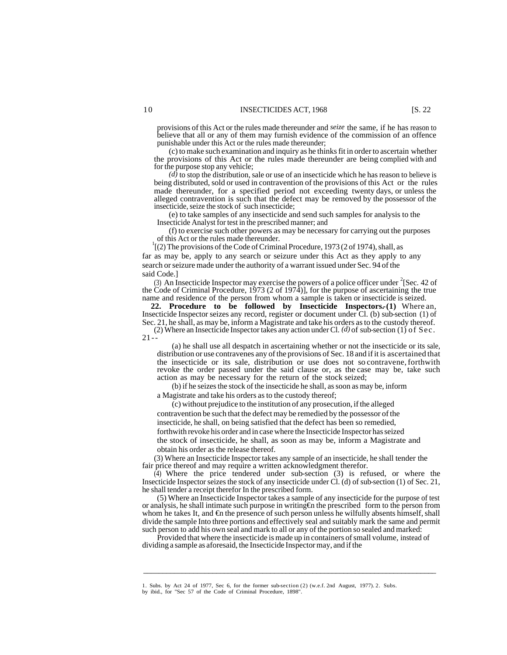provisions of this Act or the rules made thereunder and *seize* the same, if he has reason to believe that all or any of them may furnish evidence of the commission of an offence punishable under this Act or the rules made thereunder;

(c) to make such examination and inquiry as he thinks fit in order to ascertain whether the provisions of this Act or the rules made thereunder are being complied with and for the purpose stop any vehicle;

*(d)* to stop the distribution, sale or use of an insecticide which he has reason to believe is being distributed, sold or used in contravention of the provisions of this Act or the rules made thereunder, for a specified period not exceeding twenty days, or unless the alleged contravention is such that the defect may be removed by the possessor of the insecticide, seize the stock of such insecticide;

(e) to take samples of any insecticide and send such samples for analysis to the Insecticide Analyst for test in the prescribed manner; and

(f) to exercise such other powers as may be necessary for carrying out the purposes of this Act or the rules made thereunder.

<sup>1</sup>[(2) The provisions of the Code of Criminal Procedure, 1973 (2 of 1974), shall, as far as may be, apply to any search or seizure under this Act as they apply to any search or seizure made under the authority of a warrant issued under Sec. 94 of the said Code.]

(3) An Insecticide Inspector may exercise the powers of a police officer under  $2$ [Sec. 42 of the Code of Criminal Procedure, 1973 (2 of 1974)], for the purpose of ascertaining the true name and residence of the person from whom a sample is taken or insecticide is seized.

**22. Procedure to be followed by Insecticide Inspectors.-(1)** Where an, Insecticide Inspector seizes any record, register or document under Cl. (b) sub-section (1) of Sec. 21, he shall, as may be, inform a Magistrate and take his orders as to the custody thereof. (2) Where an Insecticide Inspector takes any action under Cl. *(d)* of sub-section (1) of Sec.

 $21 -$ 

(a) he shall use all despatch in ascertaining whether or not the insecticide or its sale, distribution or use contravenes any of the provisions of Sec. 18 and if it is ascertained that the insecticide or its sale, distribution or use does not so contravene, forthwith revoke the order passed under the said clause or, as the case may be, take such action as may be necessary for the return of the stock seized;

(b) if he seizes the stock of the insecticide he shall, as soon as may be, inform a Magistrate and take his orders as to the custody thereof;

(c) without prejudice to the institution of any prosecution, if the alleged contravention be such that the defect may be remedied by the possessor of the insecticide, he shall, on being satisfied that the defect has been so remedied, forthwith revoke his order and in case where the Insecticide Inspector has seized the stock of insecticide, he shall, as soon as may be, inform a Magistrate and obtain his order as the release thereof.

(3) Where an Insecticide Inspector takes any sample of an insecticide, he shall tender the fair price thereof and may require a written acknowledgment therefor.

(4) Where the price tendered under sub-section (3) is refused, or where the Insecticide Inspector seizes the stock of any insecticide under Cl. (d) of sub-section (1) of Sec. 21, he shall tender a receipt therefor In the prescribed form.

(5) Where an Insecticide Inspector takes a sample of any insecticide for the purpose of test or analysis, he shall intimate such purpose in writing  $\bigoplus$  the prescribed form to the person from whom he takes It, and €n the presence of such person unless he wilfully absents himself, shall divide the sample Into three portions and effectively seal and suitably mark the same and permit such person to add his own seal and mark to all or any of the portion so sealed and marked:

Provided that where the insecticide is made up in containers of small volume, instead of dividing a sample as aforesaid, the Insecticide Inspector may, and if the

 $\overline{\phantom{a}}$  , and the set of the set of the set of the set of the set of the set of the set of the set of the set of the set of the set of the set of the set of the set of the set of the set of the set of the set of the s

<sup>1.</sup> Subs. by Act 24 of 1977, Sec 6, for the former sub-section (2) (w.e.f. 2nd August, 1977). 2. Subs.

by ibid., for "Sec 57 of the Code of Criminal Procedure, 1898".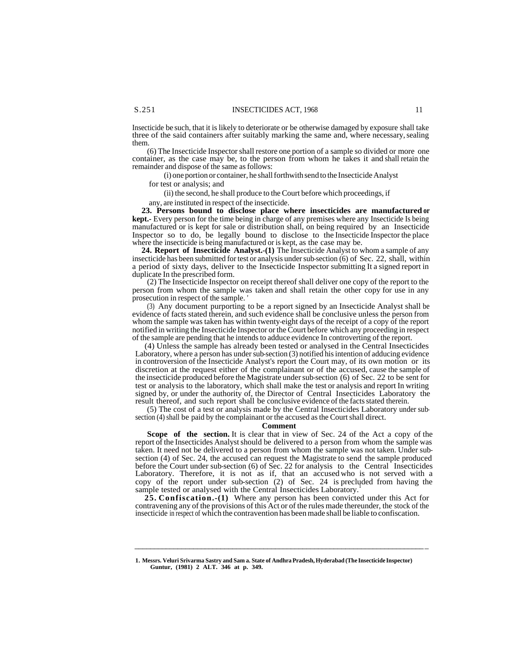Insecticide be such, that it is likely to deteriorate or be otherwise damaged by exposure shall take three of the said containers after suitably marking the same and, where necessary, sealing them.

(6) The Insecticide Inspector shall restore one portion of a sample so divided or more one container, as the case may be, to the person from whom he takes it and shall retain the remainder and dispose of the same as follows:

(i) one portion or container, he shall forthwith send to the Insecticide Analyst

for test or analysis; and

(ii) the second, he shall produce to the Court before which proceedings, if

any, are instituted in respect of the insecticide.

**23. Persons bound to disclose place where insecticides are manufactured or kept.-** Every person for the time being in charge of any premises where any Insecticide Is being manufactured or is kept for sale or distribution shall, on being required by an Insecticide Inspector so to do, be legally bound to disclose to the Insecticide Inspector the place where the insecticide is being manufactured or is kept, as the case may be.

**24. Report of Insecticide Analyst.-(1)** The Insecticide Analyst to whom a sample of any insecticide has been submitted for test or analysis under sub-section (6) of Sec. 22, shall, within a period of sixty days, deliver to the Insecticide Inspector submitting It a signed report in duplicate In the prescribed form.

(2) The Insecticide Inspector on receipt thereof shall deliver one copy of the report to the person from whom the sample was taken and shall retain the other copy for use in any prosecution in respect of the sample. '

(3) Any document purporting to be a report signed by an Insecticide Analyst shall be evidence of facts stated therein, and such evidence shall be conclusive unless the person from whom the sample was taken has within twenty-eight days of the receipt of a copy of the report notified in writing the Insecticide Inspector or the Court before which any proceeding in respect of the sample are pending that he intends to adduce evidence In controverting of the report.

(4) Unless the sample has already been tested or analysed in the Central Insecticides Laboratory, where a person has under sub-section (3) notified his intention of adducing evidence in controversion of the Insecticide Analyst's report the Court may, of its own motion or its discretion at the request either of the complainant or of the accused, cause the sample of the insecticide produced before the Magistrate under sub-section (6) of Sec. 22 to be sent for test or analysis to the laboratory, which shall make the test or analysis and report In writing signed by, or under the authority of, the Director of Central Insecticides Laboratory the result thereof, and such report shall be conclusive evidence of the facts stated therein.

(5) The cost of a test or analysis made by the Central Insecticides Laboratory under subsection (4) shall be paid by the complainant or the accused as the Court shall direct.

#### **Comment**

**Scope of the section.** It is clear that in view of Sec. 24 of the Act a copy of the report of the Insecticides Analyst should be delivered to a person from whom the sample was taken. It need not be delivered to a person from whom the sample was not taken. Under subsection (4) of Sec. 24, the accused can request the Magistrate to send the sample produced before the Court under sub-section (6) of Sec. 22 for analysis to the Central Insecticides Laboratory. Therefore, it is not as if, that an accused who is not served with a copy of the report under sub-section (2) of Sec. 24 is precluded from having the sample tested or analysed with the Central Insecticides Laboratory.<sup>1</sup>

**25. Confiscation.-(1)** Where any person has been convicted under this Act for contravening any of the provisions of this Act or of the rules made thereunder, the stock of the insecticide in respect of which the contravention has been made shall be liable to confiscation.

\_\_\_\_\_\_\_\_\_\_\_\_\_\_\_\_\_\_\_\_\_\_\_\_\_\_\_\_\_\_\_\_\_\_\_\_\_\_\_\_\_\_\_\_\_\_\_\_\_\_\_\_\_\_\_\_\_\_\_\_\_\_\_\_\_\_\_\_\_\_\_\_\_\_ \_

**<sup>1.</sup> Messrs. Veluri Srivarma Sastry and Sam a. State of Andhra Pradesh, Hyderabad (The Insecticide Inspector) Guntur, (1981) 2 ALT. 346 at p. 349.**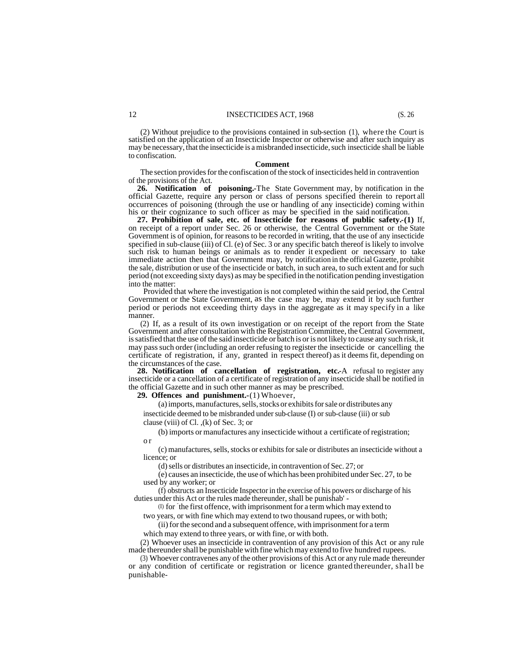(2) Without prejudice to the provisions contained in sub-section (1), where the Court is satisfied on the application of an Insecticide Inspector or otherwise and after such inquiry as may be necessary, that the insecticide is a misbranded insecticide, such insecticide shall be liable to confiscation.

#### **Comment**

The section provides for the confiscation of the stock of insecticides held in contravention of the provisions of the Act.

**26. Notification of poisoning.-**The State Government may, by notification in the official Gazette, require any person or class of persons specified therein to report all occurrences of poisoning (through the use or handling of any insecticide) coming within his or their cognizance to such officer as may be specified in the said notification.

**27. Prohibition of sale, etc. of Insecticide for reasons of public safety.-(1)** If, on receipt of a report under Sec. 26 or otherwise, the Central Government or the State Government is of opinion, for reasons to be recorded in writing, that the use of any insecticide specified in sub-clause (iii) of Cl. (e) of Sec. 3 or any specific batch thereof is likely to involve such risk to human beings or animals as to render it expedient or necessary to take immediate action then that Government may, by notification in the official Gazette, prohibit the sale, distribution or use of the insecticide or batch, in such area, to such extent and for such period (not exceeding sixty days) as may be specified in the notification pending investigation into the matter:

Provided that where the investigation is not completed within the said period, the Central Government or the State Government, as the case may be, may extend it by such further period or periods not exceeding thirty days in the aggregate as it may specify in a like manner.

(2) If, as a result of its own investigation or on receipt of the report from the State Government and after consultation with the Registration Committee, the Central Government, is satisfied that the use of the said insecticide or batch is or is not likely to cause any such risk, it may pass such order (including an order refusing to register the insecticide or cancelling the certificate of registration, if any, granted in respect thereof) as it deems fit, depending on the circumstances of the case.

**28. Notification of cancellation of registration, etc.-**A refusal to register any insecticide or a cancellation of a certificate of registration of any insecticide shall be notified in the official Gazette and in such other manner as may be prescribed.

**29. Offences and punishment.-**(1) Whoever,

(a) imports, manufactures, sells, stocks or exhibits for sale or distributes any insecticide deemed to be misbranded under sub-clause (I) or sub-clause (iii) or sub clause (viii) of Cl. ,(k) of Sec. 3; or

(b) imports or manufactures any insecticide without a certificate of registration; o r

(c) manufactures, sells, stocks or exhibits for sale or distributes an insecticide without a licence; or

(d) sells or distributes an insecticide, in contravention of Sec. 27; or

(e) causes an insecticide, the use of which has been prohibited under Sec. 27, to be used by any worker; or

(f) obstructs an Insecticide Inspector in the exercise of his powers or discharge of his duties under this Act or the rules made thereunder, shall be punishab' -

(I) for the first offence, with imprisonment for a term which may extend to

two years, or with fine which may extend to two thousand rupees, or with both; (ii) for the second and a subsequent offence, with imprisonment for a term

which may extend to three years, or with fine, or with both.

(2) Whoever uses an insecticide in contravention of any provision of this Act or any rule made thereunder shall be punishable with fine which may extend to five hundred rupees.

(3) Whoever contravenes any of the other provisions of this Act or any rule made thereunder or any condition of certificate or registration or licence granted thereunder, shall be punishable-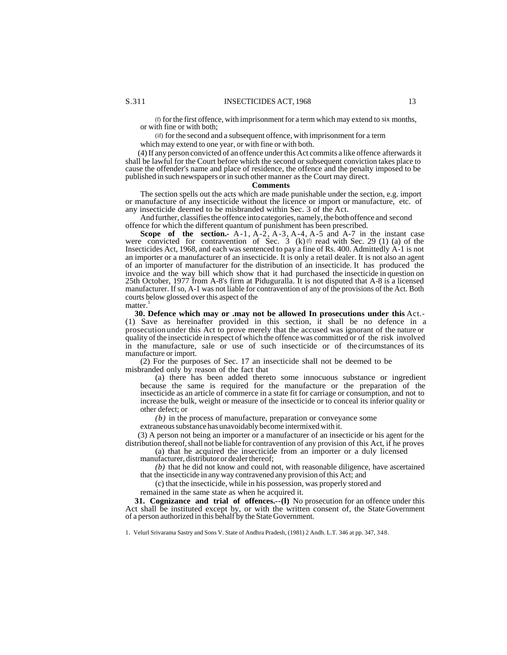(f) for the first offence, with imprisonment for a term which may extend to six months, or with fine or with both;

(if) for the second and a subsequent offence, with imprisonment for a term

which may extend to one year, or with fine or with both.

(4) If any person convicted of an offence under this Act commits a like offence afterwards it shall be lawful for the Court before which the second or subsequent conviction takes place to cause the offender's name and place of residence, the offence and the penalty imposed to be published in such newspapers or in such other manner as the Court may direct.

#### **Comments**

The section spells out the acts which are made punishable under the section, e.g. import or manufacture of any insecticide without the licence or import or manufacture, etc. of any insecticide deemed to be misbranded within Sec. 3 of the Act.

And further, classifies the offence into categories, namely, the both offence and second offence for which the different quantum of punishment has been prescribed.

**Scope of the section.**  $A-1$ ,  $A-2$ ,  $A-3$ ,  $A-4$ ,  $A-5$  and  $A-7$  in the instant case were convicted for contravention of Sec.  $\hat{3}$  (k) (f) read with Sec. 29 (1) (a) of the Insecticides Act, 1968, and each was sentenced to pay a fine of Rs. 400. Admittedly A-1 is not an importer or a manufacturer of an insecticide. It is only a retail dealer. It is not also an agent of an importer of manufacturer for the distribution of an insecticide. It has produced the invoice and the way bill which show that it had purchased the insecticide in question on 25th October, 1977 from A-8's firm at Piduguralla. It is not disputed that A-8 is a licensed manufacturer. If so, A-1 was not liable for contravention of any of the provisions of the Act. Both courts below glossed over this aspect of the

matter.<sup>1</sup>

**30. Defence which may or .may not be allowed In prosecutions under this** Act.- (1) Save as hereinafter provided in this section, it shall be no defence in a prosecution under this Act to prove merely that the accused was ignorant of the nature or quality of the insecticide in respect of which the offence was committed or of the risk involved in the manufacture, sale or use of such insecticide or of the circumstances of its manufacture or import.

(2) For the purposes of Sec. 17 an insecticide shall not be deemed to be misbranded only by reason of the fact that

(a) there has been added thereto some innocuous substance or ingredient because the same is required for the manufacture or the preparation of the insecticide as an article of commerce in a state fit for carriage or consumption, and not to increase the bulk, weight or measure of the insecticide or to conceal its inferior quality or other defect; or

*(b)* in the process of manufacture, preparation or conveyance some

extraneous substance has unavoidably become intermixed with it.

(3) A person not being an importer or a manufacturer of an insecticide or his agent for the distribution thereof, shall not be liable for contravention of any provision of this Act, if he proves

(a) that he acquired the insecticide from an importer or a duly licensed manufacturer, distributor or dealer thereof;

*(b)* that he did not know and could not, with reasonable diligence, have ascertained that the insecticide in any way contravened any provision of this Act; and

(c) that the insecticide, while in his possession, was properly stored and

remained in the same state as when he acquired it.

**31. Cognizance and trial of offences.--(l)** No prosecution for an offence under this Act shall be instituted except by, or with the written consent of, the State Government of a person authorized in this behalf by the State Government.

1. Velurl Srivarama Sastry and Sons V. State of Andhra Pradesh, (1981) 2 Andh. L.T. 346 at pp. 347, 348.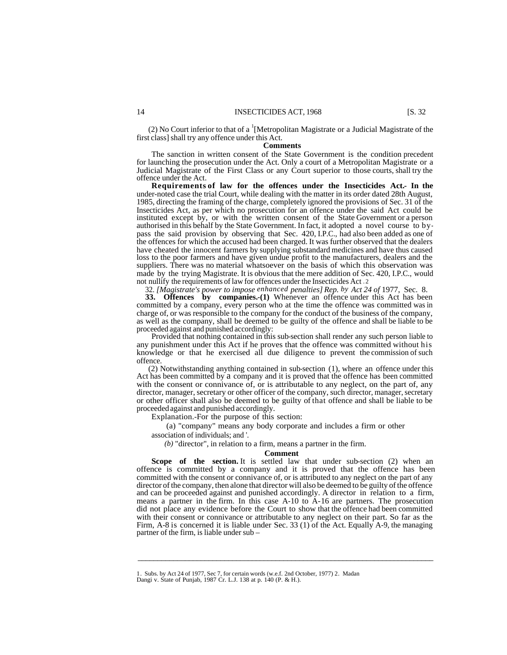(2) No Court inferior to that of a  ${}^{1}$ [Metropolitan Magistrate or a Judicial Magistrate of the first class] shall try any offence under this Act.

#### **Comments**

The sanction in written consent of the State Government is the condition precedent for launching the prosecution under the Act. Only a court of a Metropolitan Magistrate or a Judicial Magistrate of the First Class or any Court superior to those courts, shall try the offence under the Act.

**Requirements of law for the offences under the Insecticides Act.- In the**  under-noted case the trial Court, while dealing with the matter in its order dated 28th August, 1985, directing the framing of the charge, completely ignored the provisions of Sec. 31 of the Insecticides Act, as per which no prosecution for an offence under the said Act could be instituted except by, or with the written consent of the State Government or a person authorised in this behalf by the State Government. In fact, it adopted a novel course to bypass the said provision by observing that Sec. 420, I.P.C., had also been added as one of the offences for which the accused had been charged. It was further observed that the dealers have cheated the innocent farmers by supplying substandard medicines and have thus caused loss to the poor farmers and have given undue profit to the manufacturers, dealers and the suppliers. There was no material whatsoever on the basis of which this observation was made by the trying Magistrate. It is obvious that the mere addition of Sec. 420, I.P.C., would not nullify the requirements of law for offences under the Insecticides Act .2

32. *[Magistrate's power to impose enhanced penalties] Rep. by Act 24 of* 1977, Sec. 8. **33. Offences by companies.-(1)** Whenever an offence under this Act has been committed by a company, every person who at the time the offence was committed was in charge of, or was responsible to the company for the conduct of the business of the company, as well as the company, shall be deemed to be guilty of the offence and shall be liable to be proceeded against and punished accordingly:

Provided that nothing contained in this sub-section shall render any such person liable to any punishment under this Act if he proves that the offence was committed without his knowledge or that he exercised all due diligence to prevent the commission of such offence.

(2) Notwithstanding anything contained in sub-section (1), where an offence under this Act has been committed by a company and it is proved that the offence has been committed with the consent or connivance of, or is attributable to any neglect, on the part of, any director, manager, secretary or other officer of the company, such director, manager, secretary or other officer shall also be deemed to be guilty of that offence and shall be liable to be proceeded against and punished accordingly.

Explanation.-For the purpose of this section:

(a) "company" means any body corporate and includes a firm or other

association of individuals; and '.

*(b)* "director", in relation to a firm, means a partner in the firm.

#### **Comment**

Scope of the section. It is settled law that under sub-section (2) when an offence is committed by a company and it is proved that the offence has been committed with the consent or connivance of, or is attributed to any neglect on the part of any director of the company, then alone that director will also be deemed to be guilty of the offence and can be proceeded against and punished accordingly. A director in relation to a firm, means a partner in the firm. In this case A-10 to A-16 are partners. The prosecution did not place any evidence before the Court to show that the offence had been committed with their consent or connivance or attributable to any neglect on their part. So far as the Firm, A-8 is concerned it is liable under Sec. 33 (1) of the Act. Equally A-9, the managing partner of the firm, is liable under sub –

 $\overline{\phantom{a}}$  , and the set of the set of the set of the set of the set of the set of the set of the set of the set of the set of the set of the set of the set of the set of the set of the set of the set of the set of the s

<sup>1.</sup> Subs. by Act 24 of 1977, Sec 7, for certain words (w.e.f. 2nd October, 1977) 2. Madan Dangi v. State of Punjab, 1987 Cr. L.J. 138 at p. 140 (P. & H.).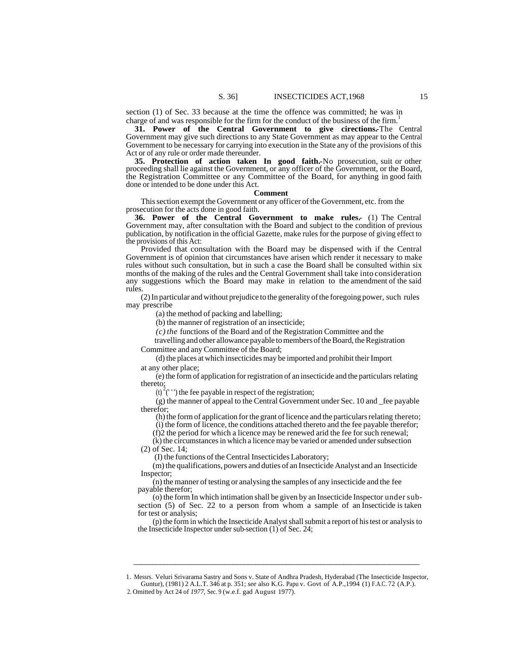section (1) of Sec. 33 because at the time the offence was committed; he was in charge of and was responsible for the firm for the conduct of the business of the firm.<sup>1</sup>

**31. Power of the Central Government to give cirections.-**The Central Government may give such directions to any State Government as may appear to the Central Government to be necessary for carrying into execution in the State any of the provisions of this Act or of any rule or order made thereunder.

**35. Protection of action taken In good faith.-**No prosecution, suit or other proceeding shall lie against the Government, or any officer of the Government, or the Board, the Registration Committee or any Committee of the Board, for anything in good faith done or intended to be done under this Act.

#### **Comment**

This section exempt the Government or any officer of the Government, etc. from the prosecution for the acts done in good faith.

**36. Power of the Central Government to make rules.** (1) The Central Government may, after consultation with the Board and subject to the condition of previous publication, by notification in the official Gazette, make rules for the purpose of giving effect to the provisions of this Act:

Provided that consultation with the Board may be dispensed with if the Central Government is of opinion that circumstances have arisen which render it necessary to make rules without such consultation, but in such a case the Board shall be consulted within six months of the making of the rules and the Central Government shall take into consideration any suggestions which the Board may make in relation to the amendment of the said rules.

(2) In particular and without prejudice to the generality of the foregoing power, such rules may prescribe

(a) the method of packing and labelling;

(b) the manner of registration of an insecticide;

*(c) the* functions of the Board and of the Registration Committee and the

travelling and other allowance payable to members of the Board, the Registration Committee and any Committee of the Board;

(d) the places at which insecticides may be imported and prohibit their Import at any other place;

(e) the form of application for registration of an insecticide and the particulars relating thereto;

 $(t)$ <sup>2</sup> $($ <sup>1</sup> (b) the fee payable in respect of the registration;

(g) the manner of appeal to the Central Government under Sec. 10 and \_fee payable therefor;

(h) the form of application for the grant of licence and the particulars relating thereto;

(i) the form of licence, the conditions attached thereto and the fee payable therefor;

(f)2 the period for which a licence may be renewed arid the fee for such renewal;

(k) the circumstances in which a licence may be varied or amended under subsection (2) of Sec. 14;

(I) the functions of the Central Insecticides Laboratory;

(m) the qualifications, powers and duties of an Insecticide Analyst and an Insecticide Inspector;

(n) the manner of testing or analysing the samples of any insecticide and the fee payable therefor;

(o) the form In which intimation shall be given by an Insecticide Inspector under subsection (5) of Sec. 22 to a person from whom a sample of an Insecticide is taken for test or analysis;

(p) the form in which the Insecticide Analyst shall submit a report of his test or analysis to the Insecticide Inspector under sub-section (1) of Sec. 24;

\_\_\_\_\_\_\_\_\_\_\_\_\_\_\_\_\_\_\_\_\_\_\_\_\_\_\_\_\_\_\_\_\_\_\_\_\_\_\_\_\_\_\_\_\_\_\_\_\_\_\_\_\_\_\_\_\_\_\_\_\_\_\_\_\_\_\_\_\_\_\_\_\_\_\_

<sup>1.</sup> Messrs. Veluri Srivarama Sastry and Sons v. State of Andhra Pradesh, Hyderabad (The Insecticide Inspector, Guntur), (1981) 2 A.L.T. 346 at p. 351; *see* also K.G. Papu v. Govt of A.P.,1994 (1) F.A.C. 72 (A.P.).

<sup>2.</sup> Omitted by Act 24 of *1977,* Sec. 9 (w.e.f. gad August 1977).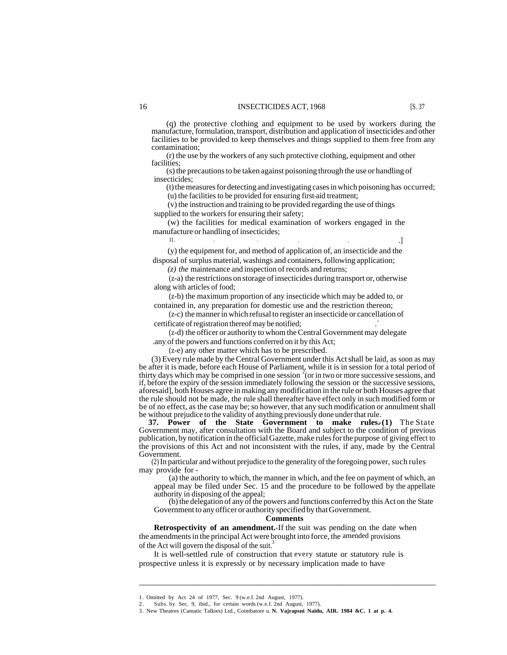(q) the protective clothing and equipment to be used by workers during the manufacture, formulation, transport, distribution and application of insecticides and other facilities to be provided to keep themselves and things supplied to them free from any contamination;

(r) the use by the workers of any such protective clothing, equipment and other facilities;

(s) the precautions to be taken against poisoning through the use or handling of insecticides;

(t) the measures for detecting and investigating cases in which poisoning has occurred;

(u) the facilities to be provided for ensuring first-aid treatment;

(v) the instruction and training to be provided regarding the use of things supplied to the workers for ensuring their safety;

(w) the facilities for medical examination of workers engaged in the manufacture or handling of insecticides;

(y) the equipment for, and method of application of, an insecticide and the disposal of surplus material, washings and containers, following application;

1[. . . . . .]

*(z) the* maintenance and inspection of records and returns;

(z-a) the restrictions on storage of insecticides during transport or, otherwise along with articles of food;

(z-b) the maximum proportion of any insecticide which may be added to, or contained in, any preparation for domestic use and the restriction thereon;

(z-c) the manner in which refusal to register an insecticide or cancellation of certificate of registration thereof may be notified;

(z-d) the officer or authority to whom the Central Government may delegate

.any of the powers and functions conferred on it by this Act;

(z-e) any other matter which has to be prescribed.

(3) Every rule made by the Central Government under this Act shall be laid, as soon as may be after it is made, before each House of Parliament, while it is in session for a total period of thirty days which may be comprised in one session<sup>2</sup> (or in two or more successive sessions, and if, before the expiry of the session immediately following the session or the successive sessions, aforesaid], both Houses agree in making any modification in the rule or both Houses agree that the rule should not be made, the rule shall thereafter have effect only in such modified form or be of no effect, as the case may be; so however, that any such modification or annulment shall be without prejudice to the validity of anything previously done under that rule.

**37. Power of the State Government to make rules. (1)** The State Government may, after consultation with the Board and subject to the condition of previous publication, by notification in the official Gazette, make rules for the purpose of giving effect to the provisions of this Act and not inconsistent with the rules, if any, made by the Central Government.

(2) In particular and without prejudice to the generality of the foregoing power, such rules may provide for -

(a) the authority to which, the manner in which, and the fee on payment of which, an appeal may be filed under Sec. 15 and the procedure to be followed by the appellate authority in disposing of the appeal;

(b) the delegation of any of the powers and functions conferred by this Act on the State Government to any officer or authority specified by that Government.

#### **Comments**

 $\overline{\phantom{a}}$  , and the contribution of the contribution of the contribution of the contribution of the contribution of the contribution of the contribution of the contribution of the contribution of the contribution of the

**Retrospectivity of an amendment.**-If the suit was pending on the date when the amendments in the principal Act were brought into force, the amended provisions of the Act will govern the disposal of the suit.<sup>3</sup>

It is well-settled rule of construction that every statute or statutory rule is prospective unless it is expressly or by necessary implication made to have

<sup>1.</sup> Omitted by Act 24 of 1977, Sec. 9 (w.e.f. 2nd August, 1977).

<sup>2.</sup> Subs. by Sec. 9, ibid., for certain words (w.e.f. 2nd August, 1977).

<sup>3.</sup> New Theatres (Camatic Talkies) Ltd., Coimbatore u. **N. Vajrapsni Naidu, AIR. 1984 &C. 1 at p. 4.**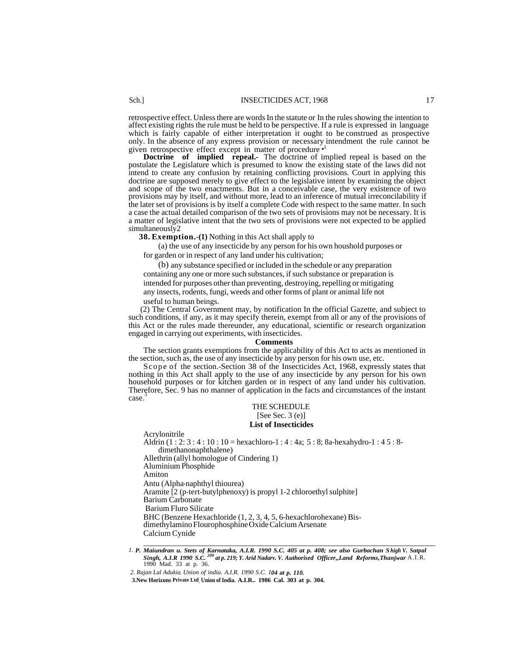retrospective effect. Unless there are words In the statute or In the rules showing the intention to affect existing rights the rule must be held to be perspective. If a rule is expressed in language which is fairly capable of either interpretation it ought to be construed as prospective only. In the absence of any express provision or necessary intendment the rule cannot be given retrospective effect except in matter of procedure<sup>®</sup>

**Doctrine** of **implied** repeal. The doctrine of implied repeal is based on the postulate the Legislature which is presumed to know the existing state of the laws did not intend to create any confusion by retaining conflicting provisions. Court in applying this doctrine are supposed merely to give effect to the legislative intent by examining the object and scope of the two enactments. But in a conceivable case, the very existence of two provisions may by itself, and without more, lead to an inference of mutual irreconcilability if the later set of provisions is by itself a complete Code with respect to the same matter. In such a case the actual detailed comparison of the two sets of provisions may not be necessary. It is a matter of legislative intent that the two sets of provisions were not expected to be applied simultaneously2

**38. Exemption.-(1)** Nothing in this Act shall apply to

(a) the use of any insecticide by any person for his own houshold purposes or for garden or in respect of any land under his cultivation;

(b) any substance specified or included in the schedule or any preparation containing any one or more such substances, if such substance or preparation is intended for purposes other than preventing, destroying, repelling or mitigating any insects, rodents, fungi, weeds and other forms of plant or animal life not useful to human beings.

(2) The Central Government may, by notification In the official Gazette, and subject to such conditions, if any, as it may specify therein, exempt from all or any of the provisions of this Act or the rules made thereunder, any educational, scientific or research organization engaged in carrying out experiments, with insecticides.

#### **Comments**

The section grants exemptions from the applicability of this Act to acts as mentioned in the section, such as, the use of any insecticide by any person for his own use, etc.

Scope of the section.-Section 38 of the Insecticides Act, 1968, expressly states that nothing in this Act shall apply to the use of any insecticide by any person for his own household purposes or for kitchen garden or in respect of any land under his cultivation. Therefore, Sec. 9 has no manner of application in the facts and circumstances of the instant case.

#### THE SCHEDULE

# $[See Sec. 3 (e)]$

## **List of Insecticides**

Acrylonitrile Aldrin (1 : 2: 3 : 4 : 10 : 10 = hexachloro-1 : 4 : 4a; 5 : 8; 8a-hexahydro-1 : 4 5 : 8 dimethanonaphthalene) Allethrin (allyl homologue of Cindering 1) Aluminium Phosphide Amiton Antu (Alpha-naphthyl thiourea) Aramite [2 (p-tert-butylphenoxy) is propyl 1-2 chloroethyl sulphite] Barium Carbonate Barium Fluro Silicate BHC (Benzene Hexachloride (1, 2, 3, 4, 5, 6-hexachlorohexane) Bisdimethylamino Flourophosphine Oxide Calcium Arsenate Calcium Cynide

\_\_\_\_\_\_\_\_\_\_\_\_\_\_\_\_\_\_\_\_\_\_\_\_\_\_\_\_\_\_\_\_\_\_\_\_\_\_\_\_\_\_\_\_\_\_\_\_\_\_\_\_\_\_\_\_\_\_\_\_\_\_\_\_\_\_\_\_\_\_\_\_\_\_

<sup>&</sup>lt;sup>1</sup>. P. Maiundran u. Stets of Karnataka, A.I.R. 1990 S.C. 405 at p. 408; see also Gurbachan Shigh V. Satpal Singh, A.I.R 1990 S.C. <sup>209</sup> at p. 219; Y. Arid Nadarv. V. Authorised Officer., Land Reforms, Thanjwar A.I.R. 1990 Mad. 33 at p. 36.

*<sup>2.</sup> Rajan Lal Adukia. Union of india. A.I.R. 1990 S.C. 104 at p. 110.*

 **<sup>3.</sup>New Horizons Private Ltd. Union of India. A.I.R.. 1986 Cal. 303 at p. 304.**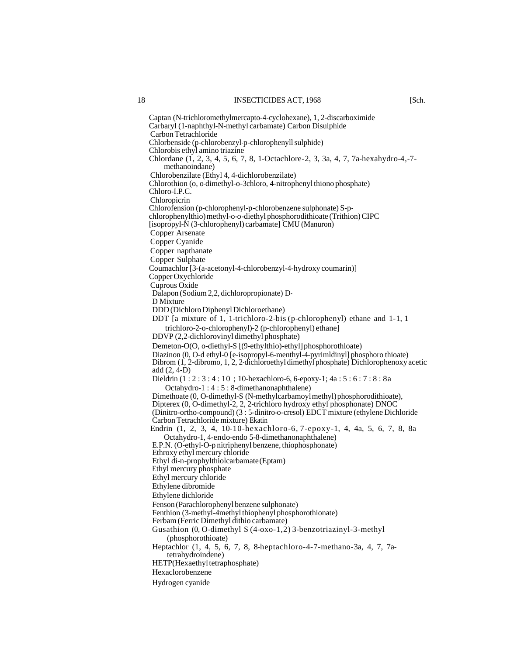Captan (N-trichloromethylmercapto-4-cyclohexane), 1, 2-discarboximide Carbaryl (1-naphthyl-N-methyl carbamate) Carbon Disulphide Carbon Tetrachloride Chlorbenside (p-chlorobenzyl-p-chlorophenyll sulphide) Chlorobis ethyl amino triazine Chlordane (1, 2, 3, 4, 5, 6, 7, 8, 1-Octachlore-2, 3, 3a, 4, 7, 7a-hexahydro-4,-7 methanoindane) Chlorobenzilate (Ethyl 4, 4-dichlorobenzilate) Chlorothion (o, o-dimethyl-o-3chloro, 4-nitrophenyl thiono phosphate) Chloro-I.P.C. Chloropicrin Chlorofension (p-chlorophenyl-p-chlorobenzene sulphonate) S-pchlorophenylthio) methyl-o-o-diethyl phosphorodithioate (Trithion) CIPC [isopropyl-N (3-chlorophenyl) carbamate] CMU (Manuron) Copper Arsenate Copper Cyanide Copper napthanate Copper Sulphate Coumachlor [3-(a-acetonyl-4-chlorobenzyl-4-hydroxy coumarin)] Copper Oxychloride Cuprous Oxide Dalapon (Sodium 2,2, dichloropropionate) D-D Mixture DDD (Dichloro Diphenyl Dichloroethane) DDT [a mixture of 1, 1-trichloro-2-bis (p-chlorophenyl) ethane and 1-1, 1 trichloro-2-o-chlorophenyl)-2 (p-chlorophenyl) ethane] DDVP (2,2-dichlorovinyl dimethyl phosphate) Demeton-O(O, o-diethyl-S [(9-ethylthio)-ethyl] phosphorothloate) Diazinon (0, O-d ethyl-0 [e-isopropyl-6-menthyl-4-pyrimldinyl] phosphoro thioate) Dibrom (1, 2-dibromo, 1, 2, 2-dichloroethyl dimethyl phosphate) Dichlorophenoxy acetic add (2, 4-D) Dieldrin (1 : 2 : 3 : 4 : 10 ; 10-hexachloro-6, 6-epoxy-1; 4a : 5 : 6 : 7 : 8 : 8a Octahydro-1 : 4 : 5 : 8-dimethanonaphthalene) Dimethoate (0, O-dimethyl-S (N-methylcarbamoyl methyl) phosphorodithioate), Dipterex (0, O-dimethyl-2, 2, 2-trichloro hydroxy ethyl phosphonate) DNOC (Dinitro-ortho-compound) (3 : 5-dinitro-o-cresol) EDCT mixture (ethylene Dichloride Carbon Tetrachloride mixture) Ekatin Endrin (1, 2, 3, 4, 10-10-hexachloro-6, 7-epoxy-1, 4, 4a, 5, 6, 7, 8, 8a Octahydro-1, 4-endo-endo 5-8-dimethanonaphthalene) E.P.N. (O-ethyl-O-p nitriphenyl benzene, thiophosphonate) Ethroxy ethyl mercury chloride Ethyl di-n-prophylthiolcarbamate (Eptam) Ethyl mercury phosphate Ethyl mercury chloride Ethylene dibromide Ethylene dichloride Fenson (Parachlorophenyl benzene sulphonate) Fenthion (3-methyl-4methyl thiophenyl phosphorothionate) Ferbam (Ferric Dimethyl dithio carbamate) Gusathion (0, O-dimethyl S (4-oxo-1,2) 3-benzotriazinyl-3-methyl (phosphorothioate) Heptachlor (1, 4, 5, 6, 7, 8, 8-heptachloro-4-7-methano-3a, 4, 7, 7atetrahydroindene) HETP(Hexaethyl tetraphosphate) Hexaclorobenzene Hydrogen cyanide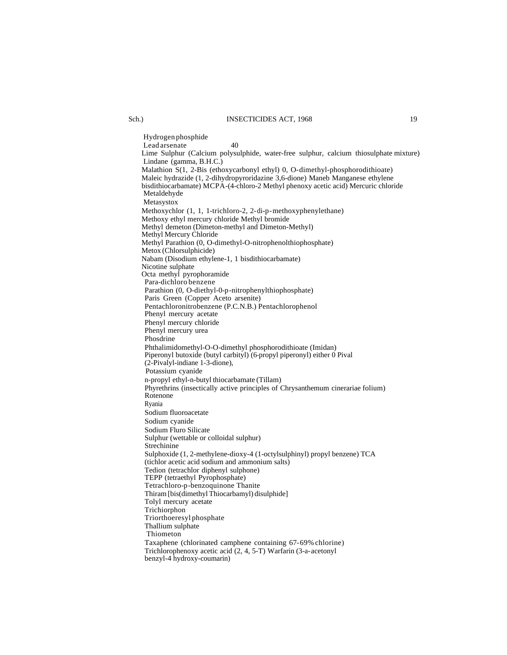#### Sch.) INSECTICIDES ACT, 1968 19

Hydrogen phosphide Lead arsenate 40 Lime Sulphur (Calcium polysulphide, water-free sulphur, calcium thiosulphate mixture) Lindane (gamma, B.H.C.) Malathion S(1, 2-Bis (ethoxycarbonyl ethyl) 0, O-dimethyl-phosphorodithioate) Maleic hydrazide (1, 2-dihydropyroridazine 3,6-dione) Maneb Manganese ethylene bisdithiocarbamate) MCPA-(4-chloro-2 Methyl phenoxy acetic acid) Mercuric chloride Metaldehyde Metasystox Methoxychlor (1, 1, 1-trichloro-2, 2-di-p-methoxyphenylethane) Methoxy ethyl mercury chloride Methyl bromide Methyl demeton (Dimeton-methyl and Dimeton-Methyl) Methyl Mercury Chloride Methyl Parathion (0, O-dimethyl-O-nitrophenolthiophosphate) Metox (Chlorsulphicide) Nabam (Disodium ethylene-1, 1 bisdithiocarbamate) Nicotine sulphate Octa methyl pyrophoramide Para-dichloro benzene Parathion (0, O-diethyl-0-p-nitrophenylthiophosphate) Paris Green (Copper Aceto arsenite) Pentachloronitrobenzene (P.C.N.B.) Pentachlorophenol Phenyl mercury acetate Phenyl mercury chloride Phenyl mercury urea Phosdrine Phthalimidomethyl-O-O-dimethyl phosphorodithioate (Imidan) Piperonyl butoxide (butyl carbityl) (6-propyl piperonyl) either 0 Pival (2-Pivalyl-indiane 1-3-dione), Potassium cyanide n-propyl ethyl-n-butyl thiocarbamate (Tillam) Phyrethrins (insectically active principles of Chrysanthemum cinerariae folium) Rotenone Ryania Sodium fluoroacetate Sodium cyanide Sodium Fluro Silicate Sulphur (wettable or colloidal sulphur) Strechinine Sulphoxide (1, 2-methylene-dioxy-4 (1-octylsulphinyl) propyl benzene) TCA (tichlor acetic acid sodium and ammonium salts) Tedion (tetrachlor diphenyl sulphone) TEPP (tetraethyl Pyrophosphate) Tetrachloro-p-benzoquinone Thanite Thiram [bis(dimethyl Thiocarbamyl) disulphide] Tolyl mercury acetate Trichiorphon Triorthoeresyl phosphate Thallium sulphate Thiometon Taxaphene (chlorinated camphene containing 67-69% chlorine) Trichlorophenoxy acetic acid (2, 4, 5-T) Warfarin (3-a-acetonyl benzyl-4 hydroxy-coumarin)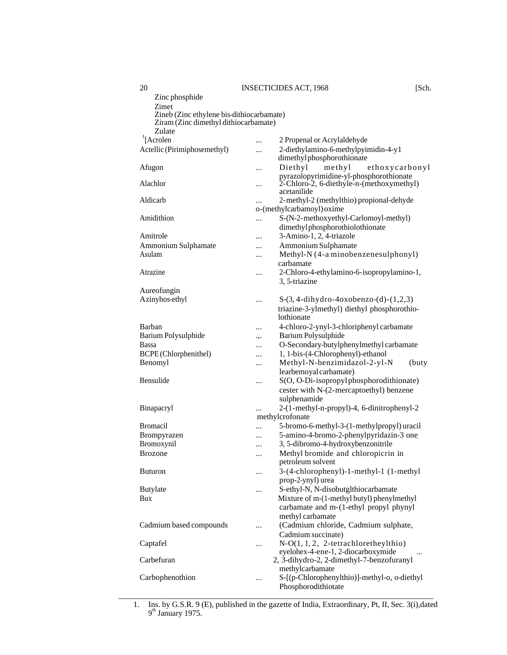| Zinc phosphide                            |                                                            |
|-------------------------------------------|------------------------------------------------------------|
| Zimet                                     |                                                            |
| Zineb (Zinc ethylene bis-dithiocarbamate) |                                                            |
| Ziram (Zinc dimethyl dithiocarbamate)     |                                                            |
| Zulate                                    |                                                            |
| $\int$ [Acrolen]                          | 2 Propenal or Acrylaldehyde<br>                            |
| Actellic (Pirimiphosemethyl)              | 2-diethylamino-6-methylpyimidin-4-y1<br>                   |
|                                           | dimethylphosphorothionate                                  |
|                                           | Diethyl                                                    |
| Afugon                                    | methyl<br>ethoxycarbonyl<br>                               |
| Alachlor                                  | pyrazolopyrimidine-yl-phosphorothionate                    |
|                                           | 2-Chloro-2, 6-diethyle-n-(methoxymethyl)<br>$\cdots$       |
|                                           | acetanilide                                                |
| Aldicarb                                  | 2-methyl-2 (methylthio) propional-dehyde<br>$\cdots$       |
|                                           | o-(methylcarbamoyl) oxime                                  |
| Amidithion                                | S-(N-2-methoxyethyl-Carlomoyl-methyl)<br>                  |
|                                           | dimethyl phosphorothiolothionate                           |
| Amitrole                                  | 3-Amino-1, 2, 4-triazole<br>                               |
| Ammonium Sulphamate                       | Ammonium Sulphamate<br>.                                   |
| Asulam                                    | Methyl-N (4-a minobenzenesulphonyl)                        |
|                                           | <br>carbamate                                              |
|                                           |                                                            |
| Atrazine                                  | 2-Chloro-4-ethylamino-6-isopropylamino-1,<br>$\ddotsc$     |
|                                           | 3, 5-triazine                                              |
| Aureofungin                               |                                                            |
| Azinyhos-ethyl                            | $S-(3, 4-dihydro-4oxobenzo-(d)-(1,2,3))$<br>               |
|                                           | triazine-3-ylmethyl) diethyl phosphorothio-                |
|                                           | lothionate                                                 |
| Barban                                    | 4-chloro-2-ynyl-3-chloriphenyl carbamate                   |
|                                           |                                                            |
| Barium Polysulphide                       | Barium Polysulphide<br>٠.,                                 |
| Bassa                                     | O-Secondary-butylphenylmethyl carbamate<br>.               |
| BCPE (Chlorphenithel)                     | 1, 1-bis-(4-Chlorophenyl)-ethanol<br>                      |
| Benomyl                                   | Methyl-N-benzimidazol-2-yl-N<br>(buty<br>                  |
|                                           | learbemoyal carbamate)                                     |
| Bensulide                                 | S(O, O-Di-isopropyl phosphorodithionate)<br>$\cdots$       |
|                                           | cester with N-(2-mercaptoethyl) benzene                    |
|                                           | sulphenamide                                               |
|                                           |                                                            |
| Binapacryl                                | 2-(1-methyl-n-propyl)-4, 6-dinitrophenyl-2                 |
|                                           | methylcrofonate                                            |
| Bromacil                                  | 5-bromo-6-methyl-3-(1-methylpropyl) uracil<br>$\ddotsc$    |
| Brompyrazen                               | 5-amino-4-bromo-2-phenylpyridazin-3 one.<br>.              |
|                                           |                                                            |
|                                           | .                                                          |
| Bromoxynil                                | 3, 5-dibromo-4-hydroxybenzonitrile                         |
| <b>Brozone</b>                            | Methyl bromide and chloropicrin in<br>                     |
|                                           | petroleum solvent                                          |
| <b>Buturon</b>                            | $\cdots$                                                   |
|                                           | prop-2-ynyl) urea                                          |
| <b>Butylate</b>                           | S-ethyl-N, N-disobutglthiocarbamate<br>                    |
| Bux                                       | Mixture of m-(1-methyl butyl) phenylmethyl                 |
|                                           |                                                            |
|                                           | carbamate and m-(1-ethyl propyl phynyl                     |
|                                           | methyl carbamate                                           |
|                                           | (Cadmium chloride, Cadmium sulphate,<br>                   |
| Cadmium based compounds                   | Cadmium succinate)                                         |
| Captafel                                  | N-O(1, 1, 2, 2-tetrachloretheylthio)<br>.                  |
|                                           | eyelohex-4-ene-1, 2-diocarboxymide                         |
| Carbefuran                                | 2, 3-dihydro-2, 2-dimethyl-7-benzofuranyl                  |
|                                           | 3-(4-chlorophenyl)-1-methyl-1 (1-methyl<br>methylcarbamate |
| Carbophenothion                           | S-[(p-Chlorophenylthio)]-methyl-o, o-diethyl<br>           |

<sup>1.</sup> Ins. by G.S.R. 9 (E), published in the gazette of India, Extraordinary, Pt, II, Sec. 3(i),dated  $9<sup>th</sup>$  January 1975.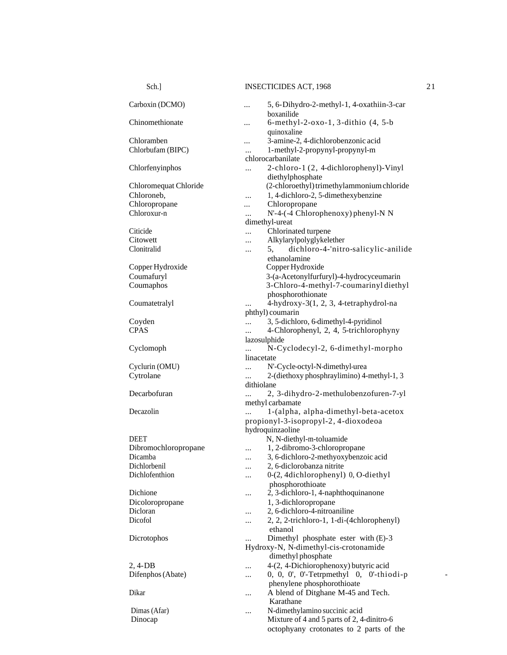| Sch.]                 | <b>INSECTICIDES ACT, 1968</b>                                         |  |
|-----------------------|-----------------------------------------------------------------------|--|
| Carboxin (DCMO)       | 5, 6-Dihydro-2-methyl-1, 4-oxathiin-3-car<br><br>boxanilide           |  |
| Chinomethionate       | $6$ -methyl-2-oxo-1, 3-dithio $(4, 5-b)$<br>$\cdots$                  |  |
| Chloramben            | quinoxaline<br>3-amine-2, 4-dichlorobenzonic acid                     |  |
| Chlorbufam (BIPC)     | <br>1-methyl-2-propynyl-propynyl-m                                    |  |
|                       | $\ddotsc$<br>chlorocarbanilate                                        |  |
|                       | 2-chloro-1 (2, 4-dichlorophenyl)-Vinyl                                |  |
| Chlorfenyinphos       | $\cdots$                                                              |  |
|                       | diethylphosphate                                                      |  |
| Chloromequat Chloride | (2-chloroethyl) trimethylammonium chloride                            |  |
| Chloroneb,            | 1, 4-dichloro-2, 5-dimethexybenzine<br>                               |  |
| Chloropropane         | Chloropropane<br>$\cdots$                                             |  |
| Chloroxur-n           | N'-4-(-4 Chlorophenoxy) phenyl-N N<br>                                |  |
|                       | dimethyl-ureat                                                        |  |
| Citicide              | Chlorinated turpene<br>$\cdots$                                       |  |
| Citowett              | Alkylarylpolyglykelether<br>                                          |  |
| Clonitralid           | dichloro-4-'nitro-salicylic-anilide<br>5,<br>$\cdots$                 |  |
|                       | ethanolamine                                                          |  |
| Copper Hydroxide      | Copper Hydroxide                                                      |  |
| Coumafuryl            | 3-(a-Acetonylfurfuryl)-4-hydrocyceumarin                              |  |
| Coumaphos             | 3-Chloro-4-methyl-7-coumarinyl diethyl                                |  |
|                       | phosphorothionate                                                     |  |
| Coumatetralyl         | 4-hydroxy-3(1, 2, 3, 4-tetraphydrol-na<br>$\cdots$                    |  |
|                       | phthyl) coumarin                                                      |  |
| Coyden                | 3, 5-dichloro, 6-dimethyl-4-pyridinol<br>$\dddotsc$                   |  |
| <b>CPAS</b>           | 4-Chlorophenyl, 2, 4, 5-trichlorophyny<br>$\dddotsc$                  |  |
|                       | lazosulphide                                                          |  |
| Cyclomoph             | N-Cyclodecyl-2, 6-dimethyl-morpho<br>$\cdots$                         |  |
|                       | linacetate                                                            |  |
| Cyclurin (OMU)        | N'-Cycle-octyl-N-dimethyl-urea<br>$\ddotsc$                           |  |
| Cytrolane             | 2-(diethoxy phosphraylimino) 4-methyl-1, 3<br>$\cdots$                |  |
|                       | dithiolane                                                            |  |
| Decarbofuran          | 2, 3-dihydro-2-methulobenzofuren-7-yl                                 |  |
|                       | methyl carbamate                                                      |  |
| Decazolin             | 1-(alpha, alpha-dimethyl-beta-acetox<br>$\dddotsc$                    |  |
|                       | propionyl-3-isopropyl-2, 4-dioxodeoa                                  |  |
|                       | hydroquinzaoline                                                      |  |
| DEET                  | N, N-diethyl-m-toluamide                                              |  |
| Dibromochloropropane  | 1, 2-dibromo-3-chloropropane                                          |  |
| Dicamba               |                                                                       |  |
| Dichlorbenil          | 3, 6-dichloro-2-methyoxybenzoic acid<br><br>2, 6-diclorobanza nitrite |  |
| Dichlofenthion        | .<br>0-(2, 4dichlorophenyl) 0, O-diethyl                              |  |
|                       | $\ddotsc$                                                             |  |
| Dichione              | phosphorothioate                                                      |  |
|                       | 2, 3-dichloro-1, 4-naphthoquinanone<br>                               |  |
| Dicoloropropane       | 1, 3-dichloropropane                                                  |  |
| Dicloran              | 2, 6-dichloro-4-nitroaniline<br>                                      |  |
| Dicofol               | 2, 2, 2-trichloro-1, 1-di-(4chlorophenyl)<br>                         |  |
|                       | ethanol                                                               |  |
| Dicrotophos           | Dimethyl phosphate ester with (E)-3<br>                               |  |
|                       | Hydroxy-N, N-dimethyl-cis-crotonamide                                 |  |
|                       | dimethyl phosphate                                                    |  |
| $2, 4$ -DB            | 4-(2, 4-Dichiorophenoxy) butyric acid<br>.                            |  |
| Difenphos (Abate)     | 0, 0, 0', 0'-Tetrpmethyl 0, 0'-thiodi-p<br>$\cdots$                   |  |
|                       | phenylene phosphorothioate                                            |  |
| Dikar                 | A blend of Ditghane M-45 and Tech.<br>                                |  |
|                       | Karathane                                                             |  |
| Dimas (Afar)          | N-dimethylamino succinic acid<br>                                     |  |
| Dinocap               | Mixture of 4 and 5 parts of 2, 4-dinitro-6                            |  |
|                       | octophyany crotonates to 2 parts of the                               |  |
|                       |                                                                       |  |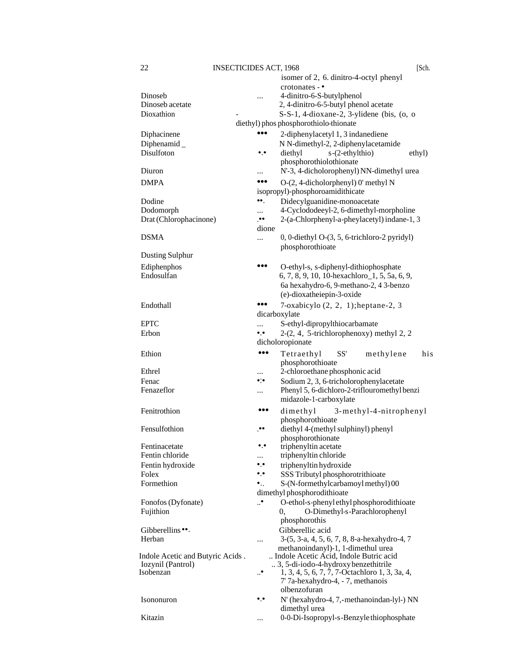|                                  |                       | isomer of 2, 6. dinitro-4-octyl phenyl                                  |
|----------------------------------|-----------------------|-------------------------------------------------------------------------|
|                                  |                       | $crotonates -$                                                          |
| Dinoseb                          |                       | 4-dinitro-6-S-butylphenol                                               |
| Dinoseb acetate                  |                       | 2, 4-dinitro-6-5-butyl phenol acetate                                   |
| Dioxathion                       |                       | S-S-1, 4-dioxane-2, 3-ylidene (bis, (o, o                               |
|                                  |                       | diethyl) phos phosphorothiolo-thionate                                  |
| Diphacinene                      |                       | 2-diphenylacetyl 1, 3 indanediene                                       |
| Diphenamid $_{-}$                |                       | N N-dimethyl-2, 2-diphenylacetamide                                     |
| Disulfoton                       | ۰.۰                   | diethyl<br>s-(2-ethylthio)<br>ethyl)                                    |
|                                  |                       | phosphorothiolothionate                                                 |
| Diuron                           |                       | N'-3, 4-dicholorophenyl) NN-dimethyl urea                               |
| <b>DMPA</b>                      |                       |                                                                         |
|                                  |                       | O-(2, 4-dicholorphenyl) 0' methyl N<br>isopropyl)-phosphoroamidithicate |
|                                  |                       |                                                                         |
| Dodine                           | ⊷.                    | Didecylguanidine-monoacetate                                            |
| Dodomorph                        |                       | 4-Cyclododeeyl-2, 6-dimethyl-morpholine                                 |
| Drat (Chlorophacinone)           | $\bullet\bullet$      | 2-(a-Chlorphenyl-a-pheylacetyl) indane-1, 3                             |
|                                  | dione                 |                                                                         |
| <b>DSMA</b>                      |                       | $0, 0$ -diethyl O- $(3, 5, 6$ -trichloro-2 pyridyl)                     |
|                                  |                       | phosphorothioate                                                        |
| Dusting Sulphur                  |                       |                                                                         |
| Ediphenphos                      |                       | O-ethyl-s, s-diphenyl-dithiophosphate                                   |
| Endosulfan                       |                       | 6, 7, 8, 9, 10, 10-hexachloro_1, 5, 5a, 6, 9,                           |
|                                  |                       | 6a hexahydro-6, 9-methano-2, 43-benzo                                   |
|                                  |                       | (e)-dioxatheiepin-3-oxide                                               |
| Endothall                        |                       | 7-oxabicylo $(2, 2, 1)$ ; heptane-2, 3                                  |
|                                  |                       | dicarboxylate                                                           |
| <b>EPTC</b>                      |                       | S-ethyl-dipropylthiocarbamate                                           |
| Erbon                            | ۰.                    | $2-(2, 4, 5-trichlorophenoxy)$ methyl 2, 2                              |
|                                  |                       | dicholoropionate                                                        |
|                                  |                       |                                                                         |
| Ethion                           |                       | Tetraethyl<br>SS'<br>methylene<br>his                                   |
|                                  |                       | phosphorothioate                                                        |
| Ethrel                           |                       | 2-chloroethane phosphonic acid                                          |
| Fenac                            | $\bullet$ : $\bullet$ | Sodium 2, 3, 6-tricholorophenylacetate                                  |
| Fenazeflor                       |                       | Phenyl 5, 6-dichloro-2-triflouromethyl benzi                            |
|                                  |                       | midazole-1-carboxylate                                                  |
| Fenitrothion                     |                       | dimethyl<br>3-methyl-4-nitrophenyl                                      |
|                                  |                       | phosphorothioate                                                        |
| Fensulfothion                    | $\cdot$               | diethyl 4-(methyl sulphinyl) phenyl                                     |
|                                  |                       | phosphorothionate                                                       |
| Fentinacetate                    |                       | triphenyltin acetate                                                    |
| Fentin chloride                  |                       | triphenyltin chloride                                                   |
| Fentin hydroxide                 | ۰.                    | triphenyltin hydroxide                                                  |
| Folex                            | ۰.۰                   | SSS Tributyl phosphorotrithioate                                        |
| Formethion                       | ٠.                    | S-(N-formethylcarbamoyl methyl) 00                                      |
|                                  |                       | dimethyl phosphorodithioate                                             |
| Fonofos (Dyfonate)               | ∙                     | O-ethol-s-phenyl ethyl phosphorodithioate                               |
| Fujithion                        |                       | O-Dimethyl-s-Parachlorophenyl<br>0,                                     |
|                                  |                       | phosphorothis                                                           |
| Gibberellins ••.                 |                       | Gibberellic acid                                                        |
| Herban                           |                       | 3-(5, 3-a, 4, 5, 6, 7, 8, 8-a-hexahydro-4, 7                            |
|                                  |                       | methanoindanyl)-1, 1-dimethul urea                                      |
| Indole Acetic and Butyric Acids. |                       | Indole Acetic Acid, Indole Butric acid                                  |
| Iozynil (Pantrol)                |                       | 3, 5-di-iodo-4-hydroxy benzethitrile                                    |
| Isobenzan                        | $\cdot$ .             | 1, 3, 4, 5, 6, 7, 7, 7-Octachloro 1, 3, 3a, 4,                          |
|                                  |                       | 7' 7a-hexahydro-4, - 7, methanois                                       |
|                                  |                       | olbenzofuran                                                            |
| Isononuron                       | ۰.۰                   | N' (hexahydro-4, 7,-methanoindan-lyl-) NN                               |
|                                  |                       |                                                                         |
|                                  |                       |                                                                         |
| Kitazin                          |                       | dimethyl urea<br>0-0-Di-Isopropyl-s-Benzyle thiophosphate               |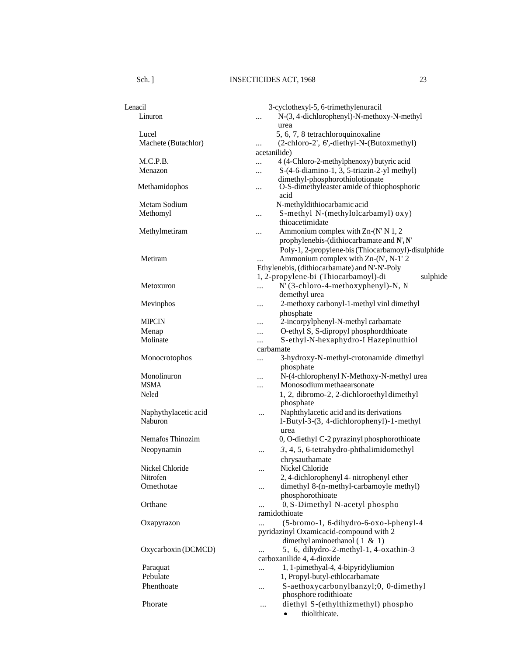| Lenacil<br>Linuron           | 3-cyclothexyl-5, 6-trimethylenuracil<br>N-(3, 4-dichlorophenyl)-N-methoxy-N-methyl<br>   |
|------------------------------|------------------------------------------------------------------------------------------|
|                              | urea                                                                                     |
| Lucel<br>Machete (Butachlor) | 5, 6, 7, 8 tetrachloroquinoxaline<br>(2-chloro-2', 6',-diethyl-N-(Butoxmethyl)           |
|                              | <br>acetanilide)                                                                         |
| M.C.P.B.                     | 4 (4-Chloro-2-methylphenoxy) butyric acid<br>                                            |
| Menazon                      | S-(4-6-diamino-1, 3, 5-triazin-2-yl methyl)<br>$\cdots$                                  |
|                              | dimethyl-phosphorothiolotionate                                                          |
| Methamidophos                | O-S-dimethyleaster amide of thiophosphoric<br><br>acid                                   |
| Metam Sodium                 | N-methyldithiocarbamic acid                                                              |
| Methomyl                     | S-methyl N-(methylolcarbamyl) oxy)<br>                                                   |
|                              | thioacetimidate                                                                          |
| Methylmetiram                | Ammonium complex with Zn-(N' N 1, 2<br>                                                  |
|                              | prophylenebis-(dithiocarbamate and N', N'                                                |
|                              | Poly-1, 2-propylene-bis (Thiocarbamoyl)-disulphide                                       |
| Metiram                      | Ammonium complex with Zn-(N', N-1' 2                                                     |
|                              | Ethylenebis, (dithiocarbamate) and N'-N'-Poly                                            |
|                              | 1, 2-propylene-bi (Thiocarbamoyl)-di<br>sulphide<br>$N'$ (3-chloro-4-methoxyphenyl)-N, N |
| Metoxuron                    | $\ddotsc$<br>demethyl urea                                                               |
| Mevinphos                    | 2-methoxy carbonyl-1-methyl vinl dimethyl<br>                                            |
|                              | phosphate                                                                                |
| <b>MIPCIN</b>                | 2-incorpylphenyl-N-methyl carbamate<br>                                                  |
| Menap                        | O-ethyl S, S-dipropyl phosphord thioate<br>                                              |
| Molinate                     | S-ethyl-N-hexaphydro-I Hazepinuthiol<br>$\ddotsc$                                        |
|                              | carbamate                                                                                |
| Monocrotophos                | 3-hydroxy-N-methyl-crotonamide dimethyl<br>                                              |
|                              | phosphate                                                                                |
| Monolinuron                  | N-(4-chlorophenyl N-Methoxy-N-methyl urea<br>                                            |
| <b>MSMA</b>                  | Monosodium methaearsonate<br>                                                            |
| Neled                        | 1, 2, dibromo-2, 2-dichloroethyl dimethyl<br>phosphate                                   |
| Naphythylacetic acid         | Naphthylacetic acid and its derivations<br>$\cdots$                                      |
| Naburon                      | 1-Butyl-3-(3, 4-dichlorophenyl)-1-methyl                                                 |
|                              | urea                                                                                     |
| Nemafos Thinozim             | 0, O-diethyl C-2 pyrazinyl phosphorothioate                                              |
| Neopynamin                   | 3, 4, 5, 6-tetrahydro-phthalimidomethyl<br>                                              |
|                              | chrysauthamate                                                                           |
| Nickel Chloride              | Nickel Chloride                                                                          |
| Nitrofen                     | 2, 4-dichlorophenyl 4- nitrophenyl ether                                                 |
| Omethotae                    | dimethyl 8-(n-methyl-carbamoyle methyl)<br>                                              |
|                              | phosphorothioate                                                                         |
| Orthane                      | 0, S-Dimethyl N-acetyl phospho                                                           |
|                              | ramidothioate<br>(5-bromo-1, 6-dihydro-6-oxo-l-phenyl-4                                  |
| Oxapyrazon                   | pyridazinyl Oxamicacid-compound with 2                                                   |
|                              | dimethyl aminoethanol $(1 \& 1)$                                                         |
| Oxycarboxin (DCMCD)          | 5, 6, dihydro-2-methyl-1, 4-oxathin-3                                                    |
|                              | carboxanilide 4, 4-dioxide                                                               |
| Paraquat                     | 1, 1-pimethyal-4, 4-bipyridyliumion<br>                                                  |
| Pebulate                     | 1, Propyl-butyl-ethlocarbamate                                                           |
| Phenthoate                   | S-aethoxycarbonylbanzyl;0, 0-dimethyl<br><br>phosphore rodithioate                       |
| Phorate                      | diethyl S-(ethylthizmethyl) phospho<br>                                                  |
|                              | thiolithicate.                                                                           |
|                              |                                                                                          |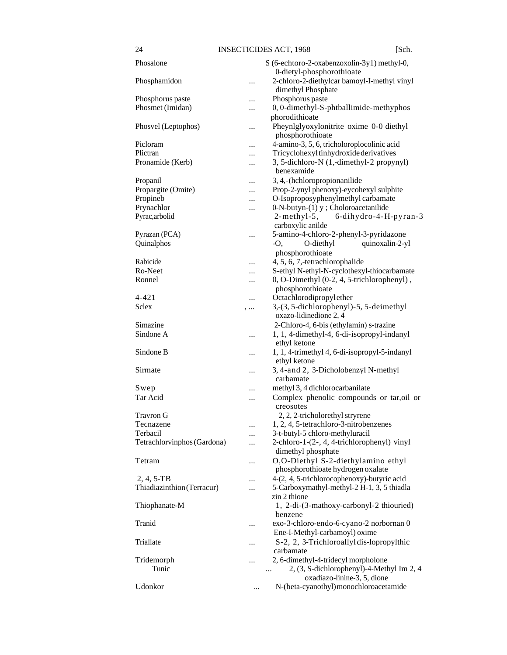|--|

| Phosalone                   |           | S (6-echtoro-2-oxabenzoxolin-3y1) methyl-0,                                                    |
|-----------------------------|-----------|------------------------------------------------------------------------------------------------|
| Phosphamidon                |           | 0-dietyl-phosphorothioate<br>2-chloro-2-diethylcar bamoyl-I-methyl vinyl<br>dimethyl Phosphate |
| Phosphorus paste            |           | Phosphorus paste                                                                               |
| Phosmet (Imidan)            | <br>      | 0, 0-dimethyl-S-phtballimide-methyphos<br>phorodithioate                                       |
| Phosvel (Leptophos)         |           | Pheynlglyoxylonitrite oxime 0-0 diethyl<br>phosphorothioate                                    |
| Picloram                    |           | 4-amino-3, 5, 6, tricholoroplocolinic acid                                                     |
| Plictran                    |           | Tricyclohexyl tinhydroxide derivatives                                                         |
| Pronamide (Kerb)            |           | 3, 5-dichloro-N (1,-dimethyl-2 propynyl)<br>benexamide                                         |
| Propanil                    |           | 3, 4,-(hchloropropionanilide                                                                   |
| Propargite (Omite)          |           | Prop-2-ynyl phenoxy)-eycohexyl sulphite                                                        |
| Propineb                    |           | O-Isoproposyphenylmethyl carbamate                                                             |
| Prynachlor                  |           | $0-N$ -butyn- $(1)$ y ; Choloroacetanilide                                                     |
| Pyrac, arbolid              |           | $2$ -methyl-5,<br>6-dihydro-4-H-pyran-3                                                        |
|                             |           | carboxylic anilde                                                                              |
| Pyrazan (PCA)               |           | 5-amino-4-chloro-2-phenyl-3-pyridazone                                                         |
| Quinalphos                  |           |                                                                                                |
|                             |           | O-diethyl<br>quinoxalin-2-yl<br>-O,                                                            |
|                             |           | phosphorothioate                                                                               |
| Rabicide                    |           | 4, 5, 6, 7,-tetrachlorophalide                                                                 |
| Ro-Neet                     | $\cdots$  | S-ethyl N-ethyl-N-cyclothexyl-thiocarbamate                                                    |
| Ronnel                      |           | 0, O-Dimethyl (0-2, 4, 5-trichlorophenyl),                                                     |
|                             |           | phosphorothioate                                                                               |
| 4-421                       |           | Octachlorodipropylether                                                                        |
| <b>Sclex</b>                | ,         | 3, (3, 5-dichlorophenyl) - 5, 5-deimethyl                                                      |
|                             |           | oxazo-lidinedione 2, 4                                                                         |
| Simazine                    |           | 2-Chloro-4, 6-bis (ethylamin) s-trazine                                                        |
| Sindone A                   | $\ddotsc$ | 1, 1, 4-dimethyl-4, 6-di-isopropyl-indanyl<br>ethyl ketone                                     |
| Sindone B                   |           | 1, 1, 4-trimethyl 4, 6-di-isopropyl-5-indanyl<br>ethyl ketone                                  |
| Sirmate                     |           | 3, 4-and 2, 3-Dicholobenzyl N-methyl                                                           |
|                             |           | carbamate                                                                                      |
|                             |           | methyl 3, 4 dichlorocarbanilate                                                                |
| Swep                        |           |                                                                                                |
| Tar Acid                    |           | Complex phenolic compounds or tar, oil or<br>creosotes                                         |
| Travron G                   |           | 2, 2, 2-tricholorethyl stryrene                                                                |
| Tecnazene                   | .         | 1, 2, 4, 5-tetrachloro-3-nitrobenzenes                                                         |
| Terbacil                    |           | 3-t-butyl-5 chloro-methyluracil                                                                |
| Tetrachlorvinphos (Gardona) | $\ddotsc$ | 2-chloro-1-(2-, 4, 4-trichlorophenyl) vinyl<br>dimethyl phosphate                              |
| Tetram                      | $\ddotsc$ | O,O-Diethyl S-2-diethylamino ethyl<br>phosphorothioate hydrogen oxalate                        |
| $2, 4, 5-TB$                |           | 4-(2, 4, 5-trichlorocophenoxy)-butyric acid                                                    |
| Thiadiazinthion (Terracur)  |           | 5-Carboxymathyl-methyl-2 H-1, 3, 5 thiadla                                                     |
|                             |           | zin 2 thione                                                                                   |
| Thiophanate-M               |           | 1, 2-di-(3-mathoxy-carbonyl-2 thiouried)<br>benzene                                            |
| Tranid                      |           | exo-3-chloro-endo-6-cyano-2 norbornan 0                                                        |
|                             |           | Ene-I-Methyl-carbamoyl) oxime                                                                  |
| Triallate                   |           | S-2, 2, 3-Trichloroallyldis-lopropylthic<br>carbamate                                          |
| Tridemorph                  | $\cdots$  | 2, 6-dimethyl-4-tridecyl morpholone                                                            |
| Tunic                       |           | 2, (3, S-dichlorophenyl)-4-Methyl Im 2, 4<br>                                                  |
|                             |           | oxadiazo-linine-3, 5, dione                                                                    |
| Udonkor                     |           | N-(beta-cyanothyl) monochloroacetamide                                                         |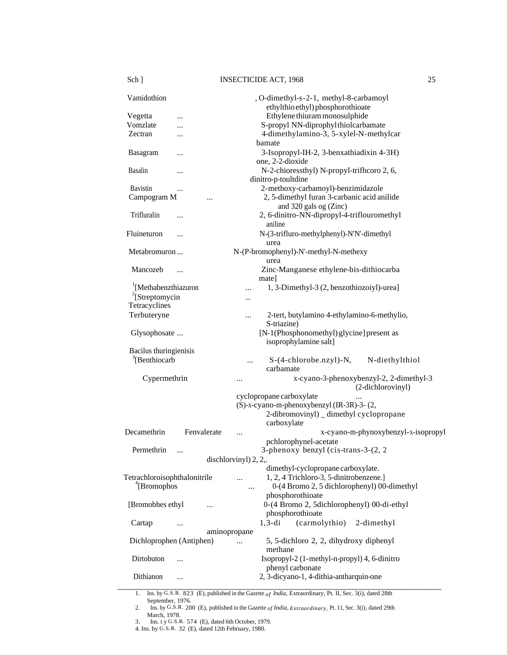| Vamidothion                       | , O-dimethyl-s-2-1, methyl-8-carbamoyl<br>ethylthio ethyl) phosphorothioate |
|-----------------------------------|-----------------------------------------------------------------------------|
| Vegetta<br>$\cdots$               | Ethylene thiuram monosulphide                                               |
| Vomzlate                          | S-propyl NN-diprophylthiolcarbamate                                         |
| Zectran<br>                       | 4-dimethylamino-3, 5-xylel-N-methylcar                                      |
|                                   | bamate                                                                      |
| Basagram                          | 3-Isopropyl-IH-2, 3-benxathiadixin 4-3H)                                    |
|                                   | one, 2-2-dioxide                                                            |
| Basalin                           |                                                                             |
| $\cdots$                          | N-2-chioressthyl) N-propyl-trifhcoro 2, 6,                                  |
|                                   | dinitro-p-toultdine                                                         |
| <b>Bavistin</b><br>$\cdots$       | 2-methoxy-carbamoyl)-benzimidazole                                          |
| Campogram M                       | 2, 5-dimethyl furan 3-carbanic acid anilide                                 |
|                                   | and 320 gals og (Zinc)                                                      |
| Trifluralin<br>                   | 2, 6-dinitro-NN-dipropyl-4-triflouromethyl                                  |
|                                   | aniline                                                                     |
| Fluineturon<br>                   | N-(3-trifluro-methylphenyl)-N'N'-dimethyl                                   |
|                                   | urea                                                                        |
| Metabromuron                      | N-(P-bromophenyl)-N'-methyl-N-methexy                                       |
|                                   | urea                                                                        |
| Mancozeb                          | Zinc-Manganese ethylene-bis-dithiocarba                                     |
| $\cdots$                          |                                                                             |
|                                   | mate]                                                                       |
| <sup>1</sup> [Methabenzthiazuron] | 1, 3-Dimethyl-3 (2, benzothiozoiyl)-urea]                                   |
| $2$ [Streptomycin                 | $\cdots$                                                                    |
| Tetracyclines                     |                                                                             |
| Terbuteryne                       | 2-tert, butylamino 4-ethylamino-6-methylio,<br>                             |
|                                   | S-triazine)                                                                 |
| Glysophosate                      | [N-1(Phosphonomethyl) glycine] present as                                   |
|                                   | isoprophylamine salt]                                                       |
| Bacilus thuringienisis            |                                                                             |
| $\sqrt[3]{B}$ enthiocarb          | N-diethylthiol<br>$S-(4-chlorobe.nzyl) - N,$                                |
|                                   | carbamate                                                                   |
| Cypermethrin                      | x-cyano-3-phenoxybenzyl-2, 2-dimethyl-3                                     |
|                                   | <br>(2-dichlorovinyl)                                                       |
|                                   |                                                                             |
|                                   | cyclopropane carboxylate                                                    |
|                                   | (S)-x-cyano-m-phenoxybenzyl (IR-3R)-3- (2,                                  |
|                                   | 2-dibromovinyl) _ dimethyl cyclopropane                                     |
|                                   | carboxylate                                                                 |
| Decamethrin<br>Fenvalerate        | x-cyano-m-phynoxybenzyl-x-isopropyl<br>                                     |
|                                   | pchlorophynel-acetate                                                       |
| Permethrin                        | 3-phenoxy benzyl (cis-trans-3-(2, 2)                                        |
|                                   | dischlorvinyl) 2, 2,                                                        |
|                                   | dimethyl-cyclopropane carboxylate.                                          |
| Tetrachloroisophthalonitrile      | 1, 2, 4 Trichloro-3, 5-dinitrobenzene.]<br>$\ddotsc$                        |
| <sup>4</sup> [Bromophos]          | 0-(4 Bromo 2, 5 dichlorophenyl) 00-dimethyl<br>                             |
|                                   | phosphorothioate                                                            |
| [Bromobhes ethyl]                 | 0-(4 Bromo 2, 5dichlorophenyl) 00-di-ethyl                                  |
| $\cdots$                          | phosphorothioate                                                            |
|                                   |                                                                             |
| Cartap<br>$\ddotsc$               | (carmolythio)<br>$1, 3$ -di<br>2-dimethyl                                   |
|                                   | aminopropane                                                                |
| Dichloprophen (Antiphen)          | 5, 5-dichloro 2, 2, dihydroxy diphenyl<br>$\ddotsc$                         |
|                                   | methane                                                                     |
| Dirtobuton                        | Isopropyl-2 (1-methyl-n-propyl) 4, 6-dinitro                                |
|                                   | phenyl carbonate                                                            |
| Dithianon<br>                     | 2, 3-dicyano-1, 4-dithia-antharquin-one                                     |
|                                   |                                                                             |

1. Ins. by G.S.R. 823 (E), published in the Gazette *of India,* Extraordinary, Pt. II, Sec. 3(i), dated 28th September, 1976.

4. Ins. by G.S.R. 32 (E), dated 12th February, 1980.

<sup>2.</sup> Ins. by G.S.R. 200 (E), published in the Gazette *of India, Extraordinary,* Pt. 11, Sec. 3(i), dated 29th March, 1978.

<sup>3.</sup> Ins. t y G.S.R. 574 (E), dated 6th October, 1979.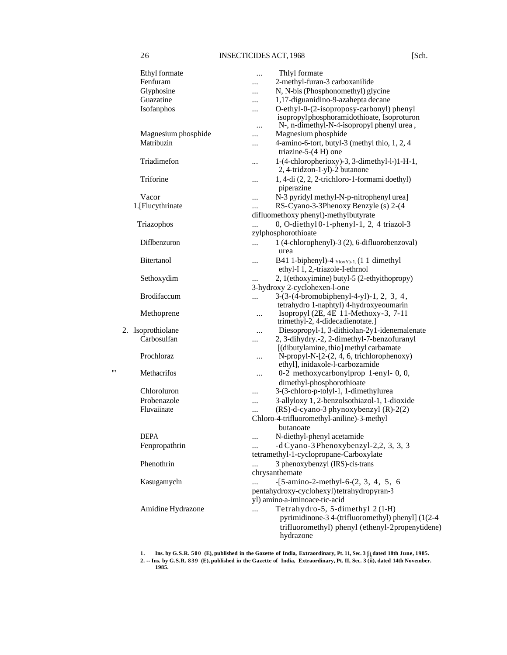| Ethyl formate<br>Fenfuram | Thlyl formate<br><br>2-methyl-furan-3 carboxanilide                                                     |
|---------------------------|---------------------------------------------------------------------------------------------------------|
| Glyphosine                | <br>N, N-bis (Phosphonomethyl) glycine                                                                  |
| Guazatine                 | <br>1,17-diguanidino-9-azahepta decane                                                                  |
| Isofanphos                | <br>O-ethyl-0-(2-isoproposy-carbonyl) phenyl<br>$\ddotsc$<br>isopropylphosphoramidothioate, Isoproturon |
|                           | N-, n-dimethyl-N-4-isopropyl phenyl urea,<br>                                                           |
| Magnesium phosphide       | Magnesium phosphide                                                                                     |
| Matribuzin                | 4-amino-6-tort, butyl-3 (methyl thio, 1, 2, 4<br><br>triazine-5- $(4 H)$ one                            |
| Triadimefon               | 1-(4-chloropherioxy)-3, 3-dimethyl-l-)1-H-1,<br>$\cdots$<br>2, 4-tridzon-1-yl)-2 butanone               |
| Triforine                 | 1, 4-di (2, 2, 2-trichloro-1-formami doethyl)<br><br>piperazine                                         |
| Vacor                     | N-3 pyridyl methyl-N-p-nitrophenyl urea]<br>                                                            |
| 1.[Flucythrinate          | RS-Cyano-3-3Phenoxy Benzyle (s) 2-(4<br>$\cdots$                                                        |
|                           | difluomethoxy phenyl)-methylbutyrate                                                                    |
| Triazophos                | 0, O-diethyl 0-1-phenyl-1, 2, 4 triazol-3                                                               |
|                           | zylphosphorothioate                                                                                     |
| Diflbenzuron              | 1 (4-chlorophenyl)-3 (2), 6-difluorobenzoval)<br>                                                       |
|                           | urea                                                                                                    |
| <b>Bitertanol</b>         | B41 1-biphenyl)-4 $_{YloxY}$ <sub>1</sub> , (1 1 dimethyl<br>$\ddotsc$                                  |
|                           | ethyl-I 1, 2,-triazole-I-ethrnol                                                                        |
| Sethoxydim                | 2, 1(ethoxyimine) butyl-5 (2-ethyithopropy)<br>                                                         |
|                           | 3-hydroxy 2-cyclohexen-l-one                                                                            |
| <b>Brodifaccum</b>        | 3-(3-(4-bromobiphenyl-4-yl)-1, 2, 3, 4,<br>$\cdots$                                                     |
|                           | tetrahydro 1-naphtyl) 4-hydroxyeoumarin                                                                 |
| Methoprene                | Isopropyl (2E, 4E 11-Methoxy-3, 7-11<br><br>trimethyl-2, 4-didecadienotate.]                            |
| 2. Jsoprothiolane         | Diesopropyl-1, 3-dithiolan-2y1-idenemalenate<br>                                                        |
| Carbosulfan               | 2, 3-dihydry.-2, 2-dimethyl-7-benzofuranyl<br>                                                          |
|                           | [(dibutylamine, thio] methyl carbamate                                                                  |
| Prochloraz                | N-propyl-N-[2-(2, 4, 6, trichlorophenoxy)<br><br>ethyl], inidaxole-l-carbozamide                        |
| "<br>Methacrifos          | 0-2 methoxycarbonylprop 1-enyl-0,0,<br>                                                                 |
|                           | dimethyl-phosphorothioate                                                                               |
| Chloroluron               | 3-(3-chloro-p-tolyl-1, 1-dimethylurea<br>                                                               |
| Probenazole               | 3-allyloxy 1, 2-benzolsothiazol-1, 1-dioxide<br>                                                        |
| Fluvaiinate               | (RS)-d-cyano-3 phynoxybenzyl (R)-2(2)<br>$\cdots$                                                       |
|                           | Chloro-4-trifluoromethyl-aniline)-3-methyl                                                              |
|                           | butanoate                                                                                               |
| <b>DEPA</b>               | N-diethyl-phenyl acetamide<br>$\cdots$                                                                  |
| Fenpropathrin             | -d Cyano-3 Phenoxybenzyl-2,2, 3, 3, 3                                                                   |
|                           | tetramethyl-1-cyclopropane-Carboxylate                                                                  |
| Phenothrin                | 3 phenoxybenzyl (IRS)-cis-trans<br>$\cdots$                                                             |
|                           | chrysanthemate                                                                                          |
| Kasugamycln               | $-[5-amino-2-methyl-6-(2, 3, 4, 5, 6)]$<br>$\cdots$                                                     |
|                           | pentahydroxy-cyclohexyl) tetrahydropyran-3                                                              |
|                           | yl) amino-a-iminoace-tic-acid                                                                           |
| Amidine Hydrazone         | Tetrahydro-5, 5-dimethyl 2(1-H)<br>$\ddotsc$                                                            |
|                           | pyrimidinone-3 4-(trifluoromethyl) phenyl] (1(2-4                                                       |
|                           | trifluoromethyl) phenyl (ethenyl-2propenytidene)                                                        |
|                           | hydrazone                                                                                               |

1. Ins. by G.S.R. 500 (E), published in the Gazette of India, Extraordinary, Pt. 11, Sec. 3 (j), dated 18th June, 1985.<br>2. -- Ins. by G.S.R. 839 (E), published in the Gazette of India, Extraordinary, Pt. II, Sec. 3 (ii), d **1985.**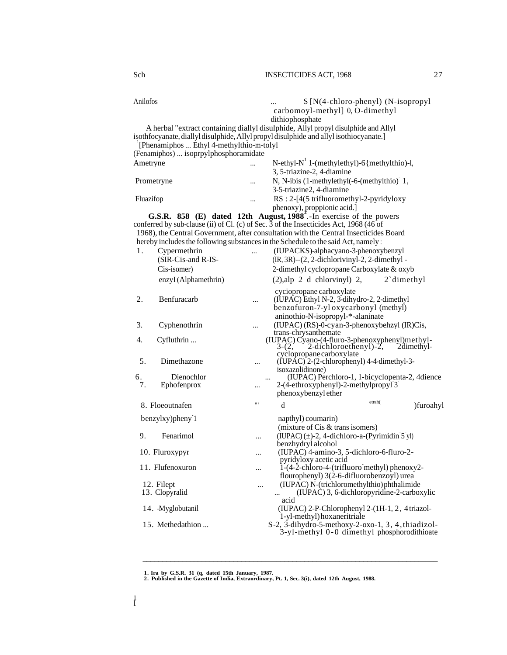| Anilofos   |                                                                                                 |          | S [N(4-chloro-phenyl) (N-isopropyl                                                             |  |  |  |
|------------|-------------------------------------------------------------------------------------------------|----------|------------------------------------------------------------------------------------------------|--|--|--|
|            |                                                                                                 |          | carbomoyl-methyl] 0, O-dimethyl                                                                |  |  |  |
|            |                                                                                                 |          | dithiophosphate                                                                                |  |  |  |
|            |                                                                                                 |          | A herbal "extract containing diallyl disulphide, Allyl propyl disulphide and Allyl             |  |  |  |
|            |                                                                                                 |          | isothfocyanate, diallyl disulphide, Allyl propyl disulphide and allyl isothiocyanate.]         |  |  |  |
|            | <sup>1</sup> [Phenamiphos  Ethyl 4-methylthio-m-tolyl]<br>(Fenamiphos)  isoprpylphosphoramidate |          |                                                                                                |  |  |  |
|            |                                                                                                 |          | N-ethyl- $N^1$ 1-(methylethyl)-6{methylthio)-l,                                                |  |  |  |
| Ametryne   |                                                                                                 |          | 3, 5-triazine-2, 4-diamine                                                                     |  |  |  |
|            |                                                                                                 |          |                                                                                                |  |  |  |
| Prometryne |                                                                                                 | $\cdots$ | N, N-ibis (1-methylethyl(-6-(methylthio) 1,<br>3-5-triazine2, 4-diamine                        |  |  |  |
| Fluazifop  |                                                                                                 |          | $RS: 2-[4(5 trifluorometry1-2-pyridyloxy$                                                      |  |  |  |
|            |                                                                                                 |          | phenoxy), proppionic acid.]                                                                    |  |  |  |
|            |                                                                                                 |          | G.S.R. 858 (E) dated 12th August, 1988 <sup>-</sup> .-In exercise of the powers                |  |  |  |
|            |                                                                                                 |          | conferred by sub-clause (ii) of Cl. (c) of Sec. $\bar{3}$ of the Insecticides Act, 1968 (46 of |  |  |  |
|            |                                                                                                 |          | 1968), the Central Government, after consultation with the Central Insecticides Board          |  |  |  |
|            |                                                                                                 |          | hereby includes the following substances in the Schedule to the said Act, namely:              |  |  |  |
| 1.         | Cypermethrin                                                                                    |          | (IUPACKS)-alphacyano-3-phenoxybenzyl                                                           |  |  |  |
|            | (SIR-Cis-and R-IS-                                                                              |          | $(IR, 3R)$ -- $(2, 2$ -dichlorivinyl-2, 2-dimethyl -                                           |  |  |  |
|            | Cis-isomer)                                                                                     |          | 2-dimethyl cyclopropane Carboxylate & oxyb                                                     |  |  |  |
|            | enzyI (Alphamethrin)                                                                            |          | $(2),$ alp 2 d chlorvinyl) 2,<br>$2$ dimethyl                                                  |  |  |  |
|            |                                                                                                 |          | cyciopropane carboxylate                                                                       |  |  |  |
| 2.         | Benfuracarb                                                                                     | $\cdots$ | (IUPAC) Ethyl N-2, 3-dihydro-2, 2-dimethyl                                                     |  |  |  |
|            |                                                                                                 |          | benzofuron-7-yl oxycarbonyl (methyl)                                                           |  |  |  |
|            |                                                                                                 |          | aninothio-N-isopropyl-*-alaninate                                                              |  |  |  |
| 3.         | Cyphenothrin                                                                                    | $\cdots$ | (IUPAC) (RS)-0-cyan-3-phenoxybehzyl (IR)Cis,                                                   |  |  |  |
| 4.         | Cyfluthrin                                                                                      |          | trans-chrysanthemate<br>(IUPAC) Cyano-(4-fluro-3-phenoxyphenyl)methyl-                         |  |  |  |
|            |                                                                                                 |          | $2$ -dichloroethenyl)- $2$ ,<br>$3-(2,$<br>2dimethyl-                                          |  |  |  |
|            |                                                                                                 |          | cyclopropane carboxylate                                                                       |  |  |  |
| 5.         | Dimethazone                                                                                     |          | (IUPÁC) <sup>2</sup> -(2-chlorophenyl) 4-4-dimethyl-3-<br>isoxazolidinone)                     |  |  |  |
| 6.         | Dienochlor                                                                                      |          | (IUPAC) Perchloro-1, 1-bicyclopenta-2, 4dience                                                 |  |  |  |
| 7.         | Ephofenprox                                                                                     |          | 2-(4-ethroxyphenyl)-2-methylpropyl <sup>3</sup>                                                |  |  |  |
|            |                                                                                                 |          | phenoxybenzyl ether                                                                            |  |  |  |
|            | 8. Floeoutnafen                                                                                 | "        | etrah(<br>d<br>)furoahyl                                                                       |  |  |  |
|            |                                                                                                 |          |                                                                                                |  |  |  |
|            | benzylxy)pheny <sup>1</sup>                                                                     |          | napthyl) coumarin)<br>(mixture of $Cis \&$ trans isomers)                                      |  |  |  |
| 9.         | Fenarimol                                                                                       |          | $(IUPAC) (\pm)$ -2, 4-dichloro-a- $(Pyrimidin 5$ yl)                                           |  |  |  |
|            |                                                                                                 | $\cdots$ | benzhydryl alcohol                                                                             |  |  |  |
|            | 10. Fluroxypyr                                                                                  | $\cdots$ | (IUPAC) 4-amino-3, 5-dichloro-6-fluro-2-                                                       |  |  |  |
|            |                                                                                                 |          | pyridyloxy acetic acid                                                                         |  |  |  |
|            | 11. Flufenoxuron                                                                                |          | $1-(4-2)$ -chloro-4-(trifluoro methyl) phenoxy2-                                               |  |  |  |
|            |                                                                                                 |          | flourophenyl) 3(2-6-difluorobenzoyl) urea                                                      |  |  |  |
|            | 12. Filept<br>13. Clopyralid                                                                    |          | (IUPAC) N-(trichloromethylthio) phthalimide<br>(IUPAC) 3, 6-dichloropyridine-2-carboxylic      |  |  |  |
|            |                                                                                                 |          | $\cdots$<br>acid                                                                               |  |  |  |
|            | 14. Myglobutanil                                                                                |          | (IUPAC) 2-P-Chlorophenyl 2-(1H-1, 2, 4 triazol-                                                |  |  |  |
|            |                                                                                                 |          | 1-yl-methyl) hoxaneritriale                                                                    |  |  |  |
|            | 15. Methedathion                                                                                |          | $S-2$ , $\overline{3}$ -dihydro-5-methoxy-2-oxo-1, 3, 4, thiadizol-                            |  |  |  |
|            |                                                                                                 |          | 3-yl-methyl 0-0 dimethyl phosphorodithioate                                                    |  |  |  |

 $\overline{\phantom{a}}$  , and the set of the set of the set of the set of the set of the set of the set of the set of the set of the set of the set of the set of the set of the set of the set of the set of the set of the set of the s

**<sup>1.</sup> Ira by G.S.R. 31 (q, dated 15th January, 1987. 2. Published in the Gazette of India, Extraordinary, Pt. 1, Sec. 3(i), dated 12th August, 1988.**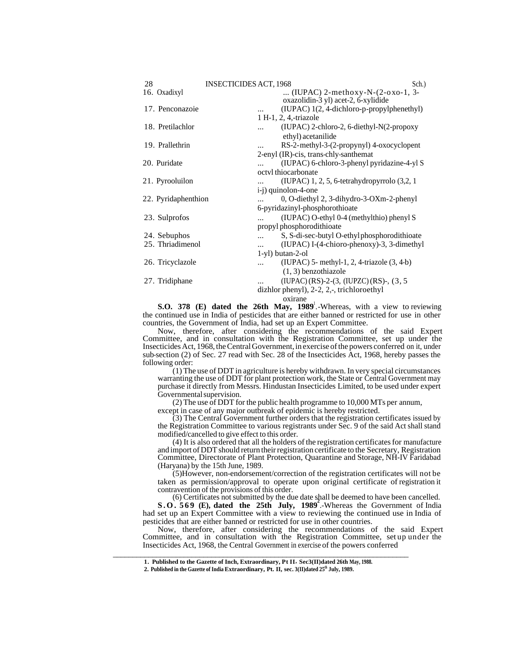| 28                  | <b>INSECTICIDES ACT, 1968</b>  | Sch.)                                                                          |
|---------------------|--------------------------------|--------------------------------------------------------------------------------|
| 16. Oxadixyl        |                                | (IUPAC) $2$ -methoxy-N- $(2$ -oxo-1, 3-<br>oxazolidin-3 yl) acet-2, 6-xylidide |
| 17. Penconazoie     |                                | (IUPAC) 1(2, 4-dichloro-p-propylphenethyl)                                     |
|                     | 1 H-1, 2, 4,-triazole          |                                                                                |
| 18. Pretilachlor    |                                | $(IUPAC)$ 2-chloro-2, 6-diethyl-N $(2$ -propoxy                                |
|                     |                                | ethyl) acetanilide                                                             |
| 19. Prallethrin     |                                | RS-2-methyl-3-(2-propynyl) 4-oxocyclopent                                      |
|                     |                                | 2-enyl (IR)-cis, trans-chly-santhemat                                          |
| 20. Puridate        |                                | (IUPAC) 6-chloro-3-phenyl pyridazine-4-yl S                                    |
|                     | octyl thiocarbonate            |                                                                                |
| 21. Pyrooluilon     |                                | (IUPAC) 1, 2, 5, 6-tetrahydropyrrolo (3,2, 1)                                  |
|                     | i-j) quinolon-4-one            |                                                                                |
| 22. Pyridaphenthion |                                | 0, O-diethyl 2, 3-dihydro-3-OXm-2-phenyl                                       |
|                     | 6-pyridazinyl-phosphorothioate |                                                                                |
| 23. Sulprofos       |                                | (IUPAC) O-ethyl 0-4 (methylthio) phenyl S                                      |
|                     | propyl phosphorodithioate      |                                                                                |
| 24. Sebuphos        |                                | S, S-di-sec-butyl O-ethylphosphorodithioate                                    |
| 25. Thriadimenol    | $\cdots$                       | $(IUPAC) I-(4-chioro-phenoxy)-3, 3-dimethyl$                                   |
|                     | 1-yl) butan-2-ol               |                                                                                |
| 26. Tricyclazole    |                                | $(IUPAC)$ 5- methyl-1, 2, 4-triazole $(3, 4-b)$                                |
|                     |                                | $(1, 3)$ benzothiazole                                                         |
| 27. Tridiphane      |                                | $(IUPAC)(RS)-2-(3, (IUPZC)(RS)$ , $(3, 5)$                                     |
|                     |                                | dizhlor phenyl), 2-2, 2,-, trichloroethyl                                      |
|                     | oxirane                        |                                                                                |

**S.O. 378 (E) dated the 26th May, 1989<sup>1</sup>.**-Whereas, with a view to reviewing the continued use in India of pesticides that are either banned or restricted for use in other countries, the Government of India, had set up an Expert Committee.

Now, therefore, after considering the recommendations of the said Expert Committee, and in consultation with the Registration Committee, set up under the Insecticides Act, 1968, the Central Government, in exercise of the powers conferred on it, under sub-section (2) of Sec. 27 read with Sec. 28 of the Insecticides Act, 1968, hereby passes the following order:

(1) The use of DDT in agriculture is hereby withdrawn. In very special circumstances warranting the use of DDT for plant protection work, the State or Central Government may purchase it directly from Messrs. Hindustan Insecticides Limited, to be used under expert Governmental supervision.

(2) The use of DDT for the public health programme to  $10,000$  MTs per annum,

except in case of any major outbreak of epidemic is hereby restricted.

(3) The Central Government further orders that the registration certificates issued by the Registration Committee to various registrants under Sec. 9 of the said Act shall stand modified/cancelled to give effect to this order.

(4) It is also ordered that all the holders of the registration certificates for manufacture and import of DDT should return their registration certificate to the Secretary, Registration Committee, Directorate of Plant Protection, Quarantine and Storage, NH-IV Faridabad (Haryana) by the 15th June, 1989.

(5)However, non-endorsement/correction of the registration certificates will not be taken as permission/approval to operate upon original certificate of registration it contravention of the provisions of this order.

(6) Certificates not submitted by the due date shall be deemed to have been cancelled. **S.O. 569 (E), dated the 25th July, 1989<sup>2</sup>** .-Whereas the Government of India had set up an Expert Committee with a view to reviewing the continued use in India of

pesticides that are either banned or restricted for use in other countries. Now, therefore, after considering the recommendations of the said Expert Committee, and in consultation with the Registration Committee, set up under the Insecticides Act, 1968, the Central Government in exercise of the powers conferred

\_\_\_\_\_\_\_\_\_\_\_\_\_\_\_\_\_\_\_\_\_\_\_\_\_\_\_\_\_\_\_\_\_\_\_\_\_\_\_\_\_\_\_\_\_\_\_\_\_\_\_\_\_\_\_\_\_\_\_\_\_\_\_\_\_\_\_\_\_\_\_\_\_\_\_ **1. Published to the Gazette of Inch, Extraordinary, Pt II, Sec3(II)dated 26th May, 1988.**

**<sup>2.</sup> Published in the Gazette of India Extraordinary, Pt. II, sec. 3(II)dated 25th July, 1989.**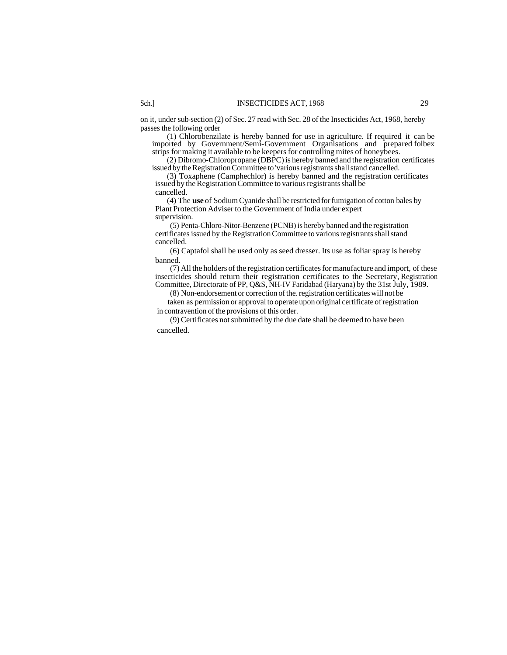on it, under sub-section (2) of Sec. 27 read with Sec. 28 of the Insecticides Act, 1968, hereby passes the following order

(1) Chlorobenzilate is hereby banned for use in agriculture. If required it can be imported by Government/Semi-Government Organisations and prepared folbex strips for making it available to be keepers for controlling mites of honeybees.

(2) Dibromo-Chloropropane (DBPC) is hereby banned and the registration certificates issued by the Registration Committee to 'various registrants shall stand cancelled.

(3) Toxaphene (Camphechlor) is hereby banned and the registration certificates issued by the Registration Committee to various registrants shall be

cancelled.

(4) The **use** of Sodium Cyanide shall be restricted for fumigation of cotton bales by Plant Protection Adviser to the Government of India under expert supervision.

(5) Penta-Chloro-Nitor-Benzene (PCNB) is hereby banned and the registration certificates issued by the Registration Committee to various registrants shall stand cancelled.

(6) Captafol shall be used only as seed dresser. Its use as foliar spray is hereby banned.

(7) All the holders of the registration certificates for manufacture and import, of these insecticides should return their registration certificates to the Secretary, Registration Committee, Directorate of PP, Q&S, NH-IV Faridabad (Haryana) by the 31st July, 1989.

(8) Non-endorsement or correction of the. registration certificates will not be

taken as permission or approval to operate upon original certificate of registration in contravention of the provisions of this order.

(9) Certificates not submitted by the due date shall be deemed to have been cancelled.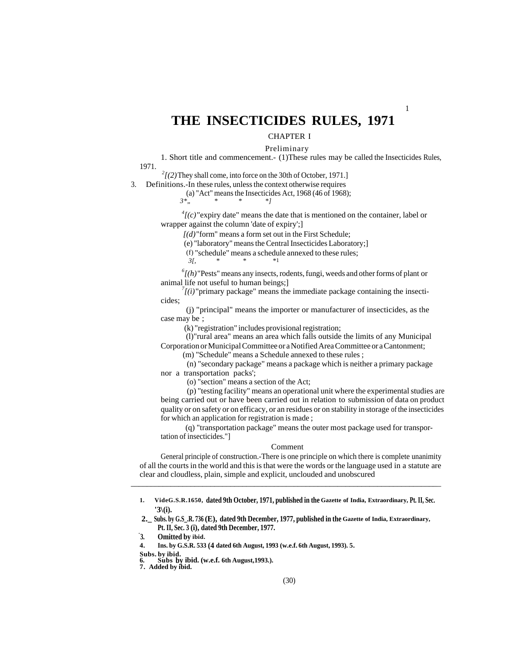# **THE INSECTICIDES RULES, 1971**

# CHAPTER I

Preliminary

1

1. Short title and commencement.- (1)These rules may be called the Insecticides Rules, 1971.

 $2^2$ [(2)They shall come, into force on the 30th of October, 1971.]

3. Definitions.-In these rules, unless the context otherwise requires

(a) "Act" means the Insecticides Act, 1968 (46 of 1968);

*3\*" \* \* \*]*

 $^{4}$ [(c)<sup>"</sup>expiry date" means the date that is mentioned on the container, label or wrapper against the column 'date of expiry';]

*[(d)*"form" means a form set out in the First Schedule;

(e) "laboratory" means the Central Insecticides Laboratory;]

(f) "schedule" means a schedule annexed to these rules;<br> $\frac{3I}{N}$ 

 *3[, \* \* \**1

*6 [(h)*"Pests" means any insects, rodents, fungi, weeds and other forms of plant or animal life not useful to human beings;]

 $\frac{7}{l(i)}$ "primary package" means the immediate package containing the insecticides;

 (j) "principal" means the importer or manufacturer of insecticides, as the case may be ;

(k) "registration" includes provisional registration;

 (l)"rural area" means an area which falls outside the limits of any Municipal Corporation or Municipal Committee or a Notified Area Committee or a Cantonment;

(m) "Schedule" means a Schedule annexed to these rules ;

 (n) "secondary package" means a package which is neither a primary package nor a transportation packs';

(o) "section" means a section of the Act;

(p) "testing facility" means an operational unit where the experimental studies are being carried out or have been carried out in relation to submission of data on product quality or on safety or on efficacy, or an residues or on stability in storage of the insecticides for which an application for registration is made ;

 (q) "transportation package" means the outer most package used for transportation of insecticides."]

#### Comment

General principle of construction.-There is one principle on which there is complete unanimity of all the courts in the world and this is that were the words or the language used in a statute are clear and cloudless, plain, simple and explicit, unclouded and unobscured

\_\_\_\_\_\_\_\_\_\_\_\_\_\_\_\_\_\_\_\_\_\_\_\_\_\_\_\_\_\_\_\_\_\_\_\_\_\_\_\_\_\_\_\_\_\_\_\_\_\_\_\_\_\_\_\_\_\_\_\_\_\_\_\_\_\_\_\_\_\_\_\_\_\_\_\_\_\_

**7. Added by ibid.**

**<sup>1.</sup> VideG.S.R.1650, dated 9th October, 1971, published in the Gazette of India, Extraordinary, Pt. II, Sec. '3\(i).**

**<sup>2.</sup>\_ Subs. by G.S\_.R. 736 (E), dated 9th December, 1977, published in the Gazette of India, Extraordinary, Pt. II, Sec. 3 (i), dated 9th December, 1977.**

**<sup>-</sup> 3. Omitted by ibid.**

**<sup>4.</sup> Ins. by G.S.R. 533 (4 dated 6th August, 1993 (w.e.f. 6th August, 1993). 5.** 

**Subs. by ibid.**

**<sup>6.</sup> Subs by ibid. (w.e.f. 6th August,1993.).**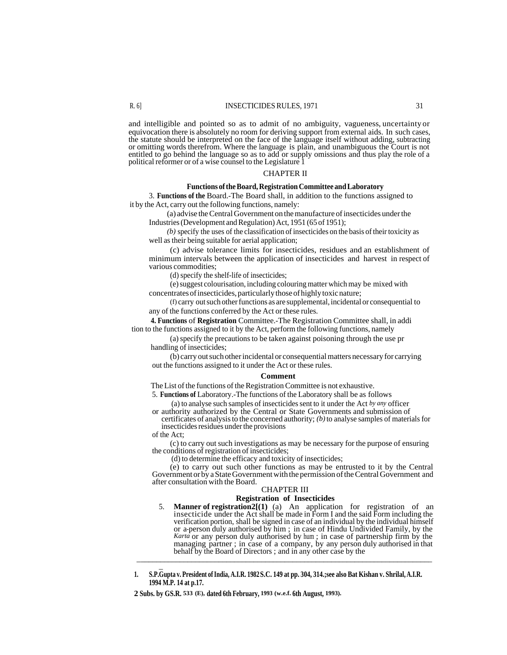and intelligible and pointed so as to admit of no ambiguity, vagueness, uncertainty or equivocation there is absolutely no room for deriving support from external aids. In such cases, the statute should be interpreted on the face of the language itself without adding, subtracting or omitting words therefrom. Where the language is plain, and unambiguous the Court is not entitled to go behind the language so as to add or supply omissions and thus play the role of a political reformer or of a wise counsel to the Legislature 1

#### CHAPTER II

#### **Functions of the Board, Registration Committee and Laboratory**

3. **Functions of the** Board.-The Board shall, in addition to the functions assigned to it by the Act, carry out the following functions, namely:

(a) advise the Central Government on the manufacture of insecticides under the Industries (Development and Regulation) Act, 1951 (65 of 1951);

*(b)* specify the uses of the classification of insecticides on the basis of their toxicity as well as their being suitable for aerial application;

(c) advise tolerance limits for insecticides, residues and an establishment of minimum intervals between the application of insecticides and harvest in respect of various commodities;

(d) specify the shelf-life of insecticides;

(e) suggest colourisation, including colouring matter which may be mixed with concentrates of insecticides, particularly those of highly toxic nature;

(f) carry out such other functions as are supplemental, incidental or consequential to any of the functions conferred by the Act or these rules.

**4. Functions** of **Registration** Committee.-The Registration Committee shall, in addi tion to the functions assigned to it by the Act, perform the following functions, namely

(a) specify the precautions to be taken against poisoning through the use pr handling of insecticides;

(b) carry out such other incidental or consequential matters necessary for carrying out the functions assigned to it under the Act or these rules.

#### **Comment**

The List of the functions of the Registration Committee is not exhaustive.

5. **Functions of** Laboratory.-The functions of the Laboratory shall be as follows

(a) to analyse such samples of insecticides sent to it under the Act *by any* officer or authority authorized by the Central or State Governments and submission of

certificates of analysis to the concerned authority; *(b)* to analyse samples of materials for insecticides residues under the provisions

of the Act;

\_

(c) to carry out such investigations as may be necessary for the purpose of ensuring the conditions of registration of insecticides;

(d) to determine the efficacy and toxicity of insecticides;

(e) to carry out such other functions as may be entrusted to it by the Central Government or by a State Government with the permission of the Central Government and after consultation with the Board.

# CHAPTER III

# **Registration of Insecticides**

5. **Manner of registration2[(1)** (a) An application for registration of an insecticide under the Act shall be made in Form I and the said Form including the verification portion, shall be signed in case of an individual by the individual himself or a-person duly authorised by him ; in case of Hindu Undivided Family, by the *Karta* or any person duly authorised by hum ; in case of partnership firm by the managing partner ; in case of a company, by any person duly authorised in that behalf by the Board of Directors ; and in any other case by the \_\_\_\_\_\_\_\_\_\_\_\_\_\_\_\_\_\_\_\_\_\_\_\_\_\_\_\_\_\_\_\_\_\_\_\_\_\_\_\_\_\_\_\_\_\_\_\_\_\_\_\_\_\_\_\_\_\_\_\_\_\_\_\_\_\_\_\_\_\_\_\_\_\_\_\_

**2 Subs. by GS.R. 533 (E), dated 6th February, 1993 (w.e.f. 6th August, 1993).**

**<sup>1.</sup> S.P.Gupta v. President of India, A.I.R. 1982 S.C. 149 at pp. 304, 314.;see also Bat Kishan v. Shrilal, A.I.R. 1994 M.P. 14 at p.17.**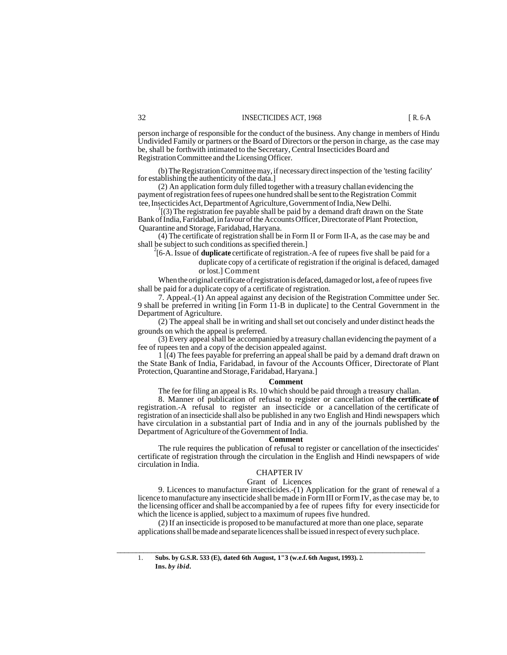person incharge of responsible for the conduct of the business. Any change in members of Hindu

Undivided Family or partners or the Board of Directors or the person in charge, as the case may be, shall be forthwith intimated to the Secretary, Central Insecticides Board and Registration Committee and the Licensing Officer.

(b) The Registration Committee may, if necessary direct inspection of the 'testing facility' for establishing the authenticity of the data.]

(2) An application form duly filled together with a treasury challan evidencing the payment of registration fees of rupees one hundred shall be sent to the Registration Commit tee, Insecticides Act, Department of Agriculture, Government of India, New Delhi.

1 [(3) The registration fee payable shall be paid by a demand draft drawn on the State Bank of India, Faridabad, in favour of the Accounts Officer, Directorate of Plant Protection, Quarantine and Storage, Faridabad, Haryana.

(4) The certificate of registration shall be in Form II or Form II-A, as the case may be and shall be subject to such conditions as specified therein.]

2 [6-A. Issue of **duplicate** certificate of registration.-A fee of rupees five shall be paid for a duplicate copy of a certificate of registration if the original is defaced, damaged or lost.] Comment

When the original certificate of registration is defaced, damaged or lost, a fee of rupees five shall be paid for a duplicate copy of a certificate of registration.

7. Appeal.-(1) An appeal against any decision of the Registration Committee under Sec. 9 shall be preferred in writing [in Form 11-B in duplicate] to the Central Government in the Department of Agriculture.

(2) The appeal shall be in writing and shall set out concisely and under distinct heads the grounds on which the appeal is preferred.

(3) Every appeal shall be accompanied by a treasury challan evidencing the payment of a fee of rupees ten and a copy of the decision appealed against.

1 [(4) The fees payable for preferring an appeal shall be paid by a demand draft drawn on the State Bank of India, Faridabad, in favour of the Accounts Officer, Directorate of Plant Protection, Quarantine and Storage, Faridabad, Haryana.]

#### **Comment**

The fee for filing an appeal is Rs. 10 which should be paid through a treasury challan.

8. Manner of publication of refusal to register or cancellation of **the certificate of**  registration.-A refusal to register an insecticide or a cancellation of the certificate of registration of an insecticide shall also be published in any two English and Hindi newspapers which have circulation in a substantial part of India and in any of the journals published by the Department of Agriculture of the Government of India.

#### **Comment**

The rule requires the publication of refusal to register or cancellation of the insecticides' certificate of registration through the circulation in the English and Hindi newspapers of wide circulation in India.

# CHAPTER IV

### Grant of Licences

9. Licences to manufacture insecticides.-(1) Application for the grant of renewal of a licence to manufacture any insecticide shall be made in Form III or Form IV, as the case may be, to the licensing officer and shall be accompanied by a fee of rupees fifty for every insecticide for which the licence is applied, subject to a maximum of rupees five hundred.

(2) If an insecticide is proposed to be manufactured at more than one place, separate applications shall be made and separate licences shall be issued in respect of every such place.

\_\_\_\_\_\_\_\_\_\_\_\_\_\_\_\_\_\_\_\_\_\_\_\_\_\_\_\_\_\_\_\_\_\_\_\_\_\_\_\_\_\_\_\_\_\_\_\_\_\_\_\_\_\_\_\_\_\_\_\_\_\_\_\_\_\_\_\_\_\_\_\_\_\_\_\_\_\_\_\_

<sup>1.</sup> **Subs. by G.S.R. 533 (E), dated 6th August, 1"3 (w.e.f. 6th August, 1993). 2. Ins.** *by ibid.*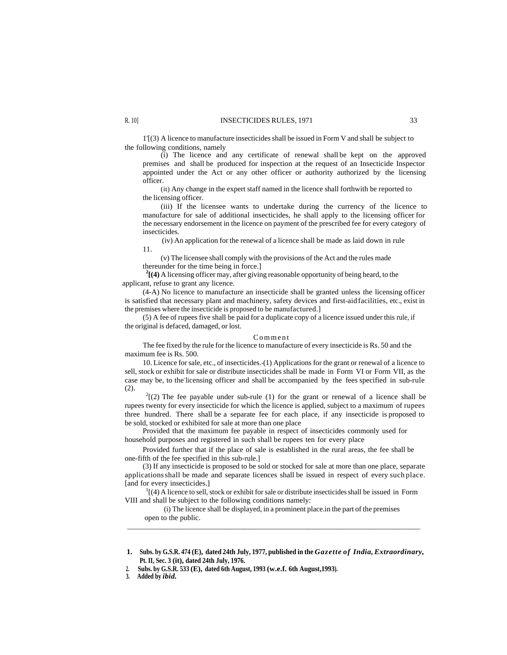1'[(3) A licence to manufacture insecticides shall be issued in Form V and shall be subject to the following conditions, namely

(i) The licence and any certificate of renewal shall be kept on the approved premises and shall be produced for inspection at the request of an Insecticide Inspector appointed under the Act or any other officer or authority authorized by the licensing officer.

(it) Any change in the expert staff named in the licence shall forthwith be reported to the licensing officer.

(iii) If the licensee wants to undertake during the currency of the licence to manufacture for sale of additional insecticides, he shall apply to the licensing officer for the necessary endorsement in the licence on payment of the prescribed fee for every category of insecticides.

(iv) An application for the renewal of a licence shall be made as laid down in rule 11.

(v) The licensee shall comply with the provisions of the Act and the rules made thereunder for the time being in force.]

**2 [(4)** A licensing officer may, after giving reasonable opportunity of being heard, to the applicant, refuse to grant any licence.

(4-A) No licence to manufacture an insecticide shall be granted unless the licensing officer is satisfied that necessary plant and machinery, safety devices and first-aid facilities, etc., exist in the premises where the insecticide is proposed to be manufactured.]

(5) A fee of rupees five shall be paid for a duplicate copy of a licence issued under this rule, if the original is defaced, damaged, or lost.

#### Comment

The fee fixed by the rule for the licence to manufacture of every insecticide is Rs. 50 and the maximum fee is Rs. 500.

10. Licence for sale, etc., of insecticides.-(1) Applications for the grant or renewal of a licence to sell, stock or exhibit for sale or distribute insecticides shall be made in Form VI or Form VII, as the case may be, to the-licensing officer and shall be accompanied by the fees specified in sub-rule (2).

 $2(2)$  The fee payable under sub-rule (1) for the grant or renewal of a licence shall be rupees twenty for every insecticide for which the licence is applied, subject to a maximum of rupees three hundred. There shall be a separate fee for each place, if any insecticide is proposed to be sold, stocked or exhibited for sale at more than one place

Provided that the maximum fee payable in respect of insecticides commonly used for household purposes and registered in such shall be rupees ten for every place

Provided further that if the place of sale is established in the rural areas, the fee shall be one-fifth of the fee specified in this sub-rule.]

(3) If any insecticide is proposed to be sold or stocked for sale at more than one place, separate applications shall be made and separate licences shall be issued in respect of every such place. [and for every insecticides.]

 $<sup>1</sup>$ [(4) A licence to sell, stock or exhibit for sale or distribute insecticides shall be issued in Form</sup> VIII and shall be subject to the following conditions namely:

(i) The licence shall be displayed, in a prominent place.in the part of the premises open to the public. \_\_\_\_\_\_\_\_\_\_\_\_\_\_\_\_\_\_\_\_\_\_\_\_\_\_\_\_\_\_\_\_\_\_\_\_\_\_\_\_\_\_\_\_\_\_\_\_\_\_\_\_\_\_\_\_\_\_\_\_\_\_\_\_\_\_\_\_\_\_\_\_\_\_\_\_\_\_

 **<sup>1.</sup> Subs. by G.S.R. 474 (E), dated 24th July, 1977, published in the** *Gazette of India, Extraordinary,*  **Pt. II, Sec. 3 (it), dated 24th July, 1976.**

 **<sup>2.</sup> Subs. by G.S.R. 533 (E), dated 6th August, 1993 (w.e.f. 6th August,1993).**

**<sup>3.</sup> Added by** *ibid.*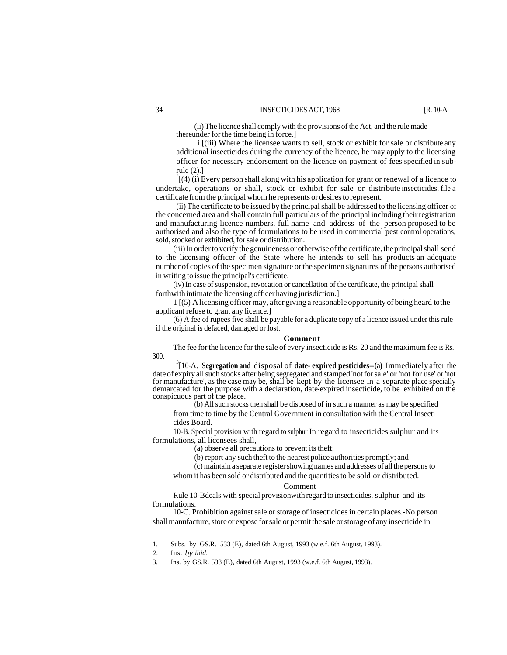(ii) The licence shall comply with the provisions of the Act, and the rule made thereunder for the time being in force.]

i [(iii) Where the licensee wants to sell, stock or exhibit for sale or distribute any additional insecticides during the currency of the licence, he may apply to the licensing officer for necessary endorsement on the licence on payment of fees specified in subrule (2).]

 $^{2}$ [(4) (i) Every person shall along with his application for grant or renewal of a licence to undertake, operations or shall, stock or exhibit for sale or distribute insecticides, file a certificate from the principal whom he represents or desires to represent.

(ii) The certificate to be issued by the principal shall be addressed to the licensing officer of the concerned area and shall contain full particulars of the principal including their registration and manufacturing licence numbers, full name and address of the person proposed to be authorised and also the type of formulations to be used in commercial pest control operations, sold, stocked or exhibited, for sale or distribution.

(iii) In order to verify the genuineness or otherwise of the certificate, the principal shall send to the licensing officer of the State where he intends to sell his products an adequate number of copies of the specimen signature or the specimen signatures of the persons authorised in writing to issue the principal's certificate.

(iv) In case of suspension, revocation or cancellation of the certificate, the principal shall forthwith intimate the licensing officer having jurisdiction.]

1 [(5) A licensing officer may, after giving a reasonable opportunity of being heard to the applicant refuse to grant any licence.]

(6) A fee of rupees five shall be payable for a duplicate copy of a licence issued under this rule if the original is defaced, damaged or lost.

#### **Comment**

The fee for the licence for the sale of every insecticide is Rs. 20 and the maximum fee is Rs. 300.

3 [10-A. **Segregation and** disposal of **date- expired pesticides--(a)** Immediately after the date of expiry all such stocks after being segregated and stamped 'not for sale' or 'not for use' or 'not for manufacture', as the case may be, shall be kept by the licensee in a separate place specially demarcated for the purpose with a declaration, date-expired insecticide, to be exhibited on the conspicuous part of the place.

(b) All such stocks then shall be disposed of in such a manner as may be specified from time to time by the Central Government in consultation with the Central Insecti cides Board.

10-B. Special provision with regard to sulphur In regard to insecticides sulphur and its formulations, all licensees shall,

(a) observe all precautions to prevent its theft;

(b) report any such theft to the nearest police authorities promptly; and

(c) maintain a separate register showing names and addresses of all the persons to

whom it has been sold or distributed and the quantities to be sold or distributed.

#### Comment

Rule 10-Bdeals with special provisionwith regard to insecticides, sulphur and its formulations.

10-C. Prohibition against sale or storage of insecticides in certain places.-No person shall manufacture, store or expose for sale or permit the sale or storage of any insecticide in

<sup>1.</sup> Subs. by GS.R. 533 (E), dated 6th August, 1993 (w.e.f. 6th August, 1993).

*<sup>2.</sup>* Ins. *by ibid.*

<sup>3.</sup> Ins. by GS.R. 533 (E), dated 6th August, 1993 (w.e.f. 6th August, 1993).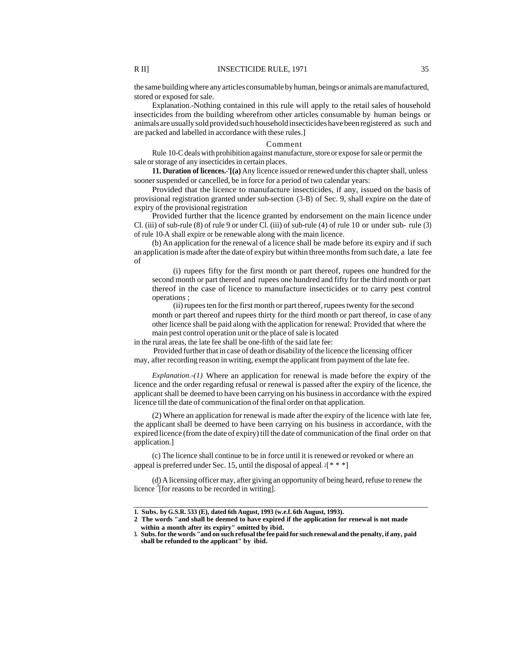the same building where any articles consumable by human, beings or animals are manufactured, stored or exposed for sale.

Explanation.-Nothing contained in this rule will apply to the retail sales of household insecticides from the building wherefrom other articles consumable by human beings or animals are usually sold provided such household insecticides have been registered as such and are packed and labelled in accordance with these rules.]

#### Comment

Rule 10-C deals with prohibition against manufacture, store or expose for sale or permit the sale or storage of any insecticides in certain places.

**11. Duration of licences.-'[(a)** Any licence issued or renewed under this chapter shall, unless sooner suspended or cancelled, be in force for a period of two calendar years:

Provided that the licence to manufacture insecticides, if any, issued on the basis of provisional registration granted under sub-section (3-B) of Sec. 9, shall expire on the date of expiry of the provisional registration

Provided further that the licence granted by endorsement on the main licence under Cl. (iii) of sub-rule (8) of rule 9 or under Cl. (iii) of sub-rule (4) of rule 10 or under sub- rule (3) of rule 10-A shall expire or be renewable along with the main licence.

(b) An application for the renewal of a licence shall be made before its expiry and if such an application is made after the date of expiry but within three months from such date, a late fee of

(i) rupees fifty for the first month or part thereof, rupees one hundred for the second month or part thereof and rupees one hundred and fifty for the third month or part thereof in the case of licence to manufacture insecticides or to carry pest control operations ;

(ii) rupees ten for the first month or part thereof, rupees twenty for the second month or part thereof and rupees thirty for the third month or part thereof, in case of any other licence shall be paid along with the application for renewal: Provided that where the main pest control operation unit or the place of sale is located

in the rural areas, the late fee shall be one-fifth of the said late fee:

Provided further that in case of death or disability of the licence the licensing officer may, after recording reason in writing, exempt the applicant from payment of the late fee.

*Explanation.-(1)* Where an application for renewal is made before the expiry of the licence and the order regarding refusal or renewal is passed after the expiry of the licence, the applicant shall be deemed to have been carrying on his business in accordance with the expired licence till the date of communication of the final order on that application.

(2) Where an application for renewal is made after the expiry of the licence with late fee, the applicant shall be deemed to have been carrying on his business in accordance, with the expired licence (from the date of expiry) till the date of communication of the final order on that application.]

(c) The licence shall continue to be in force until it is renewed or revoked or where an appeal is preferred under Sec. 15, until the disposal of appeal,  $2[***]$ 

(d) A licensing officer may, after giving an opportunity of being heard, refuse to renew the licence  $\frac{3}{3}$  [for reasons to be recorded in writing].

\_\_\_\_\_\_\_\_\_\_\_\_\_\_\_\_\_\_\_\_\_\_\_\_\_\_\_\_\_\_\_\_\_\_\_\_\_\_\_\_\_\_\_\_\_\_\_\_\_\_\_\_\_\_\_\_\_\_\_\_\_\_\_\_\_\_\_\_\_\_\_\_\_\_\_\_\_

**<sup>1.</sup> Subs. by G.S.R. 533 (E), dated 6th August, 1993 (w.e.f. 6th August, 1993).**

**<sup>2</sup> The words "and shall be deemed to have expired if the application for renewal is not made within a month after its expiry" omitted by ibid.**

**<sup>3.</sup> Subs. for the words "and on such refusal the fee paid for such renewal and the penalty, if any, paid shall be refunded to the applicant" by ibid.**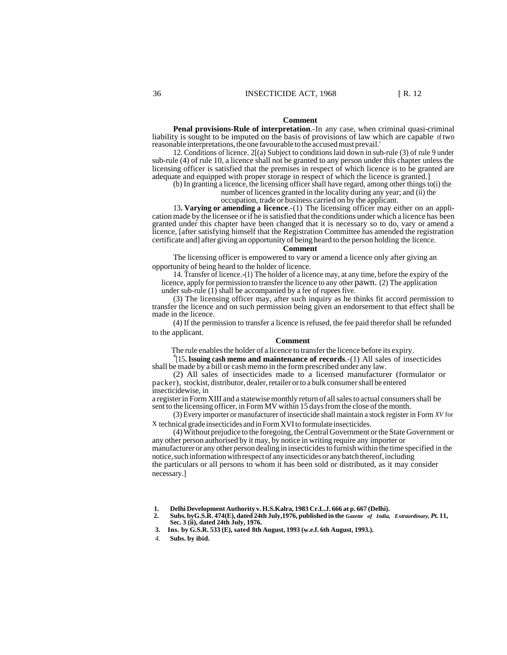#### **Comment**

**Penal provisions-Rule of interpretation**.-In any case, when criminal quasi-criminal liability is sought to be imputed on the basis of provisions of law which are capable of two reasonable interpretations, the one favourable to the accused must prevail.'

12. Conditions of licence. 2[(a) Subject to conditions laid down in sub-rule (3) of rule 9 under sub-rule (4) of rule 10, a licence shall not be granted to any person under this chapter unless the licensing officer is satisfied that the premises in respect of which licence is to be granted are adequate and equipped with proper storage in respect of which the licence is granted.]

(b) In granting a licence, the licensing officer shall have regard, among other things to(i) the

number of licences granted in the locality during any year; and (ii) the occupation, trade or business carried on by the applicant.

13**. Varying or amending a licence**.-(1) The licensing officer may either on an application made by the licensee or if he is satisfied that the conditions under which a licence has been granted under this chapter have been changed that it is necessary so to do, vary or amend a licence, [after satisfying himself that the Registration Committee has amended the registration certificate and] after giving an opportunity of being heard to the person holding the licence.

#### **Comment**

The licensing officer is empowered to vary or amend a licence only after giving an opportunity of being heard to the holder of licence.

14. Transfer of licence.-(1) The holder of a licence may, at any time, before the expiry of the licence, apply for permission to transfer the licence to any other pawn. (2) The application under sub-rule (1) shall be accompanied by a fee of rupees five.

(3) The licensing officer may, after such inquiry as he thinks fit accord permission to transfer the licence and on such permission being given an endorsement to that effect shall be made in the licence.

(4) If the permission to transfer a licence is refused, the fee paid therefor shall be refunded to the applicant.

#### **Comment**

The rule enables the holder of a licence to transfer the licence before its expiry.

4 [15**. Issuing cash memo and maintenance of records**.-(1) All sales of insecticides shall be made by a bill or cash memo in the form prescribed under any law.

(2) All sales of insecticides made to a licensed manufacturer (formulator or packer), stockist, distributor, dealer, retailer or to a bulk consumer shall be entered insecticidewise, in

a register in Form XIII and a statewise monthly return of all sales to actual consumers shall be sent to the licensing officer, in Form MV within 15 days from the close of the month.

(3) Every importer or manufacturer of insecticide shall maintain a stock register in Form *XV* for X technical grade insecticides and in Form XVI to formulate insecticides.

(4) Without prejudice to the foregoing, the Central Government or the State Government or any other person authorised by it may, by notice in writing require any importer or manufacturer or any other person dealing in insecticides to furnish within the time specified in the notice, such information with respect of any insecticides or any batch thereof, including the particulars or all persons to whom it has been sold or distributed, as it may consider necessary.]

- **1. Delhi Development Authority v. H.S.Kalra, 1983 Cr.L.J. 666 at p. 667 (Delhi). 2. Subs. byG.S.R. 474(E), dated 24th July,1976, published in the** *Gazette of India, Extraordinary, Pt.* **11, Sec. 3 (ii), dated 24th July, 1976.**
- **3. Ins. by G.S.R. 533 (E), sated 8th August, 1993 (w.e.f. 6th August, 1993.).**

*4.* **Subs. by ibid.**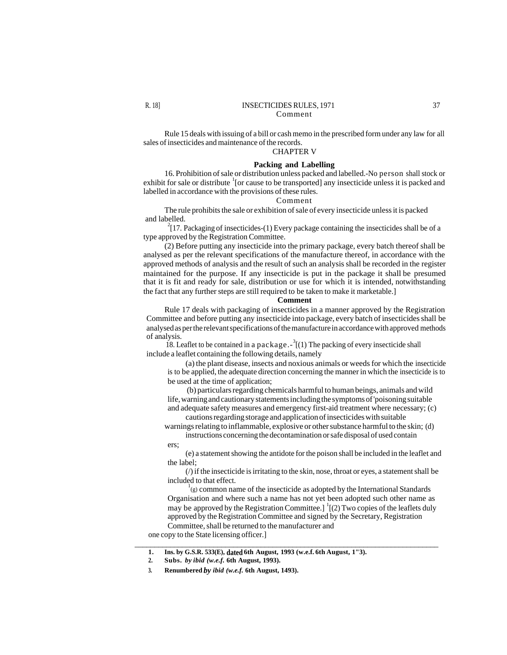Rule 15 deals with issuing of a bill or cash memo in the prescribed form under any law for all sales of insecticides and maintenance of the records.

# CHAPTER V

# **Packing and Labelling**

16. Prohibition of sale or distribution unless packed and labelled.-No person shall stock or exhibit for sale or distribute <sup>1</sup> [or cause to be transported] any insecticide unless it is packed and labelled in accordance with the provisions of these rules.

#### Comment

The rule prohibits the sale or exhibition of sale of every insecticide unless it is packed and labelled.

 $2^{2}[17]$ . Packaging of insecticides-(1) Every package containing the insecticides shall be of a type approved by the Registration Committee.

(2) Before putting any insecticide into the primary package, every batch thereof shall be analysed as per the relevant specifications of the manufacture thereof, in accordance with the approved methods of analysis and the result of such an analysis shall be recorded in the register maintained for the purpose. If any insecticide is put in the package it shall be presumed that it is fit and ready for sale, distribution or use for which it is intended, notwithstanding the fact that any further steps are still required to be taken to make it marketable.]

# **Comment**

Rule 17 deals with packaging of insecticides in a manner approved by the Registration Committee and before putting any insecticide into package, every batch of insecticides shall be analysed as per the relevant specifications of the manufacture in accordance with approved methods of analysis.

18. Leaflet to be contained in a package. $-3(1)$  The packing of every insecticide shall include a leaflet containing the following details, namely

(a) the plant disease, insects and noxious animals or weeds for which the insecticide is to be applied, the adequate direction concerning the manner in which the insecticide is to be used at the time of application;

(b) particulars regarding chemicals harmful to human beings, animals and wild life, warning and cautionary statements including the symptoms of 'poisoning suitable and adequate safety measures and emergency first-aid treatment where necessary; (c)

cautions regarding storage and application of insecticides with suitable warnings relating to inflammable, explosive or other substance harmful to the skin; (d)

instructions concerning the decontamination or safe disposal of used contain ers;

(e) a statement showing the antidote for the poison shall be included in the leaflet and the label;

 $\langle \rangle$  if the insecticide is irritating to the skin, nose, throat or eyes, a statement shall be included to that effect.

 $1$ <sup>1</sup>(g) common name of the insecticide as adopted by the International Standards Organisation and where such a name has not yet been adopted such other name as may be approved by the Registration Committee.]  $\frac{1}{2}$  (2) Two copies of the leaflets duly approved by the Registration Committee and signed by the Secretary, Registration Committee, shall be returned to the manufacturer and

 $\overline{\phantom{a}}$  , and the set of the set of the set of the set of the set of the set of the set of the set of the set of the set of the set of the set of the set of the set of the set of the set of the set of the set of the s

one copy to the State licensing officer.]

**<sup>1.</sup> Ins. by G.S.R. 533(E), dated 6th August, 1993 (w.e.f. 6th August, 1"3).**

**<sup>2.</sup> Subs.** *by ibid (w.e.f.* **6th August, 1993).**

**<sup>3.</sup> Renumbered** *by ibid (w.e.f.* **6th August, 1493).**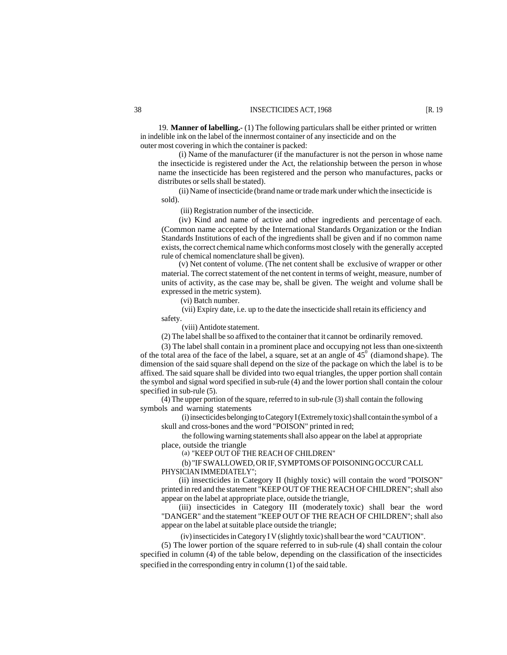19. **Manner of labelling.-** (1) The following particulars shall be either printed or written in indelible ink on the label of the innermost container of any insecticide and on the outer most covering in which the container is packed:

(i) Name of the manufacturer (if the manufacturer is not the person in whose name the insecticide is registered under the Act, the relationship between the person in whose name the insecticide has been registered and the person who manufactures, packs or distributes or sells shall be stated).

(ii) Name of insecticide (brand name or trade mark under which the insecticide is sold).

(iii) Registration number of the insecticide.

(iv) Kind and name of active and other ingredients and percentage of each. (Common name accepted by the International Standards Organization or the Indian Standards Institutions of each of the ingredients shall be given and if no common name exists, the correct chemical name which conforms most closely with the generally accepted rule of chemical nomenclature shall be given).

(v) Net content of volume. (The net content shall be exclusive of wrapper or other material. The correct statement of the net content in terms of weight, measure, number of units of activity, as the case may be, shall be given. The weight and volume shall be expressed in the metric system).

(vi) Batch number.

(vii) Expiry date, i.e. up to the date the insecticide shall retain its efficiency and safety.

(viii) Antidote statement.

(2) The label shall be so affixed to the container that it cannot be ordinarily removed.

(3) The label shall contain in a prominent place and occupying not less than one-sixteenth of the total area of the face of the label, a square, set at an angle of  $45^{\circ}$  (diamond shape). The dimension of the said square shall depend on the size of the package on which the label is to be affixed. The said square shall be divided into two equal triangles, the upper portion shall contain the symbol and signal word specified in sub-rule (4) and the lower portion shall contain the colour specified in sub-rule (5).

(4) The upper portion of the square, referred to in sub-rule (3) shall contain the following symbols and warning statements

(i) insecticides belonging to Category I (Extremely toxic) shall contain the symbol of a skull and cross-bones and the word "POISON" printed in red;

the following warning statements shall also appear on the label at appropriate place, outside the triangle

(a) "KEEP OUT OF THE REACH OF CHILDREN"

(b) "IF SWALLOWED, OR IF, SYMPTOMS OF POISONING OCCUR CALL PHYSICIAN IMMEDIATELY";

(ii) insecticides in Category II (highly toxic) will contain the word "POISON" printed in red and the statement "KEEP OUT OF THE REACH OF CHILDREN"; shall also appear on the label at appropriate place, outside the triangle,

(iii) insecticides in Category III (moderately toxic) shall bear the word "DANGER" and the statement "KEEP OUT OF THE REACH OF CHILDREN"; shall also appear on the label at suitable place outside the triangle;

(iv) insecticides in Category I V (slightly toxic) shall bear the word "CAUTION".

(5) The lower portion of the square referred to in sub-rule (4) shall contain the colour specified in column (4) of the table below, depending on the classification of the insecticides specified in the corresponding entry in column (1) of the said table.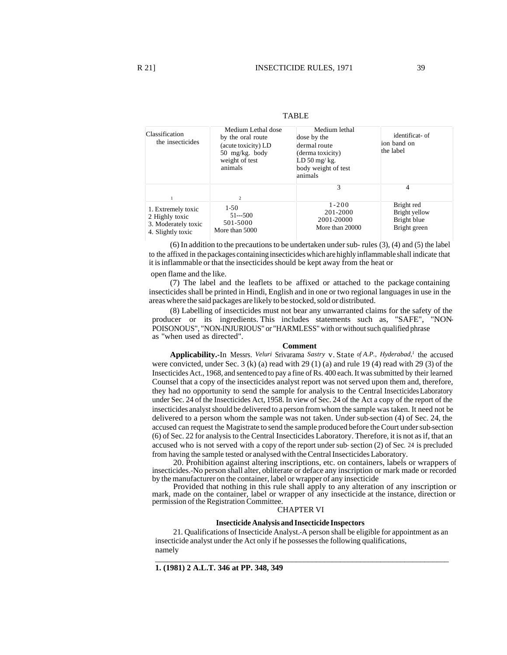| Classification<br>the insecticides                                               | Medium Lethal dose<br>by the oral route<br>(acute toxicity) LD<br>$50 \text{ mg/kg}$ . body<br>weight of test<br>animals | Medium lethal<br>dose by the<br>dermal route<br>(derma toxicity)<br>$LD 50$ mg/kg.<br>body weight of test<br>animals | identificat- of<br>ion band on<br>the label                |
|----------------------------------------------------------------------------------|--------------------------------------------------------------------------------------------------------------------------|----------------------------------------------------------------------------------------------------------------------|------------------------------------------------------------|
|                                                                                  | $\overline{2}$                                                                                                           | 3                                                                                                                    | 4                                                          |
| 1. Extremely toxic<br>2 Highly toxic<br>3. Moderately toxic<br>4. Slightly toxic | $1-50$<br>$51--500$<br>501-5000<br>More than 5000                                                                        | $1 - 200$<br>201-2000<br>2001-20000<br>More than 20000                                                               | Bright red<br>Bright yellow<br>Bright blue<br>Bright green |

(6) In addition to the precautions to be undertaken under sub- rules (3), (4) and (5) the label to the affixed in the packages containing insecticides which are highly inflammable shall indicate that it is inflammable or that the insecticides should be kept away from the heat or

open flame and the like.

(7) The label and the leaflets to be affixed or attached to the package containing insecticides shall be printed in Hindi, English and in one or two regional languages in use in the areas where the said packages are likely to be stocked, sold or distributed.

(8) Labelling of insecticides must not bear any unwarranted claims for the safety of the producer or its ingredients. This includes statements such as, "SAFE", "NON-POISONOUS", "NON-INJURIOUS" or "HARMLESS" with or without such qualified phrase as "when used as directed".

#### **Comment**

**Applicability.-**In Messrs. *Veluri* Srivarama *Sastry* v. State *of A.P., Hyderabad,<sup>1</sup>* the accused were convicted, under Sec. 3 (k) (a) read with 29 (1) (a) and rule 19 (4) read with 29 (3) of the Insecticides Act., 1968, and sentenced to pay a fine of Rs. 400 each. It was submitted by their learned Counsel that a copy of the insecticides analyst report was not served upon them and, therefore, they had no opportunity to send the sample for analysis to the Central Insecticides Laboratory under Sec. 24 of the Insecticides Act, 1958. In view of Sec. 24 of the Act a copy of the report of the insecticides analyst should be delivered to a person from whom the sample was taken. It need not be delivered to a person whom the sample was not taken. Under sub-section (4) of Sec. 24, the accused can request the Magistrate to send the sample produced before the Court under sub-section (6) of Sec. 22 for analysis to the Central Insecticides Laboratory. Therefore, it is not as if, that an accused who is not served with a copy of the report under sub- section (2) of Sec. 24 is precluded from having the sample tested or analysed with the Central Insecticides Laboratory.

20. Prohibition against altering inscriptions, etc. on containers, labels or wrappers of insecticides.-No person shall alter, obliterate or deface any inscription or mark made or recorded by the manufacturer on the container, label or wrapper of any insecticide

Provided that nothing in this rule shall apply to any alteration of any inscription or mark, made on the container, label or wrapper of any insecticide at the instance, direction or permission of the Registration Committee.

#### CHAPTER VI

### **Insecticide Analysis and Insecticide Inspectors**

21. Qualifications of Insecticide Analyst.-A person shall be eligible for appointment as an insecticide analyst under the Act only if he possesses the following qualifications, namely

 $\overline{\phantom{a}}$  , and the set of the set of the set of the set of the set of the set of the set of the set of the set of the set of the set of the set of the set of the set of the set of the set of the set of the set of the s

**1. (1981) 2 A.L.T. 346 at PP. 348, 349**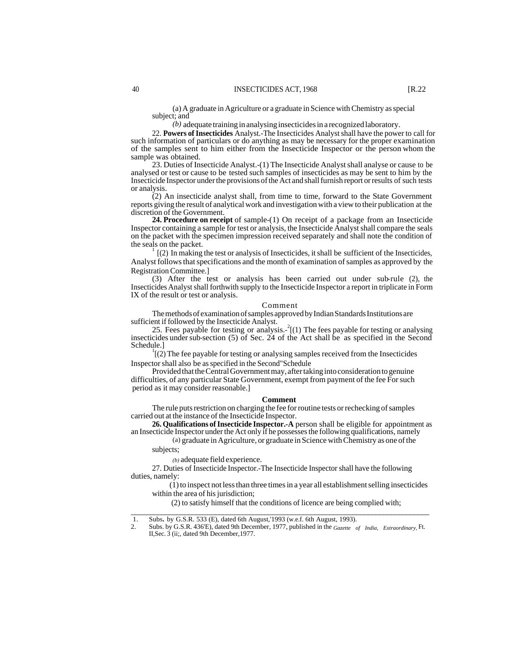(a) A graduate in Agriculture or a graduate in Science with Chemistry as special subject; and

*(b)* adequate training in analysing insecticides in a recognized laboratory.

22. **Powers of Insecticides** Analyst.-The Insecticides Analyst shall have the power to call for such information of particulars or do anything as may be necessary for the proper examination of the samples sent to him either from the Insecticide Inspector or the person whom the sample was obtained.

23. Duties of Insecticide Analyst.-(1) The Insecticide Analyst shall analyse or cause to be analysed or test or cause to be tested such samples of insecticides as may be sent to him by the Insecticide Inspector under the provisions of the Act and shall furnish report or results of such tests or analysis.

(2) An insecticide analyst shall, from time to time, forward to the State Government reports giving the result of analytical work and investigation with a view to their publication at the discretion of the Government.

**24. Procedure on receipt** of sample-(1) On receipt of a package from an Insecticide Inspector containing a sample for test or analysis, the Insecticide Analyst shall compare the seals on the packet with the specimen impression received separately and shall note the condition of the seals on the packet.

 $(2)$  In making the test or analysis of Insecticides, it shall be sufficient of the Insecticides, Analyst follows that specifications and the month of examination of samples as approved by the Registration Committee.]

(3) After the test or analysis has been carried out under sub-rule (2), the Insecticides Analyst shall forthwith supply to the Insecticide Inspector a report in triplicate in Form IX of the result or test or analysis.

#### Comment

The methods of examination of samples approved by Indian Standards Institutions are sufficient if followed by the Insecticide Analyst.

25. Fees payable for testing or analysis.- 2 [(1) The fees payable for testing or analysing insecticides under sub-section (5) of Sec. 24 of the Act shall be as specified in the Second Schedule.]

 $\frac{1}{2}$  (2) The fee payable for testing or analysing samples received from the Insecticides Inspector shall also be as specified in the Second"Schedule

Provided that the Central Government may, after taking into consideration to genuine difficulties, of any particular State Government, exempt from payment of the fee For such period as it may consider reasonable.]

#### **Comment**

The rule puts restriction on charging the fee for routine tests or rechecking of samples carried out at the instance of the Insecticide Inspector.

**26. Qualifications of Insecticide Inspector.-A** person shall be eligible for appointment as an Insecticide Inspector under the Act only if he possesses the following qualifications, namely

(a) graduate in Agriculture, or graduate in Science with Chemistry as one of the

subjects;

*(b)* adequate field experience.

27. Duties of Insecticide Inspector.-The Insecticide Inspector shall have the following duties, namely:

(1) to inspect not less than three times in a year all establishment selling insecticides within the area of his jurisdiction;

(2) to satisfy himself that the conditions of licence are being complied with; \_\_\_\_\_\_\_\_\_\_\_\_\_\_\_\_\_\_\_\_\_\_\_\_\_\_\_\_\_\_\_\_\_\_\_\_\_\_\_\_\_\_\_\_\_\_\_\_\_\_\_\_\_\_\_\_\_\_\_\_\_\_\_\_\_\_\_\_\_\_\_\_\_\_\_\_\_\_

<sup>1.</sup> Subs**.** by G.S.R. 533 (E), dated 6th August,'1993 (w.e.f. 6th August, 1993).

<sup>2.</sup> Subs. by G.S.R. 436'E), dated 9th December, 1977, published in the *Gazette of India, Extraordinary,* Ft. II,Sec. 3 (ii;, dated 9th December,1977.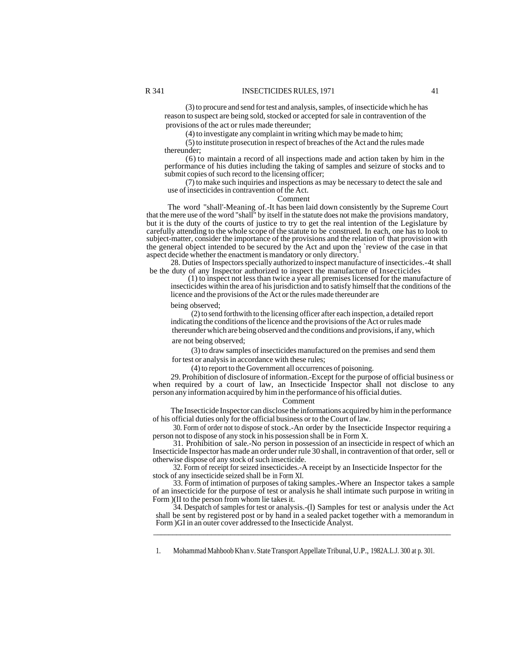(3) to procure and send for test and analysis, samples, of insecticide which he has reason to suspect are being sold, stocked or accepted for sale in contravention of the provisions of the act or rules made thereunder;

(4) to investigate any complaint in writing which may be made to him;

(5) to institute prosecution in respect of breaches of the Act and the rules made thereunder;

(6) to maintain a record of all inspections made and action taken by him in the performance of his duties including the taking of samples and seizure of stocks and to submit copies of such record to the licensing officer;

(7) to make such inquiries and inspections as may be necessary to detect the sale and use of insecticides in contravention of the Act.

#### Comment

The word "shall'-Meaning of.-It has been laid down consistently by the Supreme Court that the mere use of the word "shall" by itself in the statute does not make the provisions mandatory, but it is the duty of the courts of justice to try to get the real intention of the Legislature by carefully attending to the whole scope of the statute to be construed. In each, one has to look to subject-matter, consider the importance of the provisions and the relation of that provision with the general object intended to be secured by the Act and upon the `review of the case in that aspect decide whether the enactment is mandatory or only directory.

28. Duties of Inspectors specially authorized to inspect manufacture of insecticides.-4t shall be the duty of any Inspector authorized to inspect the manufacture of Insecticides

(1) to inspect not less than twice a year all premises licensed for the manufacture of insecticides within the area of his jurisdiction and to satisfy himself that the conditions of the licence and the provisions of the Act or the rules made thereunder are

being observed;

(2) to send forthwith to the licensing officer after each inspection, a detailed report indicating the conditions of the licence and the provisions of the Act or rules made thereunder which are being observed and the conditions and provisions, if any, which

are not being observed;

(3) to draw samples of insecticides manufactured on the premises and send them for test or analysis in accordance with these rules;

(4) to report to the Government all occurrences of poisoning.

29. Prohibition of disclosure of information.-Except for the purpose of official business or when required by a court of law, an Insecticide Inspector shall not disclose to any person any information acquired by him in the performance of his official duties.

#### Comment

The Insecticide Inspector can disclose the informations acquired by him in the performance of his official duties only for the official business or to the Court of law.

30. Form of order not to dispose of stock.-An order by the Insecticide Inspector requiring a person not to dispose of any stock in his possession shall be in Form X.

31. Prohibition of sale.-No person in possession of an insecticide in respect of which an Insecticide Inspector has made an order under rule 30 shall, in contravention of that order, sell or otherwise dispose of any stock of such insecticide.

32. Form of receipt for seized insecticides.-A receipt by an Insecticide Inspector for the stock of any insecticide seized shall be in Form XI.

33. Form of intimation of purposes of taking samples.-Where an Inspector takes a sample of an insecticide for the purpose of test or analysis he shall intimate such purpose in writing in Form )(II to the person from whom lie takes it.

34. Despatch of samples for test or analysis.-(l) Samples for test or analysis under the Act shall be sent by registered post or by hand in a sealed packet together with a memorandum in Form )GI in an outer cover addressed to the Insecticide Analyst.

\_\_\_\_\_\_\_\_\_\_\_\_\_\_\_\_\_\_\_\_\_\_\_\_\_\_\_\_\_\_\_\_\_\_\_\_\_\_\_\_\_\_\_\_\_\_\_\_\_\_\_\_\_\_\_\_\_\_\_\_\_\_\_\_\_\_\_\_\_\_\_\_\_\_\_\_\_

1. Mohammad Mahboob Khan v. State Transport Appellate Tribunal, U.P., 1982A.L.J. 300 at p. 301.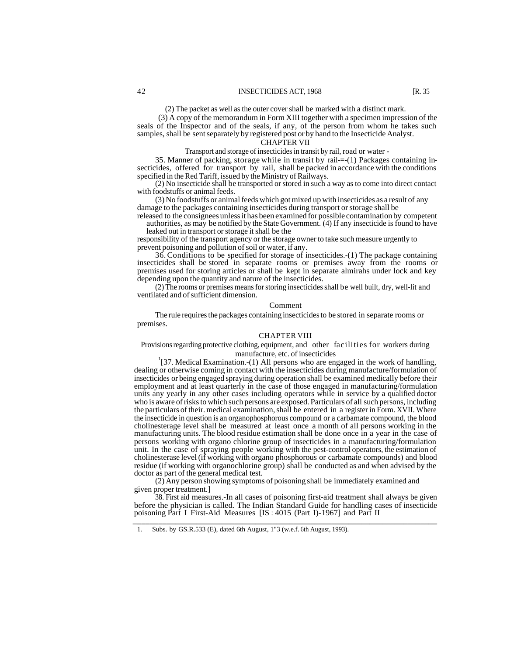(2) The packet as well as the outer cover shall be marked with a distinct mark.

(3) A copy of the memorandum in Form XIII together with a specimen impression of the seals of the Inspector and of the seals, if any, of the person from whom he takes such samples, shall be sent separately by registered post or by hand to the Insecticide Analyst.

# CHAPTER VII

Transport and storage of insecticides in transit by rail, road or water -

35. Manner of packing, storage while in transit by rail-=-(1) Packages containing insecticides, offered for transport by rail, shall be packed in accordance with the conditions specified in the Red Tariff, issued by the Ministry of Railways.

(2) No insecticide shall be transported or stored in such a way as to come into direct contact with foodstuffs or animal feeds.

(3) No foodstuffs or animal feeds which got mixed up with insecticides as a result of any damage to the packages containing insecticides during transport or storage shall be

released to the consignees unless it has been examined for possible contamination by competent authorities, as may be notified by the State Government. (4) If any insecticide is found to have leaked out in transport or storage it shall be the

responsibility of the transport agency or the storage owner to take such measure urgently to prevent poisoning and pollution of soil or water, if any.

36. Conditions to be specified for storage of insecticides.-(1) The package containing insecticides shall be stored in separate rooms or premises away from the rooms or premises used for storing articles or shall be kept in separate almirahs under lock and key depending upon the quantity and nature of the insecticides.

(2) The rooms or premises means for storing insecticides shall be well built, dry, well-lit and ventilated and of sufficient dimension.

#### Comment

The rule requires the packages containing insecticides to be stored in separate rooms or premises.

#### CHAPTER VIII

Provisions regarding protective clothing, equipment, and other facilities for workers during manufacture, etc. of insecticides

<sup>1</sup>[37. Medical Examination.-(1) All persons who are engaged in the work of handling, dealing or otherwise coming in contact with the insecticides during manufacture/formulation of insecticides or being engaged spraying during operation shall be examined medically before their employment and at least quarterly in the case of those engaged in manufacturing/formulation units any yearly in any other cases including operators while in service by a qualified doctor who is aware of risks to which such persons are exposed. Particulars of all such persons, including the particulars of their. medical examination, shall be entered in a register in Form. XVII. Where the insecticide in question is an organophosphorous compound or a carbamate compound, the blood cholinesterage level shall be measured at least once a month of all persons working in the manufacturing units. The blood residue estimation shall be done once in a year in the case of persons working with organo chlorine group of insecticides in a manufacturing/formulation unit. In the case of spraying people working with the pest-control operators, the estimation of cholinesterase level (if working with organo phosphorous or carbamate compounds) and blood residue (if working with organochlorine group) shall be conducted as and when advised by the doctor as part of the general medical test.

(2) Any person showing symptoms of poisoning shall be immediately examined and given proper treatment.]

38. First aid measures.-In all cases of poisoning first-aid treatment shall always be given before the physician is called. The Indian Standard Guide for handling cases of insecticide poisoning Part I First-Aid Measures [IS : 4015 (Part I)-1967] and Part II \_\_\_\_\_\_\_\_\_\_\_\_\_\_\_\_\_\_\_\_\_\_\_\_\_\_\_\_\_\_\_\_\_\_\_\_\_\_\_\_\_\_\_\_\_\_\_\_\_\_\_\_\_\_\_\_\_\_\_\_\_\_\_\_\_\_\_\_\_\_\_\_

<sup>1.</sup> Subs. by GS.R.533 (E), dated 6th August, 1"3 (w.e.f. 6th August, 1993).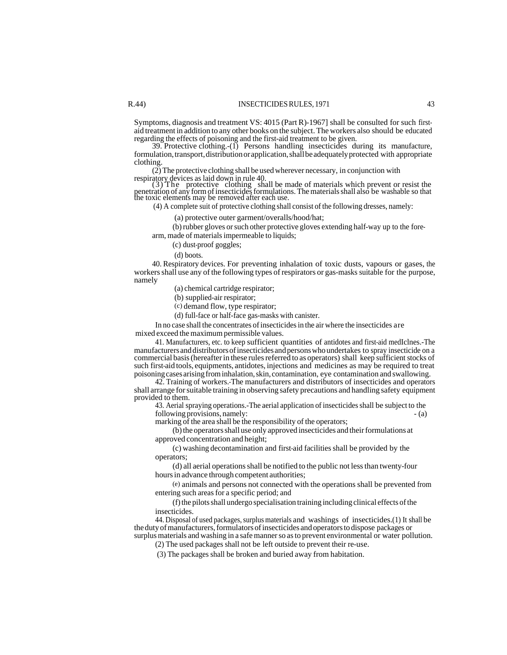Symptoms, diagnosis and treatment VS: 4015 (Part R)-1967] shall be consulted for such firstaid treatment in addition to any other books on the subject. The workers also should be educated regarding the effects of poisoning and the first-aid treatment to be given.

39. Protective clothing.-(1) Persons handling insecticides during its manufacture, formulation, transport, distribution or application, shall be adequately protected with appropriate clothing.

(2) The protective clothing shall be used wherever necessary, in conjunction with

respiratory devices as laid down in rule 40.<br>
(3) The protective clothing shall be made of materials which prevent or resist the penetration of any form of insecticides formulations. The materials shall also be washable so that the toxic elements may be removed after each use.

(4) A complete suit of protective clothing shall consist of the following dresses, namely:

(a) protective outer garment/overalls/hood/hat;

(b) rubber gloves or such other protective gloves extending half-way up to the forearm, made of materials impermeable to liquids;

(c) dust-proof goggles;

(d) boots.

40. Respiratory devices. For preventing inhalation of toxic dusts, vapours or gases, the workers shall use any of the following types of respirators or gas-masks suitable for the purpose, namely

(a) chemical cartridge respirator;

(b) supplied-air respirator;

(c) demand flow, type respirator;

(d) full-face or half-face gas-masks with canister.

In no case shall the concentrates of insecticides in the air where the insecticides are mixed exceed the maximum permissible values.

41. Manufacturers, etc. to keep sufficient quantities of antidotes and first-aid medIclnes.-The manufacturers and distributors of insecticides and persons who undertakes to spray insecticide on a commercial basis (hereafter in these rules referred to as operators) shall keep sufficient stocks of such first-aid tools, equipments, antidotes, injections and medicines as may be required to treat poisoning cases arising from inhalation, skin, contamination, eye contamination and swallowing.

42. Training of workers.-The manufacturers and distributors of insecticides and operators shall arrange for suitable training in observing safety precautions and handling safety equipment provided to them.

43. Aerial spraying operations.-The aerial application of insecticides shall be subject to the following provisions, namely:  $\qquad \qquad -$  (a)

marking of the area shall be the responsibility of the operators;

(b) the operators shall use only approved insecticides and their formulations at approved concentration and height;

(c) washing decontamination and first-aid facilities shall be provided by the operators;

(d) all aerial operations shall be notified to the public not less than twenty-four hours in advance through competent authorities;

(e) animals and persons not connected with the operations shall be prevented from entering such areas for a specific period; and

(f) the pilots shall undergo specialisation training including clinical effects of the insecticides.

44. Disposal of used packages, surplus materials and washings of insecticides.(1) It shall be the duty of manufacturers, formulators of insecticides and operators to dispose packages or surplus materials and washing in a safe manner so as to prevent environmental or water pollution.

(2) The used packages shall not be left outside to prevent their re-use.

(3) The packages shall be broken and buried away from habitation.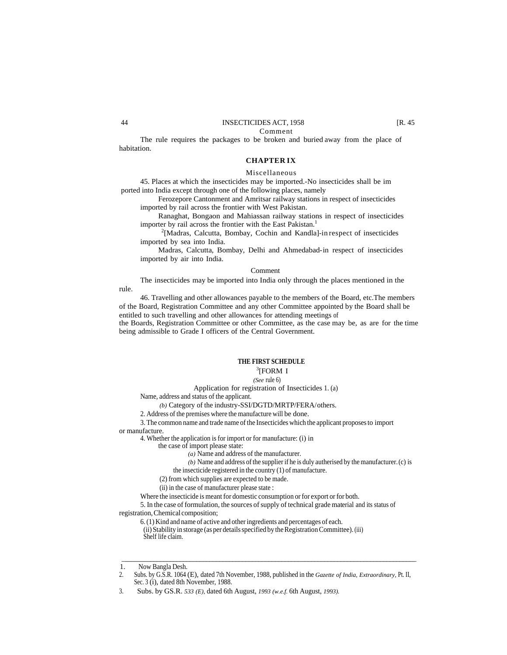## 44 INSECTICIDES ACT, 1958 [R. 45]

Comment

The rule requires the packages to be broken and buried away from the place of habitation.

#### **CHAPTER IX**

#### Miscellaneous

45. Places at which the insecticides may be imported.-No insecticides shall be im ported into India except through one of the following places, namely

Ferozepore Cantonment and Amritsar railway stations in respect of insecticides imported by rail across the frontier with West Pakistan.

Ranaghat, Bongaon and Mahiassan railway stations in respect of insecticides importer by rail across the frontier with the East Pakistan.<sup>1</sup>

<sup>2</sup>[Madras, Calcutta, Bombay, Cochin and Kandla]-in respect of insecticides imported by sea into India.

Madras, Calcutta, Bombay, Delhi and Ahmedabad-in respect of insecticides imported by air into India.

#### Comment

The insecticides may be imported into India only through the places mentioned in the rule.

46. Travelling and other allowances payable to the members of the Board, etc.The members of the Board, Registration Committee and any other Committee appointed by the Board shall be entitled to such travelling and other allowances for attending meetings of

the Boards, Registration Committee or other Committee, as the case may be, as are for the time being admissible to Grade I officers of the Central Government.

#### **THE FIRST SCHEDULE**

## <sup>3</sup>[FORM I

#### *(See* rule 6)

Application for registration of Insecticides 1. (a)

Name, address and status of the applicant.

*(b)* Category of the industry-SSI/DGTD/MRTP/FERA/ others.

2. Address of the premises where the manufacture will be done.

3. The common name and trade name of the Insecticides which the applicant proposes to import or manufacture.

4. Whether the application is for import or for manufacture: (i) in

the case of import please state:

*(a)* Name and address of the manufacturer.

*(b)* Name and address of the supplier if he is duly autherised by the manufacturer. (c) is

the insecticide registered in the country (1) of manufacture.

(2) from which supplies are expected to be made.

(ii) in the case of manufacturer please state :

Where the insecticide is meant for domestic consumption or for export or for both.

5. In the case of formulation, the sources of supply of technical grade material and its status of registration, Chemical composition;

6. (1) Kind and name of active and other ingredients and percentages of each.

(ii) Stability in storage (as per details specified by the Registration Committee). (iii) Shelf life claim.

\_\_\_\_\_\_\_\_\_\_\_\_\_\_\_\_\_\_\_\_\_\_\_\_\_\_\_\_\_\_\_\_\_\_\_\_\_\_\_\_\_\_\_\_\_\_\_\_\_\_\_\_\_\_\_\_\_\_\_\_\_\_\_\_\_\_\_\_\_\_\_\_\_\_\_\_\_\_\_\_\_\_\_\_\_\_\_\_\_\_

<sup>1.</sup> Now Bangla Desh.<br>2. Subs. by G.S.R. 1064

<sup>2.</sup> Subs. by G.S.R. 1064 (E), dated 7th November, 1988, published in the *Gazette of India, Extraordinary,* Pt. II, Sec. 3 (i), dated 8th November, 1988.

<sup>3.</sup> Subs. by GS.R. *533 (E),* dated 6th August, *1993 (w.e.f.* 6th August, *1993).*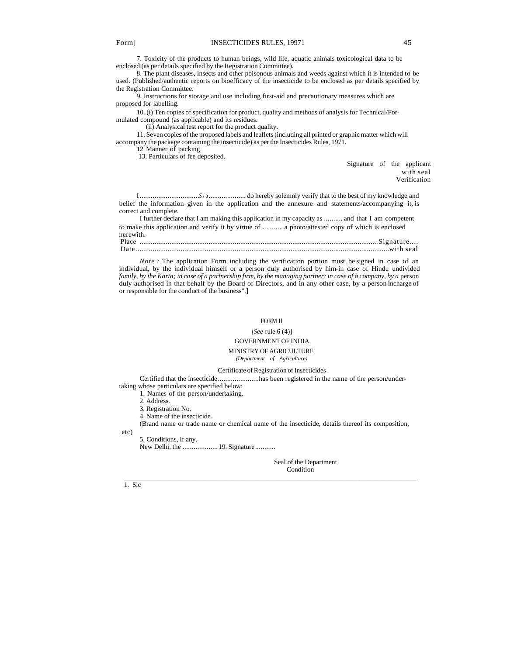7. Toxicity of the products to human beings, wild life, aquatic animals toxicological data to be enclosed (as per details specified by the Registration Committee).

8. The plant diseases, insects and other poisonous animals and weeds against which it is intended to be used. (Published/authentic reports on bioefficacy of the insecticide to be enclosed as per details specified by the Registration Committee.

9. Instructions for storage and use including first-aid and precautionary measures which are proposed for labelling.

10. (i) Ten copies of specification for product, quality and methods of analysis for Technical/Formulated compound (as applicable) and its residues.

(ii) Analystcal test report for the product quality.

11. Seven copies of the proposed labels and leaflets (including all printed or graphic matter which will accompany the package containing the insecticide) as per the Insecticides Rules, 1971.

12 Manner of packing.

13. Particulars of fee deposited.

Signature of the applicant with seal Verification

I................................S / o.................... do hereby solemnly verify that to the best of my knowledge and belief the information given in the application and the annexure and statements/accompanying it, is correct and complete.

I further declare that I am making this application in my capacity as .......... and that I am competent to make this application and verify it by virtue of ........... a photo/attested copy of which is enclosed herewith. Place ................................................................................................................................Signature....

Date ........................................................................................................................................with seal

*Note*: The application Form including the verification portion must be signed in case of an individual, by the individual himself or a person duly authorised by him-in case of Hindu undivided *family, by the Karta; in case of a partnership firm, by the managing partner; in case of a company, by a person* duly authorised in that behalf by the Board of Directors, and in any other case, by a person incharge of or responsible for the conduct of the business".]

#### FORM II

*[See* rule 6 (4)]

# GOVERNMENT OF INDIA

#### MINISTRY OF AGRICULTURE'

*(Department of Agriculture)*

Certificate of Registration of Insecticides

Certified that the insecticide......................has been registered in the name of the person/under-

taking whose particulars are specified below: 1. Names of the person/undertaking.

2. Address.

3. Registration No.

4. Name of the insecticide.

(Brand name or trade name or chemical name of the insecticide, details thereof its composition,

\_\_\_\_\_\_\_\_\_\_\_\_\_\_\_\_\_\_\_\_\_\_\_\_\_\_\_\_\_\_\_\_\_\_\_\_\_\_\_\_\_\_\_\_\_\_\_\_\_\_\_\_\_\_\_\_\_\_\_\_\_\_\_\_\_\_\_\_\_\_\_\_\_\_\_\_\_\_\_\_\_\_\_\_\_\_\_\_

etc)

1. Sic

5. Conditions, if any.

New Delhi, the ..................... 19. Signature...........

 Seal of the Department **Condition**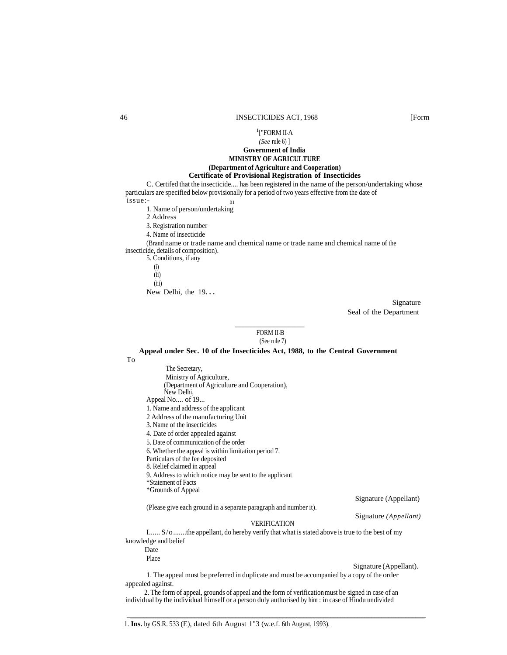#### 1 ["FORM II-A *(See* rule 6) ]

# **Government of India MINISTRY OF AGRICULTURE**

#### **(Department of Agriculture and Cooperation) Certificate of Provisional Registration of Insecticides**

C. Certifed that the insecticide.... has been registered in the name of the person/undertaking whose particulars are specified below provisionally for a period of two years effective from the date of issue:- <sup>01</sup>

- 1. Name of person/undertaking
- 2 Address

3. Registration number

4. Name of insecticide

(Brand name or trade name and chemical name or trade name and chemical name of the

 $\frac{1}{2}$  ,  $\frac{1}{2}$  ,  $\frac{1}{2}$  ,  $\frac{1}{2}$  ,  $\frac{1}{2}$  ,  $\frac{1}{2}$  ,  $\frac{1}{2}$  ,  $\frac{1}{2}$  ,  $\frac{1}{2}$  ,  $\frac{1}{2}$  ,  $\frac{1}{2}$  ,  $\frac{1}{2}$  ,  $\frac{1}{2}$  ,  $\frac{1}{2}$  ,  $\frac{1}{2}$  ,  $\frac{1}{2}$  ,  $\frac{1}{2}$  ,  $\frac{1}{2}$  ,  $\frac{1$ 

insecticide, details of composition).

5. Conditions, if any (i) (ii) (iii) New Delhi, the 19**. . .**

> Signature Seal of the Department

## FORM II-B (See rule 7)

#### **Appeal under Sec. 10 of the Insecticides Act, 1988, to the Central Government**

To

The Secretary, Ministry of Agriculture, (Department of Agriculture and Cooperation), New Delhi, Appeal No.... of 19... 1. Name and address of the applicant 2 Address of the manufacturing Unit 3. Name of the insecticides 4. Date of order appealed against 5. Date of communication of the order 6. Whether the appeal is within limitation period 7. Particulars of the fee deposited 8. Relief claimed in appeal 9. Address to which notice may be sent to the applicant \*Statement of Facts \*Grounds of Appeal Signature (Appellant) (Please give each ground in a separate paragraph and number it). Signature *(Appellant)* VERIFICATION I...... S/o.......the appellant, do hereby verify that what is stated above is true to the best of my

knowledge and belief Date

Place

#### Signature (Appellant).

1. The appeal must be preferred in duplicate and must be accompanied by a copy of the order appealed against.

 2. The form of appeal, grounds of appeal and the form of verification must be signed in case of an individual by the individual himself or a person duly authorised by him : in case of Hindu undivided

\_\_\_\_\_\_\_\_\_\_\_\_\_\_\_\_\_\_\_\_\_\_\_\_\_\_\_\_\_\_\_\_\_\_\_\_\_\_\_\_\_\_\_\_\_\_\_\_\_\_\_\_\_\_\_\_\_\_\_\_\_\_\_\_\_\_\_\_\_\_\_\_\_\_\_\_\_\_\_\_\_\_\_\_\_\_\_\_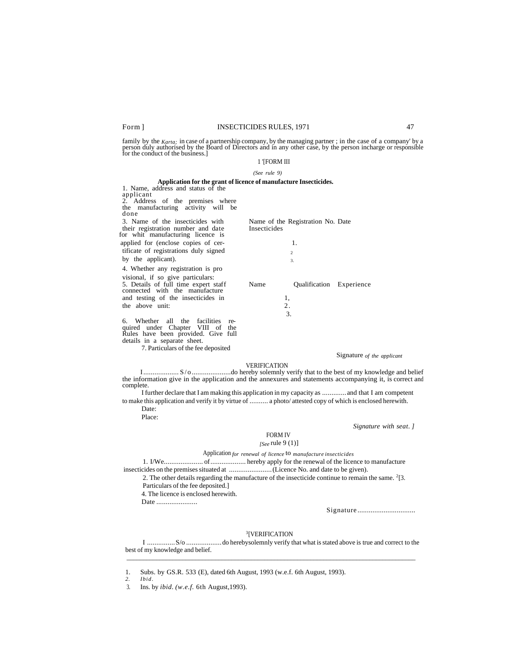#### Form ] INSECTICIDES RULES, 1971 47

family by the  $Karta$ ; in case of a partnership company, by the managing partner; in the case of a company' by a person duly authorised by the Board of Directors and in any other case, by the person incharge or responsible

#### 1 '[FORM III

#### *(See rule 9)*

#### **Application for the grant of licence of manufacture Insecticides.** 1. Name, address and status of the

applicant 2. Address of the premises where the manufacturing activity will be done

3. Name of the insecticides with Name of the Registration No. Date their registration number and date Insecticides their registration number and date for whit manufacturing licence is applied for (enclose copies of cer- 1. tificate of registrations duly signed <sup>2</sup> by the applicant).  $\frac{3}{3}$ 

4. Whether any registration is pro visional, if so give particulars: 5. Details of full time expert staff Name Qualification Experience connected with the manufacture and testing of the insecticides in 1, the above unit: 2.

6. Whether all the facilities required under Chapter VIII of the Rules have been provided. Give full details in a separate sheet.

7. Particulars of the fee deposited

#### Signature *of the applicant*

#### VERIFICATION

I................... S/o .....................do hereby solemnly verify that to the best of my knowledge and belief the information give in the application and the annexures and statements accompanying it, is correct and complete.

I further declare that I am making this application in my capacity as .............and that I am competent to make this application and verify it by virtue of .......... a photo/ attested copy of which is enclosed herewith.

 Date: Place:

#### *Signature with seat. ]*

#### FORM IV

# *[See* rule 9 (1)]

3.

#### Application *for renewal of licence* to *manufacture insecticides*

1. I/We..................... of................... hereby apply for the renewal of the licence to manufacture insecticides on the premises situated at .......................(Licence No. and date to be given).

2. The other details regarding the manufacture of the insecticide continue to remain the same.  $2$ [3.

Particulars of the fee deposited.]

4. The licence is enclosed herewith.

Date ........................

Signature ...............................

#### 3 [VERIFICATION

I ...............S/o ...................do herebysolemnly verify that what is stated above is true and correct to the best of my knowledge and belief. \_\_\_\_\_\_\_\_\_\_\_\_\_\_\_\_\_\_\_\_\_\_\_\_\_\_\_\_\_\_\_\_\_\_\_\_\_\_\_\_\_\_\_\_\_\_\_\_\_\_\_\_\_\_\_\_\_\_\_\_\_\_\_\_\_\_\_\_\_\_\_\_\_\_\_\_\_\_\_\_\_\_\_\_\_\_\_\_

1. Subs. by GS.R. 533 (E), dated 6th August, 1993 (w.e.f. 6th August, 1993).

*<sup>2.</sup> Ibid.*

<sup>3.</sup> Ins. by *ibid. (w.e.f.* 6th August,1993).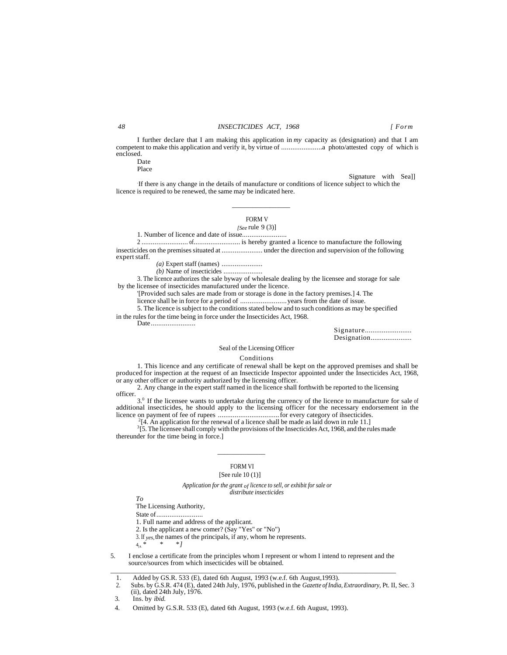I further declare that I am making this application in *my* capacity as (designation) and that I am competent to make this application and verify it, by virtue of ......................a photo/attested copy of which is enclosed. Date

Place

Signature with Sea]]

. If there is any change in the details of manufacture or conditions of licence subject to which the licence is required to be renewed, the same may be indicated here.

# FORM V

*[See* rule 9 (3)] 1. Number of licence and date of issue........................

2 ......................... of......................... is hereby granted a licence to manufacture the following insecticides on the premises situated at ...................... under the direction and supervision of the following expert staff.

*(a)* Expert staff (names) ......................

 $\frac{1}{2}$  , and the set of the set of the set of the set of the set of the set of the set of the set of the set of the set of the set of the set of the set of the set of the set of the set of the set of the set of the set

*(b)* Name of insecticides .....................

3. The licence authorizes the sale byway of wholesale dealing by the licensee and storage for sale by the licensee of insecticides manufactured under the licence.

'[Provided such sales are made from or storage is done in the factory premises.] 4. The

licence shall be in force for a period of .........................years from the date of issue.

5. The licence is subject to the conditions stated below and to such conditions as may be specified in the rules for the time being in force under the Insecticides Act, 1968.

Date........................

Signature.......................... Designation......................

#### Seal of the Licensing Officer

#### Conditions

1. This licence and any certificate of renewal shall be kept on the approved premises and shall be produced for inspection at the request of an Insecticide Inspector appointed under the Insecticides Act, 1968, or any other officer or authority authorized by the licensing officer.

2. Any change in the expert staff named in the licence shall forthwith be reported to the licensing officer.

3.<sup>0</sup> If the licensee wants to undertake during the currency of the licence to manufacture for sale of additional insecticides, he should apply to the licensing officer for the necessary endorsement in the licence on payment of fee of rupees .................................for every category of ihsecticides. 2 [4. An application for the renewal of a licence shall be made as laid down in rule 11.]

 ${}^{3}$ [5. The licensee shall comply with the provisions of the Insecticides Act, 1968, and the rules made thereunder for the time being in force.]

# FORM VI

#### [See rule 10 (1)]

*Application for the grant of licence to sell, or exhibit for sale or distribute insecticides*

*To*

The Licensing Authority,

State of.........................

1. Full name and address of the applicant.

 $\overline{\phantom{a}}$  , and the contract of  $\overline{\phantom{a}}$  , and  $\overline{\phantom{a}}$ 

2. Is the applicant a new comer? (Say "Yes" or "No")

3. If *yes*, the names of the principals, if any, whom he represents.<br> $4_{44}$ , \* \* \* *|* 

<sup>4</sup>[4. *\* \* \*]*

5. I enclose a certificate from the principles whom I represent or whom I intend to represent and the source/sources from which insecticides will be obtained. \_\_\_\_\_\_\_\_\_\_\_\_\_\_\_\_\_\_\_\_\_\_\_\_\_\_\_\_\_\_\_\_\_\_\_\_\_\_\_\_\_\_\_\_\_\_\_\_\_\_\_\_\_\_\_\_\_\_\_\_\_\_\_\_\_\_\_\_\_\_\_\_\_\_\_\_\_\_\_\_\_\_\_\_

2. Subs. by G.S.R. 474 (E), dated 24th July, 1976, published in the *Gazette of India, Extraordinary,* Pt. II, Sec. 3 (ii), dated 24th July, 1976.

3. Ins. by *ibid.*

<sup>1.</sup> Added by G.S.R. 533 (E), dated 6th August, 1993 (w.e.f. 6th August, 1993).<br>2. Subs. by G.S.R. 474 (E), dated 24th July, 1976, published in the Gazette of India

<sup>4.</sup> Omitted by G.S.R. 533 (E), dated 6th August, 1993 (w.e.f. 6th August, 1993).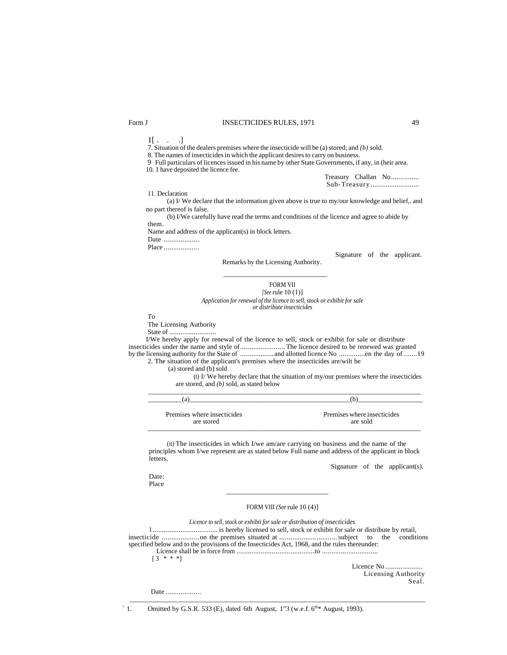## Form J **INSECTICIDES RULES**, 1971 49

 $1[ . . . . ]$ 

7. Situation of the dealers premises where the insecticide will be (a) stored; and *(b)* sold.

8. The names of insecticides in which the applicant desires to carry on business.

9 Full particulars of licences issued in his name by other State Governments, if any, in (heir area.

10. 1 have deposited the licence fee.

Treasury Challan No............... Sub-Treasury ..........................

11. Declaration

(a) I/ We declare that the information given above is true to my/our knowledge and belief,. and no part thereof is false.

(b) I/We carefully have read the terms and conditions of the licence and agree to abide by them.

Name and address of the applicant(s) in block letters.

Date ....................

Place ....................

Signature of the applicant.

Remarks by the Licensing Authority. \_\_\_\_\_\_\_\_\_\_\_\_\_\_\_\_\_\_\_\_\_\_\_\_\_\_\_\_\_\_\_

FORM VII *[See* rule 10 (1)] *Application for renewal of the licence to sell, stock or exhibit for sale or distribute insecticides*

*To*

The Licensing Authority

State of .........................

I/We hereby apply for renewal of the licence to sell, stock or exhibit for sale or distribute insecticides under the name and style of........................ The licence desired to be renewed was granted by the licensing authority for the State of ..................and allotted licence No ..............en the day of .......19 2. The situation of the applicant's premises where the insecticides are/wilt be

(a) stored and (b) sold

(t) I/ We hereby declare that the situation of my/our premises where the insecticides are stored, and *(b)* sold, as stated below

| Premises where insecticides | Premises where insecticides |
|-----------------------------|-----------------------------|
| are stored                  | are sold                    |

\_\_\_\_\_\_\_\_\_\_\_\_\_\_\_\_\_\_\_\_\_\_\_\_\_\_\_\_\_\_\_\_\_\_\_\_\_\_\_\_\_\_\_\_\_\_\_\_\_\_\_\_\_\_\_\_\_\_\_\_\_\_\_\_\_\_\_\_\_\_\_\_\_\_\_\_\_\_\_\_\_\_

(it) The insecticides in which I/we am/are carrying on business and the name of the principles whom I/we represent are as stated below Full name and address of the applicant in block letters.

Signature of the applicant(s).

Date: Place

FORM VIII *(See* rule 10 (4)]

*Licence to sell, stock or exhibit for sale or distribution of insecticides* 1................................... is hereby licensed to sell, stock or exhibit for sale or distribute by retail, insecticide ....................on the premises situated at ...............................subject to the conditions specified below and to the provisions of the Insecticides Act, 1968, and the rules thereunder: Licence shall be in force from ..........................................to ..............................  $[3 * * * ]$ 

\_\_\_\_\_\_\_\_\_\_\_\_\_\_\_\_\_\_\_\_\_\_\_\_\_\_\_\_\_\_\_\_\_\_\_\_\_\_\_\_\_\_\_\_\_\_\_\_\_\_\_\_\_\_\_\_\_\_\_\_\_\_\_\_\_\_\_\_\_\_\_\_\_\_\_\_\_\_\_\_\_\_\_\_\_\_\_\_\_

Licence No .................... Licensing Authority Seal.

Date ....................

` 1. Omitted by G.S.R. 533 (E), dated 6th August,  $1"3$  (w.e.f.  $6^{th*}$  August, 1993).

 $\frac{1}{\sqrt{2\pi}}$  ,  $\frac{1}{\sqrt{2\pi}}$  ,  $\frac{1}{\sqrt{2\pi}}$  ,  $\frac{1}{\sqrt{2\pi}}$  ,  $\frac{1}{\sqrt{2\pi}}$  ,  $\frac{1}{\sqrt{2\pi}}$  ,  $\frac{1}{\sqrt{2\pi}}$  ,  $\frac{1}{\sqrt{2\pi}}$  ,  $\frac{1}{\sqrt{2\pi}}$  ,  $\frac{1}{\sqrt{2\pi}}$  ,  $\frac{1}{\sqrt{2\pi}}$  ,  $\frac{1}{\sqrt{2\pi}}$  ,  $\frac{1}{\sqrt{2\pi}}$  ,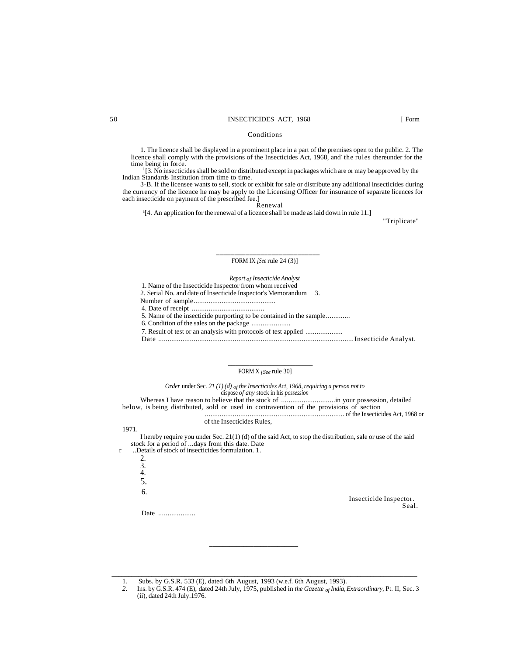### 50 INSECTICIDES ACT, 1968 [ Form

#### Conditions

1. The licence shall be displayed in a prominent place in a part of the premises open to the public. 2. The licence shall comply with the provisions of the Insecticides Act, 1968, and the rules thereunder for the time being in force.

1 [3. No insecticides shall be sold or distributed except in packages which are or may be approved by the Indian Standards Institution from time to time.

3-B. If the licensee wants to sell, stock or exhibit for sale or distribute any additional insecticides during the currency of the licence he may be apply to the Licensing Officer for insurance of separate licences for each insecticide on payment of the prescribed fee.]

Renewal

<sup>a</sup><sup>[4]</sup>. An application for the renewal of a licence shall be made as laid down in rule 11.]

"Triplicate"

#### **\_\_\_\_\_\_\_\_\_\_\_\_\_\_\_\_\_\_\_\_\_\_\_\_\_\_\_\_** FORM IX *[See* rule 24 (3)]

#### *Report of Insecticide Analyst*

1. Name of the Insecticide Inspector from whom received

- 2. Serial No. and date of Insecticide Inspector's Memorandum 3.
- Number of sample............................................
- 4. Date of receipt .......................................

5. Name of the insecticide purporting to be contained in the sample.............

6. Condition of the sales on the package .....................

 **\_\_\_\_\_\_\_\_\_\_\_\_\_\_\_\_\_\_\_\_\_\_\_\_**

7. Result of test or an analysis with protocols of test applied ....................

Date .........................................................................................................Insecticide Analyst.

#### FORM X *[See* rule 30]

*Order* under Sec. *21 (1) (d) of the Insecticides Act, 1968, requiring a person not to* dispose *of any* stock in his *possession*

Whereas I have reason to believe that the stock of .............................in your possession, detailed below, is being distributed, sold or used in contravention of the provisions of section ........................................................................... of the Insecticides Act, 1968 or

#### of the Insecticides Rules,

I hereby require you under Sec. 21(1) (d) of the said Act, to stop the distribution, sale or use of the said stock for a period of ...days from this date. Date

r ..Details of stock of insecticides formulation. 1. 2.

\_\_\_\_\_\_\_\_\_\_\_\_\_\_\_\_\_\_\_\_\_\_\_\_\_\_

3. 4. 5.

1971.

6.

Insecticide Inspector. Seal.

Date .....................

1. Subs. by G.S.R. 533 (E), dated 6th August, 1993 (w.e.f. 6th August, 1993).

*2.* Ins. by G.S.R. 474 (E), dated 24th July, 1975, published in *the Gazette of India, Extraordinary,* Pt. II, Sec. 3 (ii), dated 24th July.1976.

 $\Box$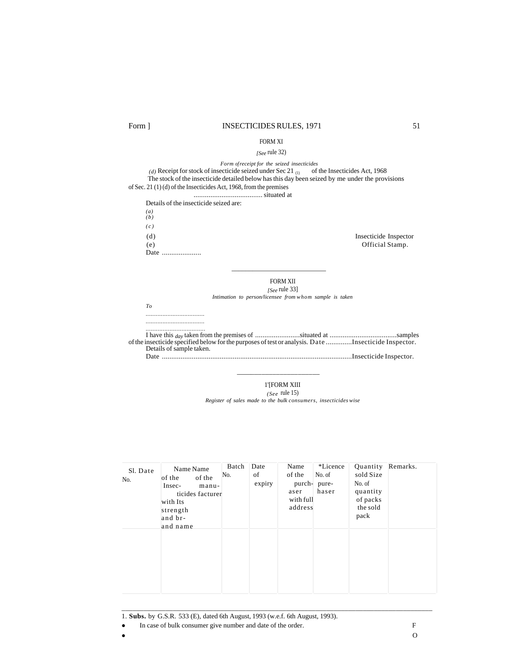## Form ] INSECTICIDES RULES, 1971 51

### FORM XI

#### *[See* rule 32)

*Form of receipt for the seized insecticides*

 $(d)$  Receipt for stock of insecticide seized under Sec 21  $_{(1)}$  of the Insecticides Act, 1968 The stock of the insecticide detailed below has this day been seized by me under the provisions of Sec. 21 (1) (d) of the Insecticides Act, 1968, from the premises

..................................... situated at

 $\frac{1}{\sqrt{2\pi}}\left(\frac{1}{\sqrt{2\pi}}\right)^{2\pi}\left(\frac{1}{\sqrt{2\pi}}\right)^{2\pi}\left(\frac{1}{\sqrt{2\pi}}\right)^{2\pi}\left(\frac{1}{\sqrt{2\pi}}\right)^{2\pi}\left(\frac{1}{\sqrt{2\pi}}\right)^{2\pi}\left(\frac{1}{\sqrt{2\pi}}\right)^{2\pi}\left(\frac{1}{\sqrt{2\pi}}\right)^{2\pi}\left(\frac{1}{\sqrt{2\pi}}\right)^{2\pi}\left(\frac{1}{\sqrt{2\pi}}\right)^{2\pi}\left(\frac{1}{\sqrt{2\pi}}\right)^{2$ 

\_\_\_\_\_\_\_\_\_\_\_\_\_\_\_\_\_\_\_\_\_\_\_

| Details of the insecticide seized are: |                       |
|----------------------------------------|-----------------------|
| $(a)$<br>$(b)$                         |                       |
| (c)                                    |                       |
| (d)                                    | Insecticide Inspector |
| (e)                                    | Official Stamp.       |
| Date                                   |                       |

FORM XII *[See* rule 33]

*Intimation to person/licensee from whom sample is taken*

*To* 

*...................................* 

*...................................* 

*...................................* I have this *day* taken from the premises of ........................situated at ....................................samples of the insecticide specified below for the purposes of test or analysis. Date ..............Insecticide Inspector. Details of sample taken. Date ......................................................................................................Insecticide Inspector.

1'[FORM XIII

*(See* rule 15)

*Register of sales made to the bulk consumers, insecticides wise*

| Sl. Date<br>No. | Name Name<br>of the<br>of the<br>Insec-<br>manu-<br>ticides facturer<br>with Its<br>strength<br>and br-<br>and name | Batch<br>No. | Date<br>of<br>expiry | Name<br>of the<br>purch-<br>aser<br>with full<br>address | *Licence<br>No. of<br>pure-<br>haser | Quantity<br>sold Size<br>No. of<br>quantity<br>of packs<br>the sold<br>pack | Remarks. |
|-----------------|---------------------------------------------------------------------------------------------------------------------|--------------|----------------------|----------------------------------------------------------|--------------------------------------|-----------------------------------------------------------------------------|----------|
|                 |                                                                                                                     |              |                      |                                                          |                                      |                                                                             |          |

\_\_\_\_\_\_\_\_\_\_\_\_\_\_\_\_\_\_\_\_\_\_\_\_\_\_\_\_\_\_\_\_\_\_\_\_\_\_\_\_\_\_\_\_\_\_\_\_\_\_\_\_\_\_\_\_\_\_\_\_\_\_\_\_\_\_\_\_\_\_\_\_\_\_\_\_\_\_\_\_\_\_\_\_\_

1. **Subs.** by G.S.R. 533 (E), dated 6th August, 1993 (w.e.f. 6th August, 1993).

• In case of bulk consumer give number and date of the order. F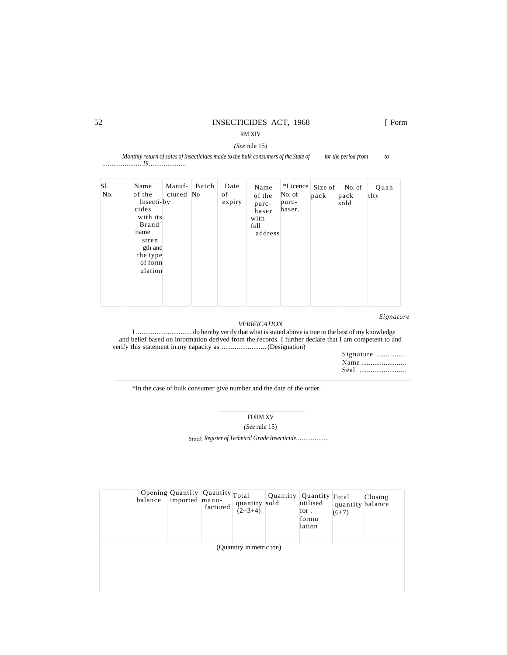# 52 INSECTICIDES ACT, 1968 [ Form

RM XIV *(See* rule 15)

*Monthly return of sales of insecticides made to the bulk consumers of the State of for the period from* to *..................... 19 ....................*

|  | S1.<br>No. | Name<br>of the<br>Insecti-by<br>cides<br>with its<br>Brand<br>name<br>stren<br>gth and<br>the type<br>of form<br>ulation | Manuf-<br>ctured | Batch<br>No | Date<br>of<br>expiry | Name<br>of the<br>purc-<br>haser<br>with<br>full<br>address | *Licence<br>No. of<br>purc-<br>haser. | Size of<br>pack | No. of<br>pack<br>sold | Quan<br>tlty |  |
|--|------------|--------------------------------------------------------------------------------------------------------------------------|------------------|-------------|----------------------|-------------------------------------------------------------|---------------------------------------|-----------------|------------------------|--------------|--|
|--|------------|--------------------------------------------------------------------------------------------------------------------------|------------------|-------------|----------------------|-------------------------------------------------------------|---------------------------------------|-----------------|------------------------|--------------|--|

*Signature*

## *VERIFICATION*

I .............................. do hereby verify that what is stated above is true to the best of my knowledge and belief based on information derived from the records. I further declare that I am competent to and verify this statement in.my capacity as ........................ (Designation)

| Signature |  |
|-----------|--|
|           |  |
|           |  |

\*In the case of bulk consumer give number and the date of the order.

 $\frac{1}{2}$  ,  $\frac{1}{2}$  ,  $\frac{1}{2}$  ,  $\frac{1}{2}$  ,  $\frac{1}{2}$  ,  $\frac{1}{2}$  ,  $\frac{1}{2}$  ,  $\frac{1}{2}$  ,  $\frac{1}{2}$  ,  $\frac{1}{2}$  ,  $\frac{1}{2}$  ,  $\frac{1}{2}$  ,  $\frac{1}{2}$  ,  $\frac{1}{2}$  ,  $\frac{1}{2}$  ,  $\frac{1}{2}$  ,  $\frac{1}{2}$  ,  $\frac{1}{2}$  ,  $\frac{1$ 

FORM XV

\_\_\_\_\_\_\_\_\_\_\_\_\_\_\_\_\_\_\_\_\_\_\_\_\_\_\_\_\_\_\_\_\_\_\_\_\_\_\_\_\_\_\_\_\_\_\_\_\_\_\_\_\_\_\_\_\_\_\_\_\_\_\_\_\_\_\_\_\_\_\_\_\_\_\_\_\_\_\_\_\_\_\_\_\_\_\_\_\_

*(See* rule 15)

*Stock Register of Technical Grade Insecticide.................*

| balance | Opening Quantity   Quantity   Total<br>imported manu- | factured | quantity sold<br>$(2+3+4)$ | Quantity   Quantity   Total | utilised<br>for.<br>formu<br>lation | quantity balance<br>$(6+7)$ | Closing |
|---------|-------------------------------------------------------|----------|----------------------------|-----------------------------|-------------------------------------|-----------------------------|---------|
|         |                                                       |          | (Quantity in metric ton)   |                             |                                     |                             |         |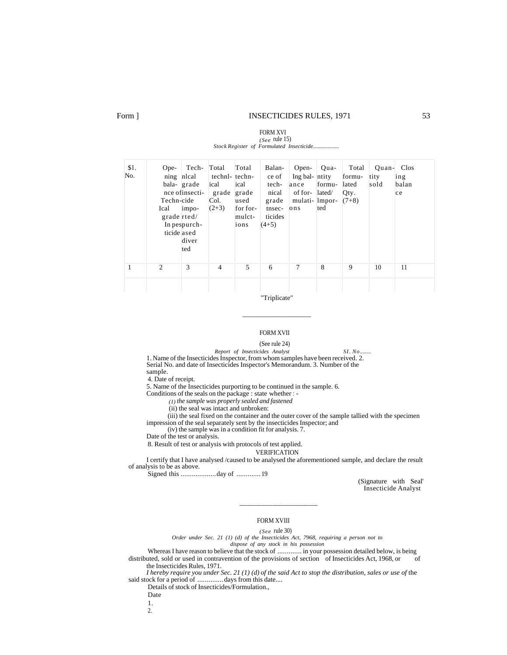#### Form ] **INSECTICIDES RULES, 1971** 53

FORM XVI

#### *(See* rule 15) Stock Register of Formulated Insecticide... Opening balance of insecti-Techn-cide Ical grade rted/ In pes purchticide ased Technlcal grade impodiver ted Total technlical grade Col.  $(2+3)$ Total technical grade used for formulctions Balance of technical grade tnsecticides  $(4+5)$ Open-Ing balance of formulations Quantity formulated/ lmported Total formulated Qty.  $(7+8)$ Quantity sold Clos ing balan ce

"Triplicate"

\_\_\_\_\_\_\_\_\_\_\_\_\_\_\_\_\_\_\_\_

1 2 3 4 5 6 7 8 9 10 11

#### FORM XVII

(See rule 24)

*Report of Insecticides Analyst SI. No.........* 1. Name of the Insecticides Inspector, from whom samples have been received. 2. Serial No. and date of Insecticides Inspector's Memorandum. 3. Number of the sample.

4. Date of receipt.

\$l. No.

5. Name of the Insecticides purporting to be continued in the sample. 6.

Conditions of the seals on the package : state whether : -

*(1) the sample was properly sealed and fastened*

(ii) the seal was intact and unbroken:

(iii) the seal fixed on the container and the outer cover of the sample tallied with the specimen impression of the seal separately sent by the insecticides Inspector; and

(iv) the sample was in a condition fit for analysis. 7.

Date of the test or analysis.

8. Result of test or analysis with protocols of test applied.

VERIFICATION

I certify that I have analysed /caused to be analysed the aforementioned sample, and declare the result of analysis to be as above.

Signed this ...................day of .............19

(Signature with Seal' Insecticide Analyst

#### FORM XVIII

\_\_\_\_\_\_\_\_\_\_\_\_\_\_\_\_\_\_\_\_\_\_\_\_

*(See* rule 30) *Order under Sec. 21 (1) (d) of the Insecticides Act, 7968, requiring a person not to dispose of any stock in his possession*

Whereas I have reason to believe that the stock of .............. in your possession detailed below, is being uted sold or used in contravention of the provisions of section of Insecticides Act 1968 or of distributed, sold or used in contravention of the provisions of section of Insecticides Act, 1968, or the Insecticides Rules, 1971.

*I hereby require you under Sec. 21 (1) (d) of the said Act to stop the distribution, sales or use of the* said stock for a period of ..............days from this date....

Details of stock of Insecticides/Formulation.,

Date

1.

2.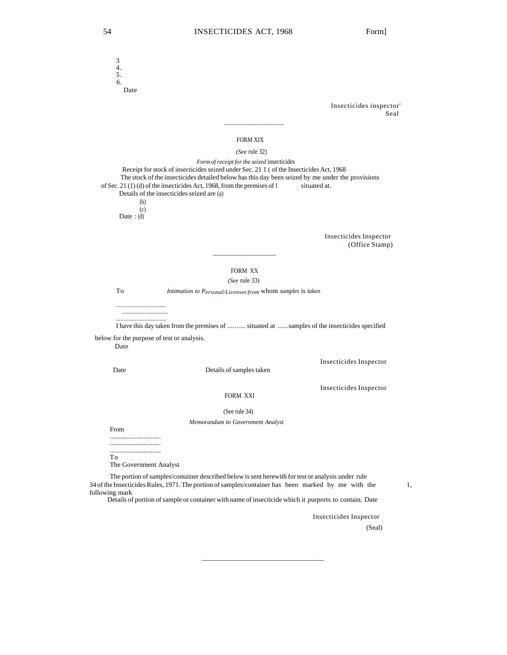3 4. 5.  $\overline{6}$ . Date Insecticides inspector' Seal \_\_\_\_\_\_\_\_\_\_\_\_\_\_\_ FORM XIX  *(See* rule 32) *Form of receipt for the seized* insecticides Receipt for stock of insecticides seized under Sec. 21 1 ( of the Insecticides Act, 1968 The stock of the insecticides detailed below has this day been seized by me under the provisions  $21(1)(d)$  of the insecticides Act, 1968, from the premises of filial stated at. of Sec. 21 (1) (d) of the insecticides Act, 1968, from the premises of  $f$ Details of the insecticides seized are (a) (b) (c) Date :  $(d)$ Insecticides Inspector (Office Stamp) \_\_\_\_\_\_\_\_\_\_\_\_\_\_\_\_\_ FORM XX *(See* rule 33) To *Intimation to Personal/Licensee from* whom *samples* is *taken ................................ ............................. ................................* I have this day taken from the premises of .......... situated at ......samples of the insecticides specified below for the purpose of test or analysis. Date Insecticides Inspector Date Details of samples taken Insecticides Inspector FORM XXI (See rule 34) *Memorandum to Government Analyst* From .............................. .............................. .............................. To The Government Analyst The portion of samples/container described below is sent herewith for test or analysis under rule 34 of the Insecticides Rules, 1971. The portion of samples/container has been marked by me with the 1, following mark Details of portion of sample or container with name of insecticide which it purports to contain. Date

\_\_\_\_\_\_\_\_\_\_\_\_\_\_\_\_\_\_\_\_\_\_\_\_\_\_\_\_\_\_\_\_\_\_\_

Insecticides Inspector

(Seal)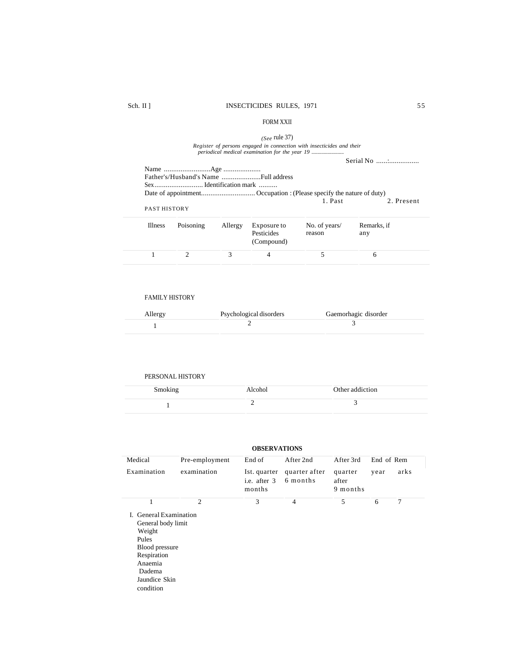## FORM XXII

#### *(See* rule 37)

# *Register of persons engaged in connection with insecticides and their periodical medical examination for the year 19 ..........................*

|                     |           |         |                                         | 1. Past                 | 2. Present         |
|---------------------|-----------|---------|-----------------------------------------|-------------------------|--------------------|
| <b>PAST HISTORY</b> |           |         |                                         |                         |                    |
| <b>Illness</b>      | Poisoning | Allergy | Exposure to<br>Pesticides<br>(Compound) | No. of years/<br>reason | Remarks, if<br>any |
|                     |           |         |                                         |                         |                    |

### FAMILY HISTORY

| Allergy | Psychological disorders | Gaemorhagic disorder |
|---------|-------------------------|----------------------|
|         |                         |                      |

# PERSONAL HISTORY

| Smoking | Alcohol | Other addiction |  |
|---------|---------|-----------------|--|
|         |         |                 |  |

| <b>OBSERVATIONS</b>                                                                                                                                 |                             |                                        |                           |                              |            |      |  |
|-----------------------------------------------------------------------------------------------------------------------------------------------------|-----------------------------|----------------------------------------|---------------------------|------------------------------|------------|------|--|
| Medical                                                                                                                                             | Pre-employment              | End of                                 | After 2nd                 | After 3rd                    | End of Rem |      |  |
| Examination                                                                                                                                         | examination                 | Ist. quarter<br>i.e. after 3<br>months | quarter after<br>6 months | quarter<br>after<br>9 months | year       | arks |  |
| 1                                                                                                                                                   | $\mathcal{D}_{\mathcal{L}}$ | 3                                      | $\overline{4}$            | 5                            | 6          | 7    |  |
| I. General Examination<br>General body limit<br>Weight<br>Pules<br>Blood pressure<br>Respiration<br>Anaemia<br>Dadema<br>Jaundice Skin<br>condition |                             |                                        |                           |                              |            |      |  |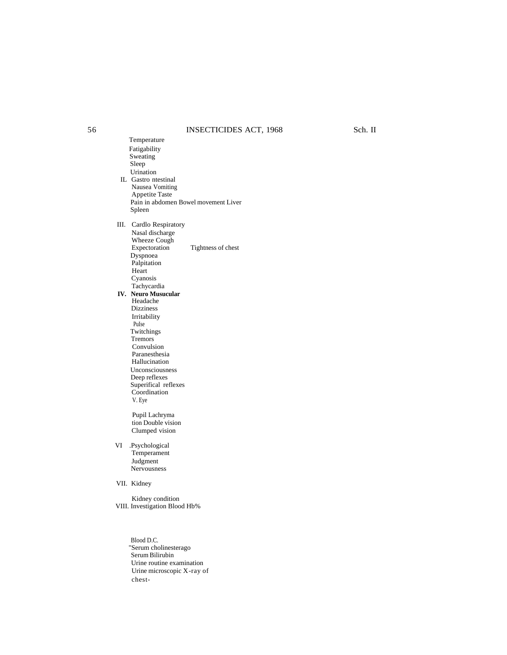# 56 INSECTICIDES ACT, 1968 Sch. II

Temperature Fatigability Sweating Sleep Urination IL Gastro ntestinal Nausea Vomiting Appetite Taste Pain in abdomen Bowel movement Liver Spleen III. Cardlo Respiratory Nasal discharge Wheeze Cough<br>Expectoration Tightness of chest Dyspnoea Palpitation Heart Cyanosis Tachycardia  **IV. Neuro Musucular** Headache Dizziness Irritability PuIse Twitchings Tremors Convulsion Paranesthesia Hallucination Unconsciousness Deep reflexes Superifical reflexes Coordination V. Eye Pupil Lachryma tion Double vision Clumped vision VI .Psychological Temperament Judgment Nervousness VII. Kidney Kidney condition VIII. Investigation Blood Hb%

> Blood D.C. "Serum cholinesterago Serum Bilirubin Urine routine examination Urine microscopic X-ray of chest-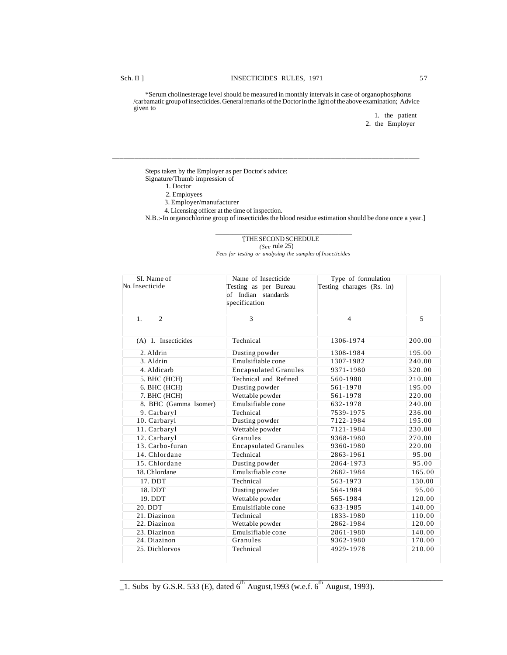\*Serum cholinesterage level should be measured in monthly intervals in case of organophosphorus /carbamatic group of insecticides. General remarks of the Doctor in the light of the above examination; Advice given to

\_\_\_\_\_\_\_\_\_\_\_\_\_\_\_\_\_\_\_\_\_\_\_\_\_\_\_\_\_\_\_\_\_\_\_\_\_\_\_\_\_\_\_\_\_\_\_\_\_\_\_\_\_\_\_\_\_\_\_\_\_\_\_\_\_\_\_\_\_\_\_\_\_\_\_\_\_\_\_\_\_\_\_

1. the patient 2. the Employer

Steps taken by the Employer as per Doctor's advice: Signature/Thumb impression of

- 1. Doctor
- 2. Employees
- 3. Employer/manufacturer
- 4. Licensing officer at the time of inspection.

 $\overline{\phantom{a}}$  ,  $\overline{\phantom{a}}$  ,  $\overline{\phantom{a}}$  ,  $\overline{\phantom{a}}$  ,  $\overline{\phantom{a}}$  ,  $\overline{\phantom{a}}$  ,  $\overline{\phantom{a}}$  ,  $\overline{\phantom{a}}$  ,  $\overline{\phantom{a}}$  ,  $\overline{\phantom{a}}$  ,  $\overline{\phantom{a}}$  ,  $\overline{\phantom{a}}$  ,  $\overline{\phantom{a}}$  ,  $\overline{\phantom{a}}$  ,  $\overline{\phantom{a}}$  ,  $\overline{\phantom{a}}$ 

N.B.:-In organochlorine group of insecticides the blood residue estimation should be done once a year.]

#### '[THE SECOND SCHEDULE *(See* rule 25)

*Fees for testing or analysing the samples of Insecticides*

| SI. Name of                      | Name of Insecticide          | Type of formulation       |                |
|----------------------------------|------------------------------|---------------------------|----------------|
| No. Insecticide                  | Testing as per Bureau        | Testing charages (Rs. in) |                |
|                                  | of Indian standards          |                           |                |
|                                  | specification                |                           |                |
|                                  |                              |                           |                |
| $\overline{2}$<br>1 <sub>1</sub> | $\mathcal{R}$                | 4                         | $\overline{5}$ |
|                                  |                              |                           |                |
| (A) 1. Insecticides              | Technical                    | 1306-1974                 | 200.00         |
| 2. Aldrin                        | Dusting powder               | 1308-1984                 | 195.00         |
| 3. Aldrin                        | Emulsifiable cone            | 1307-1982                 | 240.00         |
| 4. Aldicarb                      | <b>Encapsulated Granules</b> | 9371-1980                 | 320.00         |
| 5. BHC (HCH)                     | Technical and Refined        | 560-1980                  | 210.00         |
| 6. BHC (HCH)                     | Dusting powder               | 561-1978                  | 195.00         |
| 7. BHC (HCH)                     | Wettable powder              | 561-1978                  | 220.00         |
| 8. BHC (Gamma Isomer)            | Emulsifiable cone            | 632-1978                  | 240.00         |
| 9. Carbaryl                      | Technical                    | 7539-1975                 | 236.00         |
| 10. Carbaryl                     | Dusting powder               | 7122-1984                 | 195.00         |
| 11. Carbaryl                     | Wettable powder              | 7121-1984                 | 230.00         |
| 12. Carbaryl                     | Granules                     | 9368-1980                 | 270.00         |
| 13. Carbo-furan                  | <b>Encapsulated Granules</b> | 9360-1980                 | 220.00         |
| 14. Chlordane                    | Technical                    | 2863-1961                 | 95.00          |
| 15. Chlordane                    | Dusting powder               | 2864-1973                 | 95.00          |
| 18. Chlordane                    | Emulsifiable cone            | 2682-1984                 | 165.00         |
| 17. DDT                          | Technical                    | 563-1973                  | 130.00         |
| 18. DDT                          | Dusting powder               | 564-1984                  | 95.00          |
| 19. DDT                          | Wettable powder              | 565-1984                  | 120.00         |
| 20. DDT                          | Emulsifiable cone            | 633-1985                  | 140.00         |
| 21. Diazinon                     | Technical                    | 1833-1980                 | 110.00         |
| 22. Diazinon                     | Wettable powder              | 2862-1984                 | 120.00         |
| 23. Diazinon                     | Emulsifiable cone            | 2861-1980                 | 140.00         |
| 24. Diazinon                     | Granules                     | 9362-1980                 | 170.00         |
| 25. Dichlorvos                   | Technical                    | 4929-1978                 | 210.00         |
|                                  |                              |                           |                |

 $\frac{1}{21}$ . Subs by G.S.R. 533 (E), dated 6<sup>th</sup> August, 1993 (w.e.f. 6<sup>th</sup> August, 1993).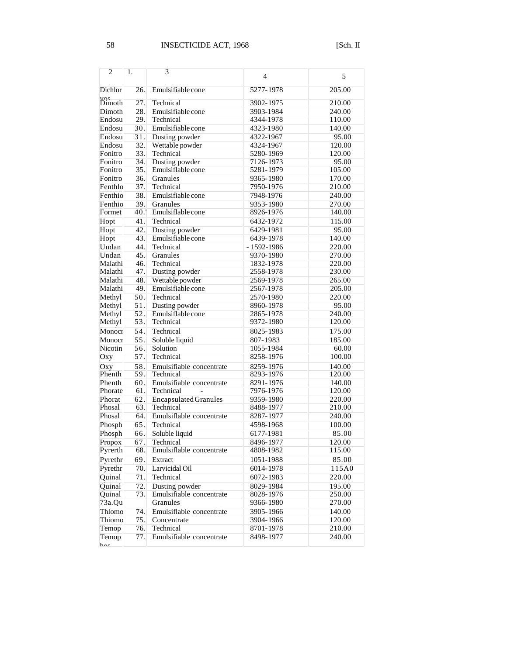| $\overline{c}$                    | 1.                | 3                                     | $\overline{4}$         | 5                |
|-----------------------------------|-------------------|---------------------------------------|------------------------|------------------|
| <b>Dichlor</b>                    | 26.               | Emulsifiable cone                     | 5277-1978              | 205.00           |
| $\overline{\mathbf{v}}$<br>Dimoth | 27.               | Technical                             | 3902-1975              | 210.00           |
| Dimoth                            | 28.               | Emulsifiable cone                     | 3903-1984              | 240.00           |
| Endosu                            | 29.               | Technical                             | 4344-1978              | 110.00           |
| Endosu                            | 30.               | Emulsifiable cone                     | 4323-1980              | 140.00           |
| Endosu                            | 31.               | Dusting powder                        | 4322-1967              | 95.00            |
| Endosu                            | 32.               | Wettable powder                       | 4324-1967              | 120.00           |
| Fonitro                           | 33.               | Technical                             | 5280-1969              | 120.00           |
| Fonitro                           | 34.               | Dusting powder                        | 7126-1973              | 95.00            |
| Fonitro                           | 35.               | Emulsiflable cone                     | 5281-1979              | 105.00           |
| Fonitro                           | 36.               | Granules                              | 9365-1980              | 170.00           |
| Fenthlo                           | 37.               | Technical                             | 7950-1976              | 210.00           |
| Fenthio                           | 38.               | Emulsifiable cone                     | 7948-1976              | 240.00           |
| Fenthio                           | 39.               | Granules                              | 9353-1980              | 270.00           |
| Formet                            | 40.               | Emulsiflable cone                     | 8926-1976              | 140.00           |
| Hopt                              | 41.               | Technical                             | 6432-1972              | 115.00           |
| Hopt                              | 42.               | Dusting powder                        | 6429-1981              | 95.00            |
| Hopt                              | 43.               | Emulsifiable cone                     | 6439-1978              | 140.00           |
| Undan                             | 44.               | Technical                             | $-1592 - 1986$         | 220.00           |
| Undan                             | 45.               | Granules                              | 9370-1980              | 270.00           |
| Malathi                           | 46.               | Technical                             | 1832-1978              | 220.00           |
| Malathi                           | 47.               | Dusting powder                        | 2558-1978              | 230.00           |
| Malathi                           | 48.               | Wettable powder                       | 2569-1978              | 265.00           |
| Malathi                           | 49.               | Emulsifiable cone                     | 2567-1978              | 205.00           |
| Methyl                            | 50.               | Technical                             | 2570-1980              | 220.00           |
| Methyl                            | 51.               | Dusting powder                        | 8960-1978              | 95.00            |
| Methyl                            | 52.               | Emulsiflable cone                     | 2865-1978              | 240.00           |
| Methyl                            | 53.               | Technical                             | 9372-1980              | 120.00           |
| Monocr                            | 54.               | Technical                             | 8025-1983              | 175.00           |
| Monocr                            | $\overline{55}$ . | Soluble liquid                        | 807-1983               | 185.00           |
| Nicotin                           | 56.<br>57.        | Solution                              | 1055-1984              | 60.00            |
| $\overline{O}$ xy                 |                   | Technical                             | 8258-1976              | 100.00           |
| Oxy<br>Phenth                     | 58.               | Emulsifiable concentrate<br>Technical | 8259-1976<br>8293-1976 | 140.00           |
| Phenth                            | 59.<br>60.        | Emulsifiable concentrate              | 8291-1976              | 120.00<br>140.00 |
| Phorate                           | 61.               | Technical                             | 7976-1976              | 120.00           |
| Phorat                            | 62.               | <b>Encapsulated Granules</b>          | 9359-1980              | 220.00           |
| Phosal                            | 63.               | Technical                             | 8488-1977              | 210.00           |
| Phosal                            | 64.               | Emulsiflable concentrate              | 8287-1977              | 240.00           |
| Phosph                            | $\overline{65}$ . | Technical                             | 4598-1968              | 100.00           |
| Phosph                            | 66.               | Soluble liquid                        | 6177-1981              | 85.00            |
| Propox                            | 67.               | Technical                             | 8496-1977              | 120.00           |
| Pyrerth                           | 68.               | Emulsiflable concentrate              | 4808-1982              | 115.00           |
| Pyrethr                           | 69.               | Extract                               | 1051-1988              | 85.00            |
| Pyrethr                           | 70.               | Larvicidal Oil                        | 6014-1978              | 115A0            |
| Quinal                            | 71.               | Technical                             | 6072-1983              | 220.00           |
| Quinal                            | 72.               | Dusting powder                        | 8029-1984              | 195.00           |
| Quinal                            | 73.               | Emulsifiable concentrate              | 8028-1976              | 250.00           |
| $73a.\overline{Qu}$               |                   | Granules                              | 9366-1980              | 270.00           |
| Thlomo                            | 74.               | Emulsiflable concentrate              | 3905-1966              | 140.00           |
| Thiomo                            | 75.               | Concentrate                           | 3904-1966              | 120.00           |
| Temop                             | 76.               | Technical                             | 8701-1978              | 210.00           |
| Temop<br>$\mathbf{h}$             | 77.               | Emulsifiable concentrate              | 8498-1977              | 240.00           |
|                                   |                   |                                       |                        |                  |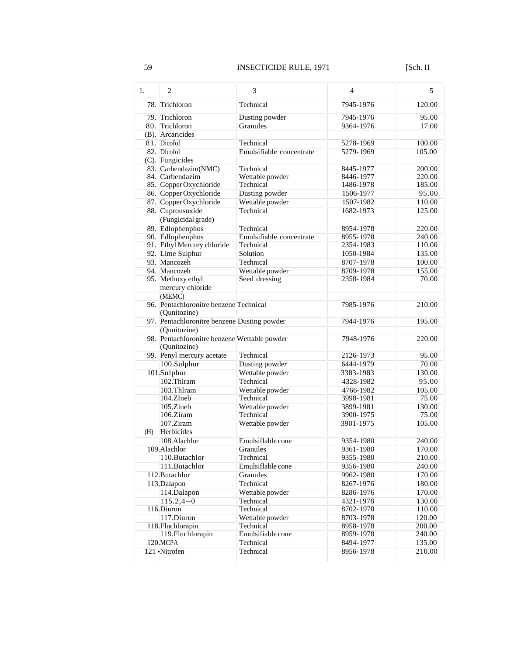| 1.  | 2                                            | 3                            | $\overline{4}$         | 5                                                                                                                                                                              |
|-----|----------------------------------------------|------------------------------|------------------------|--------------------------------------------------------------------------------------------------------------------------------------------------------------------------------|
|     | 78. Trichloron                               | Technical                    | 7945-1976              | 120.00                                                                                                                                                                         |
|     | 79. Trichloron                               | Dusting powder               | 7945-1976              | 95.00                                                                                                                                                                          |
|     | 80. Trichloron                               | <b>Granules</b>              | 9364-1976              | 17.00                                                                                                                                                                          |
|     | $(B)$ . Arcaricides                          |                              |                        |                                                                                                                                                                                |
|     | 81. Dicofol                                  | Technical                    | 5278-1969              | 100.00                                                                                                                                                                         |
|     | 82. Dlcofol                                  | Emulsifiable concentrate     | 5279-1969              | 105.00                                                                                                                                                                         |
|     | $(C)$ . Fungicides                           |                              |                        |                                                                                                                                                                                |
|     | 83. Carbendazim(NMC)                         | Technical                    | 8445-1977              | 200.00                                                                                                                                                                         |
|     | 84. Carbendazim                              | Wettable powder              | 8446-1977              | 220.00                                                                                                                                                                         |
|     | 85. Copper Oxychloride                       | Technical                    | 1486-1978              | 185.00                                                                                                                                                                         |
|     | 86. Copper Oxychloride                       | Dusting powder               | 1506-1977              | 95.00                                                                                                                                                                          |
|     | 87. Copper Oxychloride                       | Wettable powder              | 1507-1982              | 110.00                                                                                                                                                                         |
|     | 88. Cuprousoxide                             | Technical                    | 1682-1973              | 125.00                                                                                                                                                                         |
|     | (Fungicidal grade)                           |                              |                        |                                                                                                                                                                                |
|     | 89. Edlophenphos                             | Technical                    | 8954-1978              | 220.00                                                                                                                                                                         |
|     | 90. Edlophenphos                             | Emulsifiable concentrate     | 8955-1978              | 240.00                                                                                                                                                                         |
|     | 91. Ethyl Mercury chloride                   | Technical                    | 2354-1983              | 110.00                                                                                                                                                                         |
|     | 92. Lime Sulphur                             | Solution                     | 1050-1984              | 135.00                                                                                                                                                                         |
|     | 93. Mancozeh                                 | Technical                    | 8707-1978              | 100.00                                                                                                                                                                         |
|     |                                              |                              | 8709-1978              | 155.00                                                                                                                                                                         |
|     | 94. Mancozeh                                 | Wettable powder              |                        | 70.00                                                                                                                                                                          |
|     | 95. Methoxy ethyl                            | Seed dressing                | 2358-1984              |                                                                                                                                                                                |
|     | mercury chloride                             |                              |                        |                                                                                                                                                                                |
|     | (MEMC)                                       |                              |                        |                                                                                                                                                                                |
|     | 96. Pentachloronitre benzene Technical       |                              | 7985-1976              | 210.00                                                                                                                                                                         |
|     | (Qunitozine)                                 |                              |                        |                                                                                                                                                                                |
|     | 97. Pentachloronitre benzene Dusting powder  |                              | 7944-1976              | 195.00                                                                                                                                                                         |
|     | (Qunitozine)                                 |                              |                        |                                                                                                                                                                                |
|     | 98. Pentachloronitre benzene Wettable powder |                              | 7948-1976              | 220.00                                                                                                                                                                         |
|     | $\overline{(Qunitozine)}$                    |                              |                        |                                                                                                                                                                                |
|     | 99. Penyl mercury acetate                    | Technical                    | 2126-1973              | 95.00                                                                                                                                                                          |
|     | 100.Sulphur                                  | Dusting powder               | 6444-1979              | 70.00                                                                                                                                                                          |
|     | $101$ .Sulphur<br>102.Thlram                 | Wettable powder              | 3383-1983              | 130.00                                                                                                                                                                         |
|     |                                              | Technical                    | 4328-1982              | 95.00                                                                                                                                                                          |
|     |                                              |                              |                        |                                                                                                                                                                                |
|     | 103.Thlram                                   | Wettable powder              | 4766-1982              |                                                                                                                                                                                |
|     | $104. Z$ Ineb                                | Technical                    | 3998-1981              |                                                                                                                                                                                |
|     | 105.Zineb                                    | Wettable powder              | 3899-1981              |                                                                                                                                                                                |
|     | 106.Ziram                                    | Technical                    | 3900-1975              |                                                                                                                                                                                |
|     | 107.Ziram                                    | Wettable powder              | 3901-1975              |                                                                                                                                                                                |
| (H) | Herbicides                                   |                              |                        |                                                                                                                                                                                |
|     | 108.Alachlor                                 | Emulsiflable cone            | 9354-1980              |                                                                                                                                                                                |
|     | 109. Alachlor                                | Granules                     | 9361-1980              |                                                                                                                                                                                |
|     | 110.Butachlor                                | Technical                    | 9355-1980              |                                                                                                                                                                                |
|     | 111.Butachlor                                | Emulsiflable cone            | 9356-1980              |                                                                                                                                                                                |
|     | 112. Butachlor                               | Granules                     | 9962-1980              |                                                                                                                                                                                |
|     | 113.Dalapon                                  | Technical                    | 8267-1976              |                                                                                                                                                                                |
|     | 114.Dalapon                                  | Wettable powder              | 8286-1976              |                                                                                                                                                                                |
|     | $115.2, 4-0$                                 | Technical                    | 4321-1978              |                                                                                                                                                                                |
|     | 116.Diuron                                   | Technical                    | 8702-1978              |                                                                                                                                                                                |
|     |                                              |                              |                        |                                                                                                                                                                                |
|     | 117.Diuron<br>118. Fluchlorapin              | Wettable powder<br>Technical | 8703-1978<br>8958-1978 |                                                                                                                                                                                |
|     | 119. Fluchlorapin                            | Emulsifiable cone            | 8959-1978              |                                                                                                                                                                                |
|     | $120$ , MCPA                                 | Technical                    | 8494-1977              | 105.00<br>75.00<br>130.00<br>75.00<br>105.00<br>240.00<br>170.00<br>210.00<br>240.00<br>170.00<br>180.00<br>170.00<br>130.00<br>110.00<br>120.00<br>200.00<br>240.00<br>135.00 |